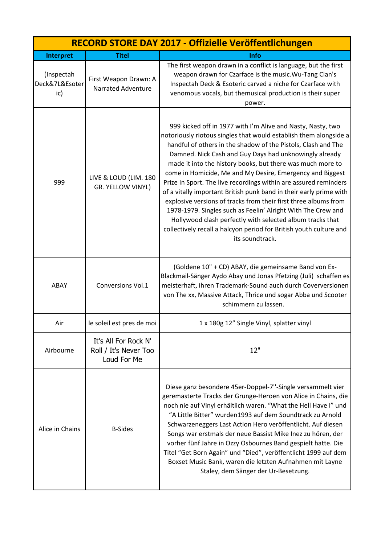| RECORD STORE DAY 2017 - Offizielle Veröffentlichungen |                                                              |                                                                                                                                                                                                                                                                                                                                                                                                                                                                                                                                                                                                                                                                                                                                                                                                                           |
|-------------------------------------------------------|--------------------------------------------------------------|---------------------------------------------------------------------------------------------------------------------------------------------------------------------------------------------------------------------------------------------------------------------------------------------------------------------------------------------------------------------------------------------------------------------------------------------------------------------------------------------------------------------------------------------------------------------------------------------------------------------------------------------------------------------------------------------------------------------------------------------------------------------------------------------------------------------------|
| Interpret                                             | <b>Titel</b>                                                 | <b>Info</b>                                                                                                                                                                                                                                                                                                                                                                                                                                                                                                                                                                                                                                                                                                                                                                                                               |
| (Inspectah<br>Deck&7L&Esoter<br>ic)                   | First Weapon Drawn: A<br>Narrated Adventure                  | The first weapon drawn in a conflict is language, but the first<br>weapon drawn for Czarface is the music. Wu-Tang Clan's<br>Inspectah Deck & Esoteric carved a niche for Czarface with<br>venomous vocals, but themusical production is their super<br>power.                                                                                                                                                                                                                                                                                                                                                                                                                                                                                                                                                            |
| 999                                                   | LIVE & LOUD (LIM. 180<br>GR. YELLOW VINYL)                   | 999 kicked off in 1977 with I'm Alive and Nasty, Nasty, two<br>notoriously riotous singles that would establish them alongside a<br>handful of others in the shadow of the Pistols, Clash and The<br>Damned. Nick Cash and Guy Days had unknowingly already<br>made it into the history books, but there was much more to<br>come in Homicide, Me and My Desire, Emergency and Biggest<br>Prize In Sport. The live recordings within are assured reminders<br>of a vitally important British punk band in their early prime with<br>explosive versions of tracks from their first three albums from<br>1978-1979. Singles such as Feelin' Alright With The Crew and<br>Hollywood clash perfectly with selected album tracks that<br>collectively recall a halcyon period for British youth culture and<br>its soundtrack. |
| ABAY                                                  | Conversions Vol.1                                            | (Goldene 10" + CD) ABAY, die gemeinsame Band von Ex-<br>Blackmail-Sänger Aydo Abay und Jonas Pfetzing (Juli) schaffen es<br>meisterhaft, ihren Trademark-Sound auch durch Coverversionen<br>von The xx, Massive Attack, Thrice und sogar Abba und Scooter<br>schimmern zu lassen.                                                                                                                                                                                                                                                                                                                                                                                                                                                                                                                                         |
| Air                                                   | le soleil est pres de moi                                    | 1 x 180g 12" Single Vinyl, splatter vinyl                                                                                                                                                                                                                                                                                                                                                                                                                                                                                                                                                                                                                                                                                                                                                                                 |
| Airbourne                                             | It's All For Rock N'<br>Roll / It's Never Too<br>Loud For Me | 12"                                                                                                                                                                                                                                                                                                                                                                                                                                                                                                                                                                                                                                                                                                                                                                                                                       |
| Alice in Chains                                       | <b>B-Sides</b>                                               | Diese ganz besondere 45er-Doppel-7"-Single versammelt vier<br>geremasterte Tracks der Grunge-Heroen von Alice in Chains, die<br>noch nie auf Vinyl erhältlich waren. "What the Hell Have I" und<br>"A Little Bitter" wurden1993 auf dem Soundtrack zu Arnold<br>Schwarzeneggers Last Action Hero veröffentlicht. Auf diesen<br>Songs war erstmals der neue Bassist Mike Inez zu hören, der<br>vorher fünf Jahre in Ozzy Osbournes Band gespielt hatte. Die<br>Titel "Get Born Again" und "Died", veröffentlicht 1999 auf dem<br>Boxset Music Bank, waren die letzten Aufnahmen mit Layne<br>Staley, dem Sänger der Ur-Besetzung.                                                                                                                                                                                          |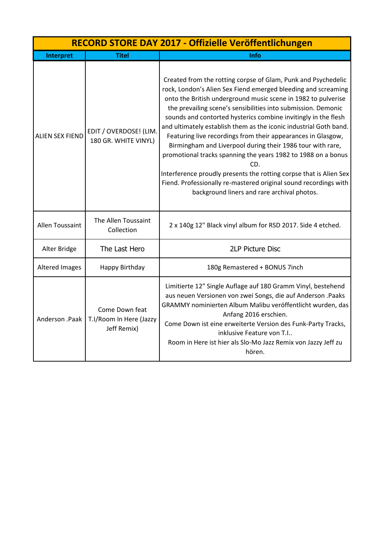| RECORD STORE DAY 2017 - Offizielle Veröffentlichungen |                                                          |                                                                                                                                                                                                                                                                                                                                                                                                                                                                                                                                                                                                                                                                                                                                                                                                        |
|-------------------------------------------------------|----------------------------------------------------------|--------------------------------------------------------------------------------------------------------------------------------------------------------------------------------------------------------------------------------------------------------------------------------------------------------------------------------------------------------------------------------------------------------------------------------------------------------------------------------------------------------------------------------------------------------------------------------------------------------------------------------------------------------------------------------------------------------------------------------------------------------------------------------------------------------|
| <b>Interpret</b>                                      | <b>Titel</b>                                             | Info                                                                                                                                                                                                                                                                                                                                                                                                                                                                                                                                                                                                                                                                                                                                                                                                   |
| <b>ALIEN SEX FIEND</b>                                | EDIT / OVERDOSE! (LIM.<br>180 GR. WHITE VINYL)           | Created from the rotting corpse of Glam, Punk and Psychedelic<br>rock, London's Alien Sex Fiend emerged bleeding and screaming<br>onto the British underground music scene in 1982 to pulverise<br>the prevailing scene's sensibilities into submission. Demonic<br>sounds and contorted hysterics combine invitingly in the flesh<br>and ultimately establish them as the iconic industrial Goth band.<br>Featuring live recordings from their appearances in Glasgow,<br>Birmingham and Liverpool during their 1986 tour with rare,<br>promotional tracks spanning the years 1982 to 1988 on a bonus<br>CD.<br>Interference proudly presents the rotting corpse that is Alien Sex<br>Fiend. Professionally re-mastered original sound recordings with<br>background liners and rare archival photos. |
| Allen Toussaint                                       | The Allen Toussaint<br>Collection                        | 2 x 140g 12" Black vinyl album for RSD 2017. Side 4 etched.                                                                                                                                                                                                                                                                                                                                                                                                                                                                                                                                                                                                                                                                                                                                            |
| Alter Bridge                                          | The Last Hero                                            | <b>2LP Picture Disc</b>                                                                                                                                                                                                                                                                                                                                                                                                                                                                                                                                                                                                                                                                                                                                                                                |
| <b>Altered Images</b>                                 | Happy Birthday                                           | 180g Remastered + BONUS 7inch                                                                                                                                                                                                                                                                                                                                                                                                                                                                                                                                                                                                                                                                                                                                                                          |
| Anderson .Paak                                        | Come Down feat<br>T.I/Room In Here (Jazzy<br>Jeff Remix) | Limitierte 12" Single Auflage auf 180 Gramm Vinyl, bestehend<br>aus neuen Versionen von zwei Songs, die auf Anderson .Paaks<br>GRAMMY nominierten Album Malibu veröffentlicht wurden, das<br>Anfang 2016 erschien.<br>Come Down ist eine erweiterte Version des Funk-Party Tracks,<br>inklusive Feature von T.I<br>Room in Here ist hier als Slo-Mo Jazz Remix von Jazzy Jeff zu<br>hören.                                                                                                                                                                                                                                                                                                                                                                                                             |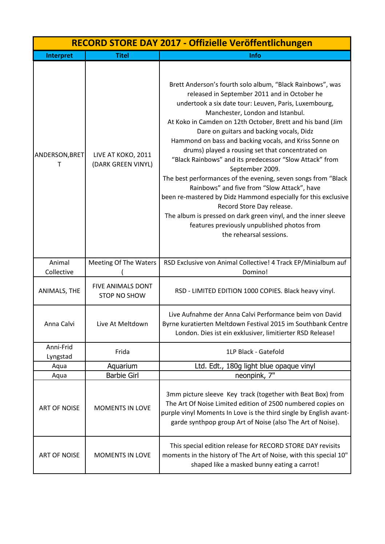| RECORD STORE DAY 2017 - Offizielle Veröffentlichungen |                                          |                                                                                                                                                                                                                                                                                                                                                                                                                                                                                                                                                                                                                                                                                                                                                                                                                                                                         |
|-------------------------------------------------------|------------------------------------------|-------------------------------------------------------------------------------------------------------------------------------------------------------------------------------------------------------------------------------------------------------------------------------------------------------------------------------------------------------------------------------------------------------------------------------------------------------------------------------------------------------------------------------------------------------------------------------------------------------------------------------------------------------------------------------------------------------------------------------------------------------------------------------------------------------------------------------------------------------------------------|
| Interpret                                             | <b>Titel</b>                             | Info                                                                                                                                                                                                                                                                                                                                                                                                                                                                                                                                                                                                                                                                                                                                                                                                                                                                    |
| ANDERSON, BRET<br>т                                   | LIVE AT KOKO, 2011<br>(DARK GREEN VINYL) | Brett Anderson's fourth solo album, "Black Rainbows", was<br>released in September 2011 and in October he<br>undertook a six date tour: Leuven, Paris, Luxembourg,<br>Manchester, London and Istanbul.<br>At Koko in Camden on 12th October, Brett and his band (Jim<br>Dare on guitars and backing vocals, Didz<br>Hammond on bass and backing vocals, and Kriss Sonne on<br>drums) played a rousing set that concentrated on<br>"Black Rainbows" and its predecessor "Slow Attack" from<br>September 2009.<br>The best performances of the evening, seven songs from "Black<br>Rainbows" and five from "Slow Attack", have<br>been re-mastered by Didz Hammond especially for this exclusive<br>Record Store Day release.<br>The album is pressed on dark green vinyl, and the inner sleeve<br>features previously unpublished photos from<br>the rehearsal sessions. |
| Animal<br>Collective                                  | <b>Meeting Of The Waters</b>             | RSD Exclusive von Animal Collective! 4 Track EP/Minialbum auf<br>Domino!                                                                                                                                                                                                                                                                                                                                                                                                                                                                                                                                                                                                                                                                                                                                                                                                |
| ANIMALS, THE                                          | FIVE ANIMALS DONT<br><b>STOP NO SHOW</b> | RSD - LIMITED EDITION 1000 COPIES. Black heavy vinyl.                                                                                                                                                                                                                                                                                                                                                                                                                                                                                                                                                                                                                                                                                                                                                                                                                   |
| Anna Calvi                                            | Live At Meltdown                         | Live Aufnahme der Anna Calvi Performance beim von David<br>Byrne kuratierten Meltdown Festival 2015 im Southbank Centre<br>London. Dies ist ein exklusiver, limitierter RSD Release!                                                                                                                                                                                                                                                                                                                                                                                                                                                                                                                                                                                                                                                                                    |
| Anni-Frid<br>Lyngstad                                 | Frida                                    | 1LP Black - Gatefold                                                                                                                                                                                                                                                                                                                                                                                                                                                                                                                                                                                                                                                                                                                                                                                                                                                    |
| Aqua                                                  | Aquarium                                 | Ltd. Edt., 180g light blue opaque vinyl                                                                                                                                                                                                                                                                                                                                                                                                                                                                                                                                                                                                                                                                                                                                                                                                                                 |
| Aqua                                                  | <b>Barbie Girl</b>                       | neonpink, 7"                                                                                                                                                                                                                                                                                                                                                                                                                                                                                                                                                                                                                                                                                                                                                                                                                                                            |
| <b>ART OF NOISE</b>                                   | <b>MOMENTS IN LOVE</b>                   | 3mm picture sleeve Key track (together with Beat Box) from<br>The Art Of Noise Limited edition of 2500 numbered copies on<br>purple vinyl Moments In Love is the third single by English avant-<br>garde synthpop group Art of Noise (also The Art of Noise).                                                                                                                                                                                                                                                                                                                                                                                                                                                                                                                                                                                                           |
| <b>ART OF NOISE</b>                                   | MOMENTS IN LOVE                          | This special edition release for RECORD STORE DAY revisits<br>moments in the history of The Art of Noise, with this special 10"<br>shaped like a masked bunny eating a carrot!                                                                                                                                                                                                                                                                                                                                                                                                                                                                                                                                                                                                                                                                                          |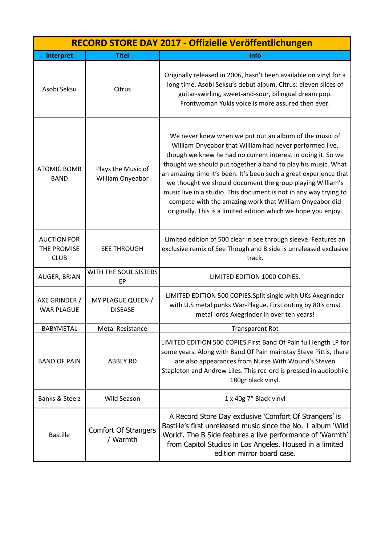|                                                  | RECORD STORE DAY 2017 - Offizielle Veröffentlichungen |                                                                                                                                                                                                                                                                                                                                                                                                                                                                                                                                                                                        |  |
|--------------------------------------------------|-------------------------------------------------------|----------------------------------------------------------------------------------------------------------------------------------------------------------------------------------------------------------------------------------------------------------------------------------------------------------------------------------------------------------------------------------------------------------------------------------------------------------------------------------------------------------------------------------------------------------------------------------------|--|
| Interpret                                        | <b>Titel</b>                                          | <b>Info</b>                                                                                                                                                                                                                                                                                                                                                                                                                                                                                                                                                                            |  |
| Asobi Seksu                                      | Citrus                                                | Originally released in 2006, hasn't been available on vinyl for a<br>long time. Asobi Seksu's debut album, Citrus: eleven slices of<br>guitar-swirling, sweet-and-sour, bilingual dream pop.<br>Frontwoman Yukis voice is more assured then ever.                                                                                                                                                                                                                                                                                                                                      |  |
| <b>ATOMIC BOMB</b><br><b>BAND</b>                | Plays the Music of<br>William Onyeabor                | We never knew when we put out an album of the music of<br>William Onyeabor that William had never performed live,<br>though we knew he had no current interest in doing it. So we<br>thought we should put together a band to play his music. What<br>an amazing time it's been. It's been such a great experience that<br>we thought we should document the group playing William's<br>music live in a studio. This document is not in any way trying to<br>compete with the amazing work that William Onyeabor did<br>originally. This is a limited edition which we hope you enjoy. |  |
| <b>AUCTION FOR</b><br>THE PROMISE<br><b>CLUB</b> | <b>SEE THROUGH</b>                                    | Limited edition of 500 clear in see through sleeve. Features an<br>exclusive remix of See Though and B side is unreleased exclusive<br>track.                                                                                                                                                                                                                                                                                                                                                                                                                                          |  |
| <b>AUGER, BRIAN</b>                              | WITH THE SOUL SISTERS<br>EP                           | LIMITED EDITION 1000 COPIES.                                                                                                                                                                                                                                                                                                                                                                                                                                                                                                                                                           |  |
| AXE GRINDER /<br><b>WAR PLAGUE</b>               | MY PLAGUE QUEEN /<br><b>DISEASE</b>                   | LIMITED EDITION 500 COPIES. Split single with UKs Axegrinder<br>with U.S metal punks War-Plague. First outing by 80's crust<br>metal lords Axegrinder in over ten years!                                                                                                                                                                                                                                                                                                                                                                                                               |  |
| <b>BABYMETAL</b>                                 | <b>Metal Resistance</b>                               | <b>Transparent Rot</b>                                                                                                                                                                                                                                                                                                                                                                                                                                                                                                                                                                 |  |
| <b>BAND OF PAIN</b>                              | <b>ABBEY RD</b>                                       | LIMITED EDITION 500 COPIES. First Band Of Pain full length LP for<br>some years. Along with Band Of Pain mainstay Steve Pittis, there<br>are also appearances from Nurse With Wound's Steven<br>Stapleton and Andrew Liles. This rec-ord is pressed in audiophile<br>180gr black vinyl.                                                                                                                                                                                                                                                                                                |  |
| <b>Banks &amp; Steelz</b>                        | Wild Season                                           | 1 x 40g 7" Black vinyl                                                                                                                                                                                                                                                                                                                                                                                                                                                                                                                                                                 |  |
| <b>Bastille</b>                                  | <b>Comfort Of Strangers</b><br>/ Warmth               | A Record Store Day exclusive 'Comfort Of Strangers' is<br>Bastille's first unreleased music since the No. 1 album 'Wild<br>World'. The B Side features a live performance of 'Warmth'<br>from Capitol Studios in Los Angeles. Housed in a limited<br>edition mirror board case.                                                                                                                                                                                                                                                                                                        |  |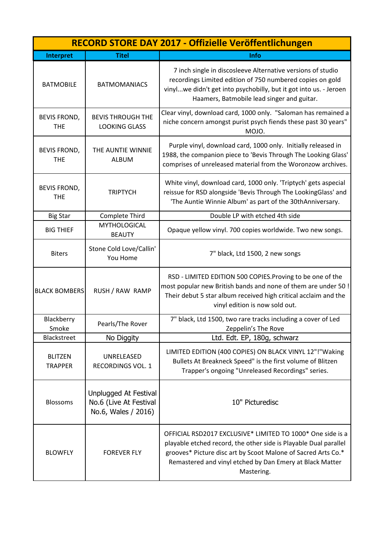| RECORD STORE DAY 2017 - Offizielle Veröffentlichungen |                                                                        |                                                                                                                                                                                                                                                                           |
|-------------------------------------------------------|------------------------------------------------------------------------|---------------------------------------------------------------------------------------------------------------------------------------------------------------------------------------------------------------------------------------------------------------------------|
| Interpret                                             | <b>Titel</b>                                                           | <b>Info</b>                                                                                                                                                                                                                                                               |
| <b>BATMOBILE</b>                                      | <b>BATMOMANIACS</b>                                                    | 7 inch single in discosleeve Alternative versions of studio<br>recordings Limited edition of 750 numbered copies on gold<br>vinylwe didn't get into psychobilly, but it got into us. - Jeroen<br>Haamers, Batmobile lead singer and guitar.                               |
| <b>BEVIS FROND,</b><br><b>THE</b>                     | <b>BEVIS THROUGH THE</b><br><b>LOOKING GLASS</b>                       | Clear vinyl, download card, 1000 only. "Saloman has remained a<br>niche concern amongst purist psych fiends these past 30 years"<br>MOJO.                                                                                                                                 |
| <b>BEVIS FROND,</b><br><b>THE</b>                     | THE AUNTIE WINNIE<br><b>ALBUM</b>                                      | Purple vinyl, download card, 1000 only. Initially released in<br>1988, the companion piece to 'Bevis Through The Looking Glass'<br>comprises of unreleased material from the Woronzow archives.                                                                           |
| <b>BEVIS FROND,</b><br><b>THE</b>                     | <b>TRIPTYCH</b>                                                        | White vinyl, download card, 1000 only. 'Triptych' gets aspecial<br>reissue for RSD alongside 'Bevis Through The LookingGlass' and<br>'The Auntie Winnie Album' as part of the 30thAnniversary.                                                                            |
| <b>Big Star</b>                                       | Complete Third                                                         | Double LP with etched 4th side                                                                                                                                                                                                                                            |
| <b>BIG THIEF</b>                                      | <b>MYTHOLOGICAL</b><br><b>BEAUTY</b>                                   | Opaque yellow vinyl. 700 copies worldwide. Two new songs.                                                                                                                                                                                                                 |
| <b>Biters</b>                                         | Stone Cold Love/Callin'<br>You Home                                    | 7" black, Ltd 1500, 2 new songs                                                                                                                                                                                                                                           |
| <b>BLACK BOMBERS</b>                                  | RUSH / RAW RAMP                                                        | RSD - LIMITED EDITION 500 COPIES. Proving to be one of the<br>most popular new British bands and none of them are under 50 !<br>Their debut 5 star album received high critical acclaim and the<br>vinyl edition is now sold out.                                         |
| Blackberry<br>Smoke                                   | Pearls/The Rover                                                       | 7" black, Ltd 1500, two rare tracks including a cover of Led<br>Zeppelin's The Rove                                                                                                                                                                                       |
| <b>Blackstreet</b>                                    | No Diggity                                                             | Ltd. Edt. EP, 180g, schwarz                                                                                                                                                                                                                                               |
| <b>BLITZEN</b><br><b>TRAPPER</b>                      | UNRELEASED<br><b>RECORDINGS VOL. 1</b>                                 | LIMITED EDITION (400 COPIES) ON BLACK VINYL 12"!"Waking<br>Bullets At Breakneck Speed" is the first volume of Blitzen<br>Trapper's ongoing "Unreleased Recordings" series.                                                                                                |
| <b>Blossoms</b>                                       | Unplugged At Festival<br>No.6 (Live At Festival<br>No.6, Wales / 2016) | 10" Picturedisc                                                                                                                                                                                                                                                           |
| <b>BLOWFLY</b>                                        | <b>FOREVER FLY</b>                                                     | OFFICIAL RSD2017 EXCLUSIVE* LIMITED TO 1000* One side is a<br>playable etched record, the other side is Playable Dual parallel<br>grooves* Picture disc art by Scoot Malone of Sacred Arts Co.*<br>Remastered and vinyl etched by Dan Emery at Black Matter<br>Mastering. |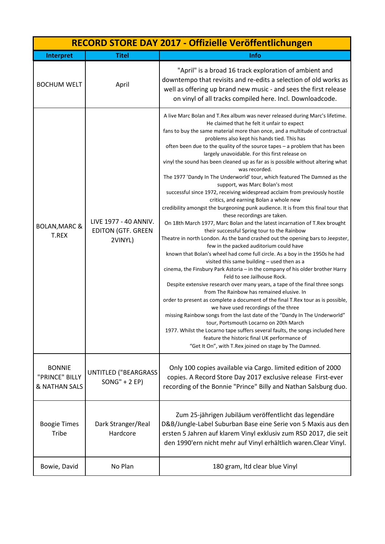| RECORD STORE DAY 2017 - Offizielle Veröffentlichungen       |                                                               |                                                                                                                                                                                                                                                                                                                                                                                                                                                                                                                                                                                                                                                                                                                                                                                                                                                                                                                                                                                                                                                                                                                                                                                                                                                                                                                                                                                                                                                                                                                                                                                                                                                                                                                                                                                                                                                                                                                                              |
|-------------------------------------------------------------|---------------------------------------------------------------|----------------------------------------------------------------------------------------------------------------------------------------------------------------------------------------------------------------------------------------------------------------------------------------------------------------------------------------------------------------------------------------------------------------------------------------------------------------------------------------------------------------------------------------------------------------------------------------------------------------------------------------------------------------------------------------------------------------------------------------------------------------------------------------------------------------------------------------------------------------------------------------------------------------------------------------------------------------------------------------------------------------------------------------------------------------------------------------------------------------------------------------------------------------------------------------------------------------------------------------------------------------------------------------------------------------------------------------------------------------------------------------------------------------------------------------------------------------------------------------------------------------------------------------------------------------------------------------------------------------------------------------------------------------------------------------------------------------------------------------------------------------------------------------------------------------------------------------------------------------------------------------------------------------------------------------------|
| Interpret                                                   | <b>Titel</b>                                                  | Info                                                                                                                                                                                                                                                                                                                                                                                                                                                                                                                                                                                                                                                                                                                                                                                                                                                                                                                                                                                                                                                                                                                                                                                                                                                                                                                                                                                                                                                                                                                                                                                                                                                                                                                                                                                                                                                                                                                                         |
| <b>BOCHUM WELT</b>                                          | April                                                         | "April" is a broad 16 track exploration of ambient and<br>downtempo that revisits and re-edits a selection of old works as<br>well as offering up brand new music - and sees the first release<br>on vinyl of all tracks compiled here. Incl. Downloadcode.                                                                                                                                                                                                                                                                                                                                                                                                                                                                                                                                                                                                                                                                                                                                                                                                                                                                                                                                                                                                                                                                                                                                                                                                                                                                                                                                                                                                                                                                                                                                                                                                                                                                                  |
| <b>BOLAN, MARC &amp;</b><br>T.REX                           | LIVE 1977 - 40 ANNIV.<br><b>EDITON (GTF. GREEN</b><br>2VINYL) | A live Marc Bolan and T.Rex album was never released during Marc's lifetime.<br>He claimed that he felt it unfair to expect<br>fans to buy the same material more than once, and a multitude of contractual<br>problems also kept his hands tied. This has<br>often been due to the quality of the source tapes - a problem that has been<br>largely unavoidable. For this first release on<br>vinyl the sound has been cleaned up as far as is possible without altering what<br>was recorded.<br>The 1977 'Dandy In The Underworld' tour, which featured The Damned as the<br>support, was Marc Bolan's most<br>successful since 1972, receiving widespread acclaim from previously hostile<br>critics, and earning Bolan a whole new<br>credibility amongst the burgeoning punk audience. It is from this final tour that<br>these recordings are taken.<br>On 18th March 1977, Marc Bolan and the latest incarnation of T.Rex brought<br>their successful Spring tour to the Rainbow<br>Theatre in north London. As the band crashed out the opening bars to Jeepster,<br>few in the packed auditorium could have<br>known that Bolan's wheel had come full circle. As a boy in the 1950s he had<br>visited this same building - used then as a<br>cinema, the Finsbury Park Astoria - in the company of his older brother Harry<br>Feld to see Jailhouse Rock.<br>Despite extensive research over many years, a tape of the final three songs<br>from The Rainbow has remained elusive. In<br>order to present as complete a document of the final T.Rex tour as is possible,<br>we have used recordings of the three<br>missing Rainbow songs from the last date of the "Dandy In The Underworld"<br>tour, Portsmouth Locarno on 20th March<br>1977. Whilst the Locarno tape suffers several faults, the songs included here<br>feature the historic final UK performance of<br>"Get It On", with T.Rex joined on stage by The Damned. |
| <b>BONNIE</b><br>"PRINCE" BILLY<br><b>&amp; NATHAN SALS</b> | <b>UNTITLED ("BEARGRASS</b><br>$SONG'' + 2 EP)$               | Only 100 copies available via Cargo. limited edition of 2000<br>copies. A Record Store Day 2017 exclusive release First-ever<br>recording of the Bonnie "Prince" Billy and Nathan Salsburg duo.                                                                                                                                                                                                                                                                                                                                                                                                                                                                                                                                                                                                                                                                                                                                                                                                                                                                                                                                                                                                                                                                                                                                                                                                                                                                                                                                                                                                                                                                                                                                                                                                                                                                                                                                              |
| <b>Boogie Times</b><br>Tribe                                | Dark Stranger/Real<br>Hardcore                                | Zum 25-jährigen Jubiläum veröffentlicht das legendäre<br>D&B/Jungle-Label Suburban Base eine Serie von 5 Maxis aus den<br>ersten 5 Jahren auf klarem Vinyl exklusiv zum RSD 2017, die seit<br>den 1990'ern nicht mehr auf Vinyl erhältlich waren. Clear Vinyl.                                                                                                                                                                                                                                                                                                                                                                                                                                                                                                                                                                                                                                                                                                                                                                                                                                                                                                                                                                                                                                                                                                                                                                                                                                                                                                                                                                                                                                                                                                                                                                                                                                                                               |
| Bowie, David                                                | No Plan                                                       | 180 gram, Itd clear blue Vinyl                                                                                                                                                                                                                                                                                                                                                                                                                                                                                                                                                                                                                                                                                                                                                                                                                                                                                                                                                                                                                                                                                                                                                                                                                                                                                                                                                                                                                                                                                                                                                                                                                                                                                                                                                                                                                                                                                                               |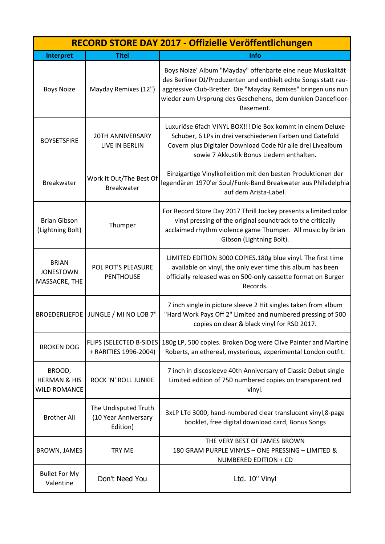|                                                          | RECORD STORE DAY 2017 - Offizielle Veröffentlichungen    |                                                                                                                                                                                                                                                                             |  |
|----------------------------------------------------------|----------------------------------------------------------|-----------------------------------------------------------------------------------------------------------------------------------------------------------------------------------------------------------------------------------------------------------------------------|--|
| Interpret                                                | <b>Titel</b>                                             | <b>Info</b>                                                                                                                                                                                                                                                                 |  |
| <b>Boys Noize</b>                                        | Mayday Remixes (12")                                     | Boys Noize' Album "Mayday" offenbarte eine neue Musikalität<br>des Berliner DJ/Produzenten und enthielt echte Songs statt rau-<br>aggressive Club-Bretter. Die "Mayday Remixes" bringen uns nun<br>wieder zum Ursprung des Geschehens, dem dunklen Dancefloor-<br>Basement. |  |
| <b>BOYSETSFIRE</b>                                       | <b>20TH ANNIVERSARY</b><br>LIVE IN BERLIN                | Luxuriöse 6fach VINYL BOX!!! Die Box kommt in einem Deluxe<br>Schuber, 6 LPs in drei verschiedenen Farben und Gatefold<br>Covern plus Digitaler Download Code für alle drei Livealbum<br>sowie 7 Akkustik Bonus Liedern enthalten.                                          |  |
| <b>Breakwater</b>                                        | Work It Out/The Best Of<br><b>Breakwater</b>             | Einzigartige Vinylkollektion mit den besten Produktionen der<br>legendären 1970'er Soul/Funk-Band Breakwater aus Philadelphia<br>auf dem Arista-Label.                                                                                                                      |  |
| <b>Brian Gibson</b><br>(Lightning Bolt)                  | Thumper                                                  | For Record Store Day 2017 Thrill Jockey presents a limited color<br>vinyl pressing of the original soundtrack to the critically<br>acclaimed rhythm violence game Thumper. All music by Brian<br>Gibson (Lightning Bolt).                                                   |  |
| <b>BRIAN</b><br><b>JONESTOWN</b><br>MASSACRE, THE        | POL POT'S PLEASURE<br><b>PENTHOUSE</b>                   | LIMITED EDITION 3000 COPIES.180g blue vinyl. The first time<br>available on vinyl, the only ever time this album has been<br>officially released was on 500-only cassette format on Burger<br>Records.                                                                      |  |
|                                                          | BROEDERLIEFDE JUNGLE / MI NO LOB 7"                      | 7 inch single in picture sleeve 2 Hit singles taken from album<br>"Hard Work Pays Off 2" Limited and numbered pressing of 500<br>copies on clear & black vinyl for RSD 2017.                                                                                                |  |
| <b>BROKEN DOG</b>                                        | <b>FLIPS (SELECTED B-SIDES)</b><br>+ RARITIES 1996-2004) | 180g LP, 500 copies. Broken Dog were Clive Painter and Martine<br>Roberts, an ethereal, mysterious, experimental London outfit.                                                                                                                                             |  |
| BROOD,<br><b>HERMAN &amp; HIS</b><br><b>WILD ROMANCE</b> | <b>ROCK 'N' ROLL JUNKIE</b>                              | 7 inch in discosleeve 40th Anniversary of Classic Debut single<br>Limited edition of 750 numbered copies on transparent red<br>vinyl.                                                                                                                                       |  |
| <b>Brother Ali</b>                                       | The Undisputed Truth<br>(10 Year Anniversary<br>Edition) | 3xLP LTd 3000, hand-numbered clear translucent vinyl, 8-page<br>booklet, free digital download card, Bonus Songs                                                                                                                                                            |  |
| <b>BROWN, JAMES</b>                                      | <b>TRY ME</b>                                            | THE VERY BEST OF JAMES BROWN<br>180 GRAM PURPLE VINYLS - ONE PRESSING - LIMITED &<br>NUMBERED EDITION + CD                                                                                                                                                                  |  |
| <b>Bullet For My</b><br>Valentine                        | Don't Need You                                           | Ltd. 10" Vinyl                                                                                                                                                                                                                                                              |  |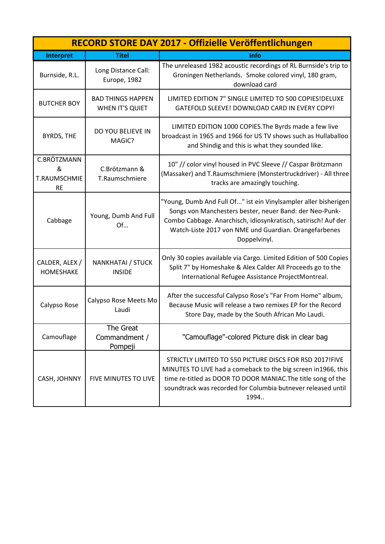| RECORD STORE DAY 2017 - Offizielle Veröffentlichungen |                                                    |                                                                                                                                                                                                                                                                       |
|-------------------------------------------------------|----------------------------------------------------|-----------------------------------------------------------------------------------------------------------------------------------------------------------------------------------------------------------------------------------------------------------------------|
| Interpret                                             | <b>Titel</b>                                       | <b>Info</b>                                                                                                                                                                                                                                                           |
| Burnside, R.L.                                        | Long Distance Call:<br>Europe, 1982                | The unreleased 1982 acoustic recordings of RL Burnside's trip to<br>Groningen Netherlands. Smoke colored vinyl, 180 gram,<br>download card                                                                                                                            |
| <b>BUTCHER BOY</b>                                    | <b>BAD THINGS HAPPEN</b><br><b>WHEN IT'S QUIET</b> | LIMITED EDITION 7" SINGLE LIMITED TO 500 COPIES!DELUXE<br>GATEFOLD SLEEVE! DOWNLOAD CARD IN EVERY COPY!                                                                                                                                                               |
| <b>BYRDS, THE</b>                                     | DO YOU BELIEVE IN<br>MAGIC?                        | LIMITED EDITION 1000 COPIES. The Byrds made a few live<br>broadcast in 1965 and 1966 for US TV shows such as Hullaballoo<br>and Shindig and this is what they sounded like.                                                                                           |
| C.BRÖTZMANN<br>&<br>T.RAUMSCHMIE<br><b>RE</b>         | C.Brötzmann &<br>T.Raumschmiere                    | 10" // color vinyl housed in PVC Sleeve // Caspar Brötzmann<br>(Massaker) and T.Raumschmiere (Monstertruckdriver) - All three<br>tracks are amazingly touching.                                                                                                       |
| Cabbage                                               | Young, Dumb And Full<br>Of                         | "Young, Dumb And Full Of" ist ein Vinylsampler aller bisherigen<br>Songs von Manchesters bester, neuer Band: der Neo-Punk-<br>Combo Cabbage. Anarchisch, idiosynkratisch, satirisch! Auf der<br>Watch-Liste 2017 von NME und Guardian. Orangefarbenes<br>Doppelvinyl. |
| CALDER, ALEX /<br><b>HOMESHAKE</b>                    | NANKHATAI / STUCK<br><b>INSIDE</b>                 | Only 30 copies available via Cargo. Limited Edition of 500 Copies<br>Split 7" by Homeshake & Alex Calder All Proceeds go to the<br>International Refugee Assistance ProjectMontreal.                                                                                  |
| Calypso Rose                                          | Calypso Rose Meets Mo<br>Laudi                     | After the successful Calypso Rose's "Far From Home" album,<br>Because Music will release a two remixes EP for the Record<br>Store Day, made by the South African Mo Laudi.                                                                                            |
| Camouflage                                            | The Great<br>Commandment /<br>Pompeji              | "Camouflage"-colored Picture disk in clear bag                                                                                                                                                                                                                        |
| CASH, JOHNNY                                          | FIVE MINUTES TO LIVE                               | STRICTLY LIMITED TO 550 PICTURE DISCS FOR RSD 2017!FIVE<br>MINUTES TO LIVE had a comeback to the big screen in1966, this<br>time re-titled as DOOR TO DOOR MANIAC. The title song of the<br>soundtrack was recorded for Columbia butnever released until<br>1994      |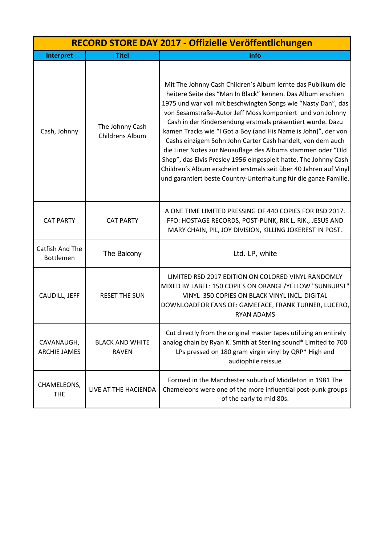|                                     | RECORD STORE DAY 2017 - Offizielle Veröffentlichungen |                                                                                                                                                                                                                                                                                                                                                                                                                                                                                                                                                                                                                                                                                                                                     |  |
|-------------------------------------|-------------------------------------------------------|-------------------------------------------------------------------------------------------------------------------------------------------------------------------------------------------------------------------------------------------------------------------------------------------------------------------------------------------------------------------------------------------------------------------------------------------------------------------------------------------------------------------------------------------------------------------------------------------------------------------------------------------------------------------------------------------------------------------------------------|--|
| Interpret                           | <b>Titel</b>                                          | Info                                                                                                                                                                                                                                                                                                                                                                                                                                                                                                                                                                                                                                                                                                                                |  |
| Cash, Johnny                        | The Johnny Cash<br><b>Childrens Album</b>             | Mit The Johnny Cash Children's Album lernte das Publikum die<br>heitere Seite des "Man In Black" kennen. Das Album erschien<br>1975 und war voll mit beschwingten Songs wie "Nasty Dan", das<br>von Sesamstraße-Autor Jeff Moss komponiert und von Johnny<br>Cash in der Kindersendung erstmals präsentiert wurde. Dazu<br>kamen Tracks wie "I Got a Boy (and His Name is John)", der von<br>Cashs einzigem Sohn John Carter Cash handelt, von dem auch<br>die Liner Notes zur Neuauflage des Albums stammen oder "Old<br>Shep", das Elvis Presley 1956 eingespielt hatte. The Johnny Cash<br>Children's Album erscheint erstmals seit über 40 Jahren auf Vinyl<br>und garantiert beste Country-Unterhaltung für die ganze Familie. |  |
| <b>CAT PARTY</b>                    | <b>CAT PARTY</b>                                      | A ONE TIME LIMITED PRESSING OF 440 COPIES FOR RSD 2017.<br>FFO: HOSTAGE RECORDS, POST-PUNK, RIK L. RIK., JESUS AND<br>MARY CHAIN, PIL, JOY DIVISION, KILLING JOKEREST IN POST.                                                                                                                                                                                                                                                                                                                                                                                                                                                                                                                                                      |  |
| Catfish And The<br><b>Bottlemen</b> | The Balcony                                           | Ltd. LP, white                                                                                                                                                                                                                                                                                                                                                                                                                                                                                                                                                                                                                                                                                                                      |  |
| CAUDILL, JEFF                       | <b>RESET THE SUN</b>                                  | LIMITED RSD 2017 EDITION ON COLORED VINYL RANDOMLY<br>MIXED BY LABEL: 150 COPIES ON ORANGE/YELLOW "SUNBURST"<br>VINYL 350 COPIES ON BLACK VINYL INCL. DIGITAL<br>DOWNLOADFOR FANS OF: GAMEFACE, FRANK TURNER, LUCERO,<br><b>RYAN ADAMS</b>                                                                                                                                                                                                                                                                                                                                                                                                                                                                                          |  |
| CAVANAUGH,<br><b>ARCHIE JAMES</b>   | <b>BLACK AND WHITE</b><br><b>RAVEN</b>                | Cut directly from the original master tapes utilizing an entirely<br>analog chain by Ryan K. Smith at Sterling sound* Limited to 700<br>LPs pressed on 180 gram virgin vinyl by QRP* High end<br>audiophile reissue                                                                                                                                                                                                                                                                                                                                                                                                                                                                                                                 |  |
| CHAMELEONS,<br><b>THE</b>           | LIVE AT THE HACIENDA                                  | Formed in the Manchester suburb of Middleton in 1981 The<br>Chameleons were one of the more influential post-punk groups<br>of the early to mid 80s.                                                                                                                                                                                                                                                                                                                                                                                                                                                                                                                                                                                |  |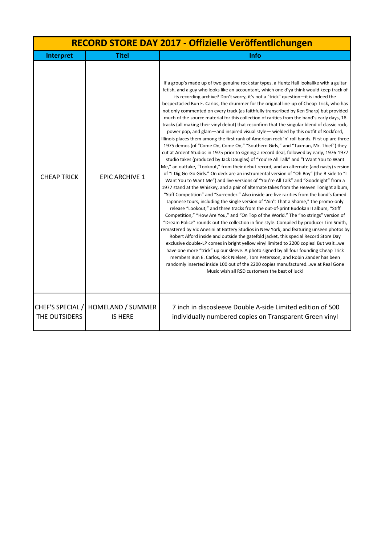|                                   | RECORD STORE DAY 2017 - Offizielle Veröffentlichungen |                                                                                                                                                                                                                                                                                                                                                                                                                                                                                                                                                                                                                                                                                                                                                                                                                                                                                                                                                                                                                                                                                                                                                                                                                                                                                                                                                                                                                                                                                                                                                                                                                                                                                                                                                                                                                                                                                                                                                                                                                                                                                                                                                                                                                                                                                                                                                                                                                                                                                                                                                                    |  |
|-----------------------------------|-------------------------------------------------------|--------------------------------------------------------------------------------------------------------------------------------------------------------------------------------------------------------------------------------------------------------------------------------------------------------------------------------------------------------------------------------------------------------------------------------------------------------------------------------------------------------------------------------------------------------------------------------------------------------------------------------------------------------------------------------------------------------------------------------------------------------------------------------------------------------------------------------------------------------------------------------------------------------------------------------------------------------------------------------------------------------------------------------------------------------------------------------------------------------------------------------------------------------------------------------------------------------------------------------------------------------------------------------------------------------------------------------------------------------------------------------------------------------------------------------------------------------------------------------------------------------------------------------------------------------------------------------------------------------------------------------------------------------------------------------------------------------------------------------------------------------------------------------------------------------------------------------------------------------------------------------------------------------------------------------------------------------------------------------------------------------------------------------------------------------------------------------------------------------------------------------------------------------------------------------------------------------------------------------------------------------------------------------------------------------------------------------------------------------------------------------------------------------------------------------------------------------------------------------------------------------------------------------------------------------------------|--|
| Interpret                         | <b>Titel</b>                                          | Info                                                                                                                                                                                                                                                                                                                                                                                                                                                                                                                                                                                                                                                                                                                                                                                                                                                                                                                                                                                                                                                                                                                                                                                                                                                                                                                                                                                                                                                                                                                                                                                                                                                                                                                                                                                                                                                                                                                                                                                                                                                                                                                                                                                                                                                                                                                                                                                                                                                                                                                                                               |  |
| <b>CHEAP TRICK</b>                | <b>EPIC ARCHIVE 1</b>                                 | If a group's made up of two genuine rock star types, a Huntz Hall lookalike with a guitar<br>fetish, and a guy who looks like an accountant, which one d'ya think would keep track of<br>its recording archive? Don't worry, it's not a "trick" question-it is indeed the<br>bespectacled Bun E. Carlos, the drummer for the original line-up of Cheap Trick, who has<br>not only commented on every track (as faithfully transcribed by Ken Sharp) but provided<br>much of the source material for this collection of rarities from the band's early days, 18<br>tracks (all making their vinyl debut) that reconfirm that the singular blend of classic rock,<br>power pop, and glam—and inspired visual style— wielded by this outfit of Rockford,<br>Illinois places them among the first rank of American rock 'n' roll bands. First up are three<br>1975 demos (of "Come On, Come On," "Southern Girls," and "Taxman, Mr. Thief") they<br>cut at Ardent Studios in 1975 prior to signing a record deal, followed by early, 1976-1977<br>studio takes (produced by Jack Douglas) of "You're All Talk" and "I Want You to Want<br>Me," an outtake, "Lookout," from their debut record, and an alternate (and nasty) version<br>of "I Dig Go-Go Girls." On deck are an instrumental version of "Oh Boy" (the B-side to "I<br>Want You to Want Me") and live versions of "You're All Talk" and "Goodnight" from a<br>1977 stand at the Whiskey, and a pair of alternate takes from the Heaven Tonight album,<br>"Stiff Competition" and "Surrender." Also inside are five rarities from the band's famed<br>Japanese tours, including the single version of "Ain't That a Shame," the promo-only<br>release "Lookout," and three tracks from the out-of-print Budokan II album, "Stiff<br>Competition," "How Are You," and "On Top of the World." The "no strings" version of<br>"Dream Police" rounds out the collection in fine style. Compiled by producer Tim Smith,<br>remastered by Vic Anesini at Battery Studios in New York, and featuring unseen photos by<br>Robert Alford inside and outside the gatefold jacket, this special Record Store Day<br>exclusive double-LP comes in bright yellow vinyl limited to 2200 copies! But waitwe<br>have one more "trick" up our sleeve. A photo signed by all four founding Cheap Trick<br>members Bun E. Carlos, Rick Nielsen, Tom Petersson, and Robin Zander has been<br>randomly inserted inside 100 out of the 2200 copies manufacturedwe at Real Gone<br>Music wish all RSD customers the best of luck! |  |
| CHEF'S SPECIAL /<br>THE OUTSIDERS | HOMELAND / SUMMER<br><b>IS HERE</b>                   | 7 inch in discosleeve Double A-side Limited edition of 500<br>individually numbered copies on Transparent Green vinyl                                                                                                                                                                                                                                                                                                                                                                                                                                                                                                                                                                                                                                                                                                                                                                                                                                                                                                                                                                                                                                                                                                                                                                                                                                                                                                                                                                                                                                                                                                                                                                                                                                                                                                                                                                                                                                                                                                                                                                                                                                                                                                                                                                                                                                                                                                                                                                                                                                              |  |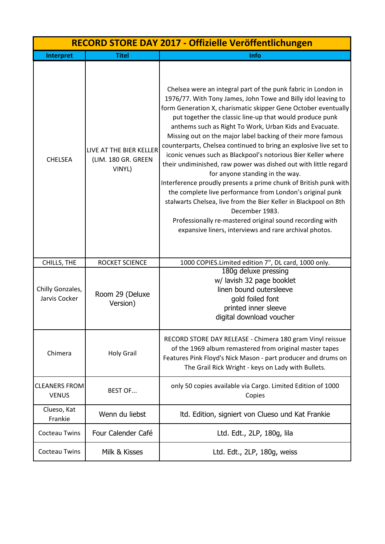| RECORD STORE DAY 2017 - Offizielle Veröffentlichungen |                                                          |                                                                                                                                                                                                                                                                                                                                                                                                                                                                                                                                                                                                                                                                                                                                                                                                                                                                                                                                                                                 |
|-------------------------------------------------------|----------------------------------------------------------|---------------------------------------------------------------------------------------------------------------------------------------------------------------------------------------------------------------------------------------------------------------------------------------------------------------------------------------------------------------------------------------------------------------------------------------------------------------------------------------------------------------------------------------------------------------------------------------------------------------------------------------------------------------------------------------------------------------------------------------------------------------------------------------------------------------------------------------------------------------------------------------------------------------------------------------------------------------------------------|
| <b>Interpret</b>                                      | <b>Titel</b>                                             | Info                                                                                                                                                                                                                                                                                                                                                                                                                                                                                                                                                                                                                                                                                                                                                                                                                                                                                                                                                                            |
| <b>CHELSEA</b>                                        | LIVE AT THE BIER KELLER<br>(LIM. 180 GR. GREEN<br>VINYL) | Chelsea were an integral part of the punk fabric in London in<br>1976/77. With Tony James, John Towe and Billy idol leaving to<br>form Generation X, charismatic skipper Gene October eventually<br>put together the classic line-up that would produce punk<br>anthems such as Right To Work, Urban Kids and Evacuate.<br>Missing out on the major label backing of their more famous<br>counterparts, Chelsea continued to bring an explosive live set to<br>iconic venues such as Blackpool's notorious Bier Keller where<br>their undiminished, raw power was dished out with little regard<br>for anyone standing in the way.<br>Interference proudly presents a prime chunk of British punk with<br>the complete live performance from London's original punk<br>stalwarts Chelsea, live from the Bier Keller in Blackpool on 8th<br>December 1983.<br>Professionally re-mastered original sound recording with<br>expansive liners, interviews and rare archival photos. |
| CHILLS, THE                                           | ROCKET SCIENCE                                           | 1000 COPIES.Limited edition 7", DL card, 1000 only.                                                                                                                                                                                                                                                                                                                                                                                                                                                                                                                                                                                                                                                                                                                                                                                                                                                                                                                             |
| Chilly Gonzales,<br>Jarvis Cocker                     | Room 29 (Deluxe<br>Version)                              | 180g deluxe pressing<br>w/ lavish 32 page booklet<br>linen bound outersleeve<br>gold foiled font<br>printed inner sleeve<br>digital download voucher                                                                                                                                                                                                                                                                                                                                                                                                                                                                                                                                                                                                                                                                                                                                                                                                                            |
| Chimera                                               | <b>Holy Grail</b>                                        | RECORD STORE DAY RELEASE - Chimera 180 gram Vinyl reissue<br>of the 1969 album remastered from original master tapes<br>Features Pink Floyd's Nick Mason - part producer and drums on<br>The Grail Rick Wright - keys on Lady with Bullets.                                                                                                                                                                                                                                                                                                                                                                                                                                                                                                                                                                                                                                                                                                                                     |
| <b>CLEANERS FROM</b><br><b>VENUS</b>                  | <b>BEST OF</b>                                           | only 50 copies available via Cargo. Limited Edition of 1000<br>Copies                                                                                                                                                                                                                                                                                                                                                                                                                                                                                                                                                                                                                                                                                                                                                                                                                                                                                                           |
| Clueso, Kat<br>Frankie                                | Wenn du liebst                                           | Itd. Edition, signiert von Clueso und Kat Frankie                                                                                                                                                                                                                                                                                                                                                                                                                                                                                                                                                                                                                                                                                                                                                                                                                                                                                                                               |
| <b>Cocteau Twins</b>                                  | Four Calender Café                                       | Ltd. Edt., 2LP, 180g, lila                                                                                                                                                                                                                                                                                                                                                                                                                                                                                                                                                                                                                                                                                                                                                                                                                                                                                                                                                      |
| <b>Cocteau Twins</b>                                  | Milk & Kisses                                            | Ltd. Edt., 2LP, 180g, weiss                                                                                                                                                                                                                                                                                                                                                                                                                                                                                                                                                                                                                                                                                                                                                                                                                                                                                                                                                     |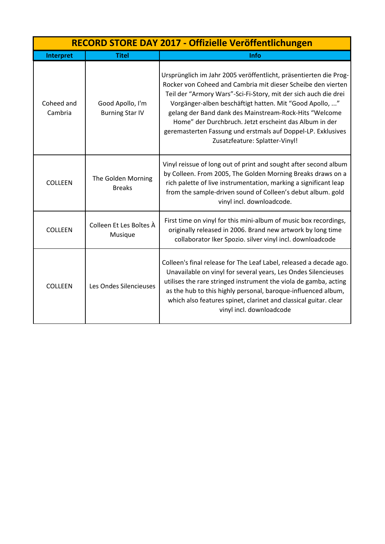| RECORD STORE DAY 2017 - Offizielle Veröffentlichungen |                                            |                                                                                                                                                                                                                                                                                                                                                                                                                                                                                       |
|-------------------------------------------------------|--------------------------------------------|---------------------------------------------------------------------------------------------------------------------------------------------------------------------------------------------------------------------------------------------------------------------------------------------------------------------------------------------------------------------------------------------------------------------------------------------------------------------------------------|
| Interpret                                             | <b>Titel</b>                               | <b>Info</b>                                                                                                                                                                                                                                                                                                                                                                                                                                                                           |
| Coheed and<br>Cambria                                 | Good Apollo, I'm<br><b>Burning Star IV</b> | Ursprünglich im Jahr 2005 veröffentlicht, präsentierten die Prog-<br>Rocker von Coheed and Cambria mit dieser Scheibe den vierten<br>Teil der "Armory Wars"-Sci-Fi-Story, mit der sich auch die drei<br>Vorgänger-alben beschäftigt hatten. Mit "Good Apollo, "<br>gelang der Band dank des Mainstream-Rock-Hits "Welcome<br>Home" der Durchbruch. Jetzt erscheint das Album in der<br>geremasterten Fassung und erstmals auf Doppel-LP. Exklusives<br>Zusatzfeature: Splatter-Vinyl! |
| <b>COLLEEN</b>                                        | The Golden Morning<br><b>Breaks</b>        | Vinyl reissue of long out of print and sought after second album<br>by Colleen. From 2005, The Golden Morning Breaks draws on a<br>rich palette of live instrumentation, marking a significant leap<br>from the sample-driven sound of Colleen's debut album. gold<br>vinyl incl. downloadcode.                                                                                                                                                                                       |
| <b>COLLEEN</b>                                        | Colleen Et Les Boîtes À<br>Musique         | First time on vinyl for this mini-album of music box recordings,<br>originally released in 2006. Brand new artwork by long time<br>collaborator Iker Spozio. silver vinyl incl. downloadcode                                                                                                                                                                                                                                                                                          |
| <b>COLLEEN</b>                                        | Les Ondes Silencieuses                     | Colleen's final release for The Leaf Label, released a decade ago.<br>Unavailable on vinyl for several years, Les Ondes Silencieuses<br>utilises the rare stringed instrument the viola de gamba, acting<br>as the hub to this highly personal, baroque-influenced album,<br>which also features spinet, clarinet and classical guitar. clear<br>vinyl incl. downloadcode                                                                                                             |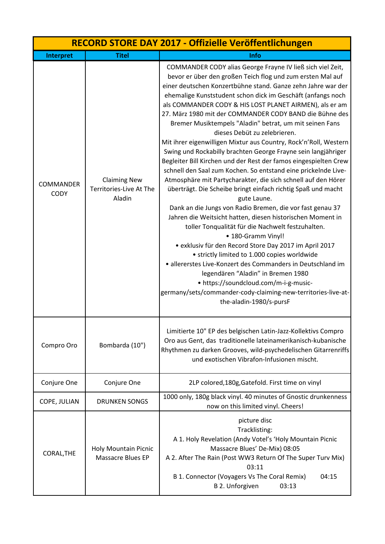|                                 |                                                          | RECORD STORE DAY 2017 - Offizielle Veröffentlichungen                                                                                                                                                                                                                                                                                                                                                                                                                                                                                                                                                                                                                                                                                                                                                                                                                                                                                                                                                                                                                                                                                                                                                                                                                                                                                                                                                                                                         |
|---------------------------------|----------------------------------------------------------|---------------------------------------------------------------------------------------------------------------------------------------------------------------------------------------------------------------------------------------------------------------------------------------------------------------------------------------------------------------------------------------------------------------------------------------------------------------------------------------------------------------------------------------------------------------------------------------------------------------------------------------------------------------------------------------------------------------------------------------------------------------------------------------------------------------------------------------------------------------------------------------------------------------------------------------------------------------------------------------------------------------------------------------------------------------------------------------------------------------------------------------------------------------------------------------------------------------------------------------------------------------------------------------------------------------------------------------------------------------------------------------------------------------------------------------------------------------|
| Interpret                       | <b>Titel</b>                                             | <b>Info</b>                                                                                                                                                                                                                                                                                                                                                                                                                                                                                                                                                                                                                                                                                                                                                                                                                                                                                                                                                                                                                                                                                                                                                                                                                                                                                                                                                                                                                                                   |
| <b>COMMANDER</b><br><b>CODY</b> | <b>Claiming New</b><br>Territories-Live At The<br>Aladin | COMMANDER CODY alias George Frayne IV ließ sich viel Zeit,<br>bevor er über den großen Teich flog und zum ersten Mal auf<br>einer deutschen Konzertbühne stand. Ganze zehn Jahre war der<br>ehemalige Kunststudent schon dick im Geschäft (anfangs noch<br>als COMMANDER CODY & HIS LOST PLANET AIRMEN), als er am<br>27. März 1980 mit der COMMANDER CODY BAND die Bühne des<br>Bremer Musiktempels "Aladin" betrat, um mit seinen Fans<br>dieses Debüt zu zelebrieren.<br>Mit ihrer eigenwilligen Mixtur aus Country, Rock'n'Roll, Western<br>Swing und Rockabilly brachten George Frayne sein langjähriger<br>Begleiter Bill Kirchen und der Rest der famos eingespielten Crew<br>schnell den Saal zum Kochen. So entstand eine prickelnde Live-<br>Atmosphäre mit Partycharakter, die sich schnell auf den Hörer<br>überträgt. Die Scheibe bringt einfach richtig Spaß und macht<br>gute Laune.<br>Dank an die Jungs von Radio Bremen, die vor fast genau 37<br>Jahren die Weitsicht hatten, diesen historischen Moment in<br>toller Tonqualität für die Nachwelt festzuhalten.<br>• 180-Gramm Vinyl!<br>• exklusiv für den Record Store Day 2017 im April 2017<br>• strictly limited to 1.000 copies worldwide<br>• allererstes Live-Konzert des Commanders in Deutschland im<br>legendären "Aladin" in Bremen 1980<br>• https://soundcloud.com/m-i-g-music-<br>germany/sets/commander-cody-claiming-new-territories-live-at-<br>the-aladin-1980/s-pursF |
| Compro Oro                      | Bombarda (10")                                           | Limitierte 10" EP des belgischen Latin-Jazz-Kollektivs Compro<br>Oro aus Gent, das traditionelle lateinamerikanisch-kubanische<br>Rhythmen zu darken Grooves, wild-psychedelischen Gitarrenriffs<br>und exotischen Vibrafon-Infusionen mischt.                                                                                                                                                                                                                                                                                                                                                                                                                                                                                                                                                                                                                                                                                                                                                                                                                                                                                                                                                                                                                                                                                                                                                                                                                |
| Conjure One                     | Conjure One                                              | 2LP colored, 180g, Gatefold. First time on vinyl                                                                                                                                                                                                                                                                                                                                                                                                                                                                                                                                                                                                                                                                                                                                                                                                                                                                                                                                                                                                                                                                                                                                                                                                                                                                                                                                                                                                              |
| COPE, JULIAN                    | <b>DRUNKEN SONGS</b>                                     | 1000 only, 180g black vinyl. 40 minutes of Gnostic drunkenness<br>now on this limited vinyl. Cheers!                                                                                                                                                                                                                                                                                                                                                                                                                                                                                                                                                                                                                                                                                                                                                                                                                                                                                                                                                                                                                                                                                                                                                                                                                                                                                                                                                          |
| CORAL, THE                      | <b>Holy Mountain Picnic</b><br><b>Massacre Blues EP</b>  | picture disc<br>Tracklisting:<br>A 1. Holy Revelation (Andy Votel's 'Holy Mountain Picnic<br>Massacre Blues' De-Mix) 08:05<br>A 2. After The Rain (Post WW3 Return Of The Super Turv Mix)<br>03:11<br>B 1. Connector (Voyagers Vs The Coral Remix)<br>04:15<br><b>B 2. Unforgiven</b><br>03:13                                                                                                                                                                                                                                                                                                                                                                                                                                                                                                                                                                                                                                                                                                                                                                                                                                                                                                                                                                                                                                                                                                                                                                |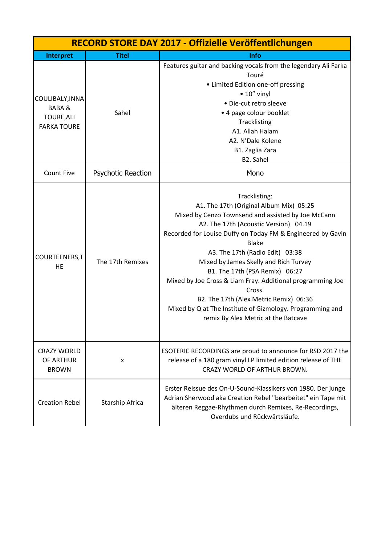|                       |                    | RECORD STORE DAY 2017 - Offizielle Veröffentlichungen           |
|-----------------------|--------------------|-----------------------------------------------------------------|
| Interpret             | <b>Titel</b>       | <b>Info</b>                                                     |
|                       |                    | Features guitar and backing vocals from the legendary Ali Farka |
|                       |                    | Touré                                                           |
|                       |                    | • Limited Edition one-off pressing                              |
| COULIBALY, INNA       |                    | $\bullet$ 10" vinyl                                             |
| <b>BABA&amp;</b>      |                    | · Die-cut retro sleeve                                          |
| <b>TOURE, ALI</b>     | Sahel              | • 4 page colour booklet                                         |
| <b>FARKA TOURE</b>    |                    | Tracklisting                                                    |
|                       |                    | A1. Allah Halam                                                 |
|                       |                    | A2. N'Dale Kolene                                               |
|                       |                    | B1. Zaglia Zara                                                 |
|                       |                    | B2. Sahel                                                       |
| <b>Count Five</b>     | Psychotic Reaction | Mono                                                            |
|                       |                    | Tracklisting:                                                   |
|                       |                    | A1. The 17th (Original Album Mix) 05:25                         |
|                       |                    | Mixed by Cenzo Townsend and assisted by Joe McCann              |
|                       |                    | A2. The 17th (Acoustic Version) 04.19                           |
|                       |                    | Recorded for Louise Duffy on Today FM & Engineered by Gavin     |
|                       |                    | <b>Blake</b>                                                    |
|                       |                    | A3. The 17th (Radio Edit) 03:38                                 |
| COURTEENERS, T        | The 17th Remixes   | Mixed by James Skelly and Rich Turvey                           |
| <b>HE</b>             |                    | B1. The 17th (PSA Remix) 06:27                                  |
|                       |                    | Mixed by Joe Cross & Liam Fray. Additional programming Joe      |
|                       |                    | Cross.                                                          |
|                       |                    | B2. The 17th (Alex Metric Remix) 06:36                          |
|                       |                    | Mixed by Q at The Institute of Gizmology. Programming and       |
|                       |                    | remix By Alex Metric at the Batcave                             |
|                       |                    |                                                                 |
| <b>CRAZY WORLD</b>    |                    | ESOTERIC RECORDINGS are proud to announce for RSD 2017 the      |
| OF ARTHUR             | x                  | release of a 180 gram vinyl LP limited edition release of THE   |
| <b>BROWN</b>          |                    | CRAZY WORLD OF ARTHUR BROWN.                                    |
|                       |                    | Erster Reissue des On-U-Sound-Klassikers von 1980. Der junge    |
| <b>Creation Rebel</b> | Starship Africa    | Adrian Sherwood aka Creation Rebel "bearbeitet" ein Tape mit    |
|                       |                    | älteren Reggae-Rhythmen durch Remixes, Re-Recordings,           |
|                       |                    | Overdubs und Rückwärtsläufe.                                    |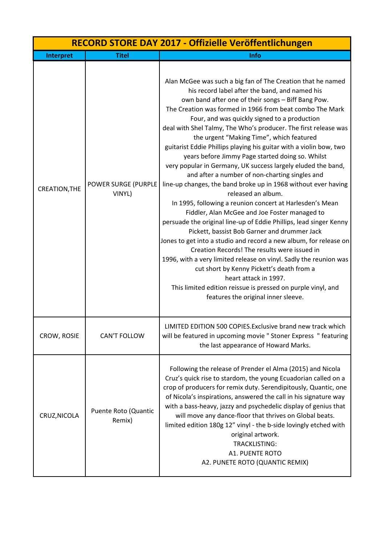|                      | RECORD STORE DAY 2017 - Offizielle Veröffentlichungen |                                                                                                                                                                                                                                                                                                                                                                                                                                                                                                                                                                                                                                                                                                                                                                                                                                                                                                                                                                                                                                                                                                                                                                                                                                                                                                                                              |  |
|----------------------|-------------------------------------------------------|----------------------------------------------------------------------------------------------------------------------------------------------------------------------------------------------------------------------------------------------------------------------------------------------------------------------------------------------------------------------------------------------------------------------------------------------------------------------------------------------------------------------------------------------------------------------------------------------------------------------------------------------------------------------------------------------------------------------------------------------------------------------------------------------------------------------------------------------------------------------------------------------------------------------------------------------------------------------------------------------------------------------------------------------------------------------------------------------------------------------------------------------------------------------------------------------------------------------------------------------------------------------------------------------------------------------------------------------|--|
| <b>Interpret</b>     | <b>Titel</b>                                          | Info                                                                                                                                                                                                                                                                                                                                                                                                                                                                                                                                                                                                                                                                                                                                                                                                                                                                                                                                                                                                                                                                                                                                                                                                                                                                                                                                         |  |
| <b>CREATION, THE</b> | POWER SURGE (PURPLE<br>VINYL)                         | Alan McGee was such a big fan of The Creation that he named<br>his record label after the band, and named his<br>own band after one of their songs - Biff Bang Pow.<br>The Creation was formed in 1966 from beat combo The Mark<br>Four, and was quickly signed to a production<br>deal with Shel Talmy, The Who's producer. The first release was<br>the urgent "Making Time", which featured<br>guitarist Eddie Phillips playing his guitar with a violin bow, two<br>years before Jimmy Page started doing so. Whilst<br>very popular in Germany, UK success largely eluded the band,<br>and after a number of non-charting singles and<br>line-up changes, the band broke up in 1968 without ever having<br>released an album.<br>In 1995, following a reunion concert at Harlesden's Mean<br>Fiddler, Alan McGee and Joe Foster managed to<br>persuade the original line-up of Eddie Phillips, lead singer Kenny<br>Pickett, bassist Bob Garner and drummer Jack<br>Jones to get into a studio and record a new album, for release on<br>Creation Records! The results were issued in<br>1996, with a very limited release on vinyl. Sadly the reunion was<br>cut short by Kenny Pickett's death from a<br>heart attack in 1997.<br>This limited edition reissue is pressed on purple vinyl, and<br>features the original inner sleeve. |  |
| CROW, ROSIE          | <b>CAN'T FOLLOW</b>                                   | LIMITED EDITION 500 COPIES. Exclusive brand new track which<br>will be featured in upcoming movie " Stoner Express " featuring<br>the last appearance of Howard Marks.                                                                                                                                                                                                                                                                                                                                                                                                                                                                                                                                                                                                                                                                                                                                                                                                                                                                                                                                                                                                                                                                                                                                                                       |  |
| CRUZ, NICOLA         | Puente Roto (Quantic<br>Remix)                        | Following the release of Prender el Alma (2015) and Nicola<br>Cruz's quick rise to stardom, the young Ecuadorian called on a<br>crop of producers for remix duty. Serendipitously, Quantic, one<br>of Nicola's inspirations, answered the call in his signature way<br>with a bass-heavy, jazzy and psychedelic display of genius that<br>will move any dance-floor that thrives on Global beats.<br>limited edition 180g 12" vinyl - the b-side lovingly etched with<br>original artwork.<br><b>TRACKLISTING:</b><br><b>A1. PUENTE ROTO</b><br>A2. PUNETE ROTO (QUANTIC REMIX)                                                                                                                                                                                                                                                                                                                                                                                                                                                                                                                                                                                                                                                                                                                                                              |  |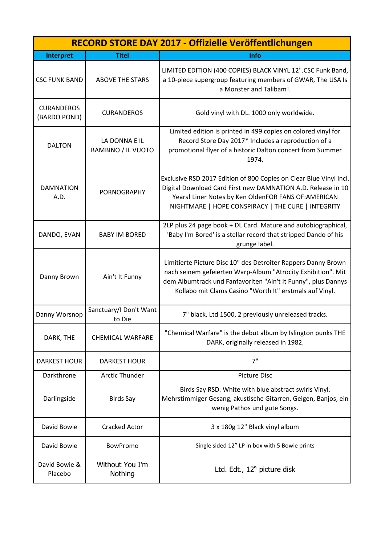| RECORD STORE DAY 2017 - Offizielle Veröffentlichungen |                                            |                                                                                                                                                                                                                                                           |
|-------------------------------------------------------|--------------------------------------------|-----------------------------------------------------------------------------------------------------------------------------------------------------------------------------------------------------------------------------------------------------------|
| Interpret                                             | <b>Titel</b>                               | <b>Info</b>                                                                                                                                                                                                                                               |
| <b>CSC FUNK BAND</b>                                  | <b>ABOVE THE STARS</b>                     | LIMITED EDITION (400 COPIES) BLACK VINYL 12".CSC Funk Band,<br>a 10-piece supergroup featuring members of GWAR, The USA Is<br>a Monster and Talibam!.                                                                                                     |
| <b>CURANDEROS</b><br>(BARDO POND)                     | <b>CURANDEROS</b>                          | Gold vinyl with DL. 1000 only worldwide.                                                                                                                                                                                                                  |
| <b>DALTON</b>                                         | LA DONNA E IL<br><b>BAMBINO / IL VUOTO</b> | Limited edition is printed in 499 copies on colored vinyl for<br>Record Store Day 2017* Includes a reproduction of a<br>promotional flyer of a historic Dalton concert from Summer<br>1974.                                                               |
| <b>DAMNATION</b><br>A.D.                              | <b>PORNOGRAPHY</b>                         | Exclusive RSD 2017 Edition of 800 Copies on Clear Blue Vinyl Incl.<br>Digital Download Card First new DAMNATION A.D. Release in 10<br>Years! Liner Notes by Ken OldenFOR FANS OF: AMERICAN<br>NIGHTMARE   HOPE CONSPIRACY   THE CURE   INTEGRITY          |
| DANDO, EVAN                                           | <b>BABY IM BORED</b>                       | 2LP plus 24 page book + DL Card. Mature and autobiographical,<br>'Baby I'm Bored' is a stellar record that stripped Dando of his<br>grunge label.                                                                                                         |
| Danny Brown                                           | Ain't It Funny                             | Limitierte Picture Disc 10" des Detroiter Rappers Danny Brown<br>nach seinem gefeierten Warp-Album "Atrocity Exhibition". Mit<br>dem Albumtrack und Fanfavoriten "Ain't It Funny", plus Dannys<br>Kollabo mit Clams Casino "Worth It" erstmals auf Vinyl. |
| Danny Worsnop                                         | Sanctuary/I Don't Want<br>to Die           | 7" black, Ltd 1500, 2 previously unreleased tracks.                                                                                                                                                                                                       |
| DARK, THE                                             | <b>CHEMICAL WARFARE</b>                    | "Chemical Warfare" is the debut album by Islington punks THE<br>DARK, originally released in 1982.                                                                                                                                                        |
| <b>DARKEST HOUR</b>                                   | <b>DARKEST HOUR</b>                        | 7"                                                                                                                                                                                                                                                        |
| Darkthrone                                            | <b>Arctic Thunder</b>                      | <b>Picture Disc</b>                                                                                                                                                                                                                                       |
| Darlingside                                           | <b>Birds Say</b>                           | Birds Say RSD. White with blue abstract swirls Vinyl.<br>Mehrstimmiger Gesang, akustische Gitarren, Geigen, Banjos, ein<br>wenig Pathos und gute Songs.                                                                                                   |
| David Bowie                                           | <b>Cracked Actor</b>                       | 3 x 180g 12" Black vinyl album                                                                                                                                                                                                                            |
| David Bowie                                           | <b>BowPromo</b>                            | Single sided 12" LP in box with 5 Bowie prints                                                                                                                                                                                                            |
| David Bowie &<br>Placebo                              | Without You I'm<br>Nothing                 | Ltd. Edt., 12" picture disk                                                                                                                                                                                                                               |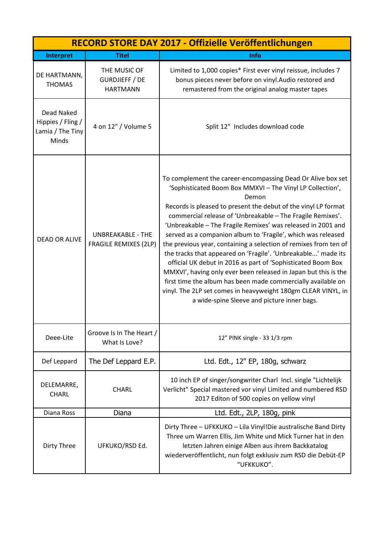|                                                              | RECORD STORE DAY 2017 - Offizielle Veröffentlichungen    |                                                                                                                                                                                                                                                                                                                                                                                                                                                                                                                                                                                                                                                                                                                                                                                                                                                           |  |
|--------------------------------------------------------------|----------------------------------------------------------|-----------------------------------------------------------------------------------------------------------------------------------------------------------------------------------------------------------------------------------------------------------------------------------------------------------------------------------------------------------------------------------------------------------------------------------------------------------------------------------------------------------------------------------------------------------------------------------------------------------------------------------------------------------------------------------------------------------------------------------------------------------------------------------------------------------------------------------------------------------|--|
| Interpret                                                    | <b>Titel</b>                                             | Info                                                                                                                                                                                                                                                                                                                                                                                                                                                                                                                                                                                                                                                                                                                                                                                                                                                      |  |
| DE HARTMANN,<br><b>THOMAS</b>                                | THE MUSIC OF<br><b>GURDJIEFF / DE</b><br><b>HARTMANN</b> | Limited to 1,000 copies* First ever vinyl reissue, includes 7<br>bonus pieces never before on vinyl.Audio restored and<br>remastered from the original analog master tapes                                                                                                                                                                                                                                                                                                                                                                                                                                                                                                                                                                                                                                                                                |  |
| Dead Naked<br>Hippies / Fling /<br>Lamia / The Tiny<br>Minds | 4 on 12" / Volume 5                                      | Split 12" Includes download code                                                                                                                                                                                                                                                                                                                                                                                                                                                                                                                                                                                                                                                                                                                                                                                                                          |  |
| <b>DEAD OR ALIVE</b>                                         | <b>UNBREAKABLE - THE</b><br><b>FRAGILE REMIXES (2LP)</b> | To complement the career-encompassing Dead Or Alive box set<br>'Sophisticated Boom Box MMXVI - The Vinyl LP Collection',<br>Demon<br>Records is pleased to present the debut of the vinyl LP format<br>commercial release of 'Unbreakable - The Fragile Remixes'.<br>'Unbreakable - The Fragile Remixes' was released in 2001 and<br>served as a companion album to 'Fragile', which was released<br>the previous year, containing a selection of remixes from ten of<br>the tracks that appeared on 'Fragile'. 'Unbreakable' made its<br>official UK debut in 2016 as part of 'Sophisticated Boom Box<br>MMXVI', having only ever been released in Japan but this is the<br>first time the album has been made commercially available on<br>vinyl. The 2LP set comes in heavyweight 180gm CLEAR VINYL, in<br>a wide-spine Sleeve and picture inner bags. |  |
| Deee-Lite                                                    | Groove Is In The Heart /<br>What Is Love?                | 12" PINK single - 33 1/3 rpm                                                                                                                                                                                                                                                                                                                                                                                                                                                                                                                                                                                                                                                                                                                                                                                                                              |  |
| Def Leppard                                                  | The Def Leppard E.P.                                     | Ltd. Edt., 12" EP, 180g, schwarz                                                                                                                                                                                                                                                                                                                                                                                                                                                                                                                                                                                                                                                                                                                                                                                                                          |  |
| DELEMARRE,<br><b>CHARL</b>                                   | <b>CHARL</b>                                             | 10 inch EP of singer/songwriter Charl Incl. single "Lichtelijk<br>Verlicht" Special mastered vor vinyl Limited and numbered RSD<br>2017 Editon of 500 copies on yellow vinyl                                                                                                                                                                                                                                                                                                                                                                                                                                                                                                                                                                                                                                                                              |  |
| Diana Ross                                                   | Diana                                                    | Ltd. Edt., 2LP, 180g, pink                                                                                                                                                                                                                                                                                                                                                                                                                                                                                                                                                                                                                                                                                                                                                                                                                                |  |
| Dirty Three                                                  | UFKUKO/RSD Ed.                                           | Dirty Three - UFKKUKO - Lila Vinyl!Die australische Band Dirty<br>Three um Warren Ellis, Jim White und Mick Turner hat in den<br>letzten Jahren einige Alben aus ihrem Backkatalog<br>wiederveröffentlicht, nun folgt exklusiv zum RSD die Debüt-EP<br>"UFKKUKO".                                                                                                                                                                                                                                                                                                                                                                                                                                                                                                                                                                                         |  |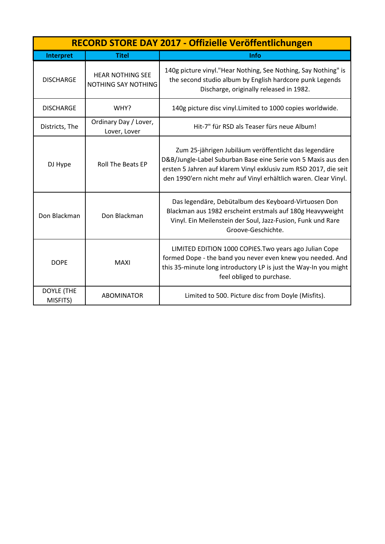|                               | RECORD STORE DAY 2017 - Offizielle Veröffentlichungen |                                                                                                                                                                                                                                                                |  |
|-------------------------------|-------------------------------------------------------|----------------------------------------------------------------------------------------------------------------------------------------------------------------------------------------------------------------------------------------------------------------|--|
| Interpret                     | <b>Titel</b>                                          | Info                                                                                                                                                                                                                                                           |  |
| <b>DISCHARGE</b>              | <b>HEAR NOTHING SEE</b><br>NOTHING SAY NOTHING        | 140g picture vinyl."Hear Nothing, See Nothing, Say Nothing" is<br>the second studio album by English hardcore punk Legends<br>Discharge, originally released in 1982.                                                                                          |  |
| <b>DISCHARGE</b>              | WHY?                                                  | 140g picture disc vinyl. Limited to 1000 copies worldwide.                                                                                                                                                                                                     |  |
| Districts, The                | Ordinary Day / Lover,<br>Lover, Lover                 | Hit-7" für RSD als Teaser fürs neue Album!                                                                                                                                                                                                                     |  |
| DJ Hype                       | <b>Roll The Beats EP</b>                              | Zum 25-jährigen Jubiläum veröffentlicht das legendäre<br>D&B/Jungle-Label Suburban Base eine Serie von 5 Maxis aus den<br>ersten 5 Jahren auf klarem Vinyl exklusiv zum RSD 2017, die seit<br>den 1990'ern nicht mehr auf Vinyl erhältlich waren. Clear Vinyl. |  |
| Don Blackman                  | Don Blackman                                          | Das legendäre, Debütalbum des Keyboard-Virtuosen Don<br>Blackman aus 1982 erscheint erstmals auf 180g Heavyweight<br>Vinyl. Ein Meilenstein der Soul, Jazz-Fusion, Funk und Rare<br>Groove-Geschichte.                                                         |  |
| <b>DOPE</b>                   | <b>MAXI</b>                                           | LIMITED EDITION 1000 COPIES. Two years ago Julian Cope<br>formed Dope - the band you never even knew you needed. And<br>this 35-minute long introductory LP is just the Way-In you might<br>feel obliged to purchase.                                          |  |
| <b>DOYLE (THE</b><br>MISFITS) | <b>ABOMINATOR</b>                                     | Limited to 500. Picture disc from Doyle (Misfits).                                                                                                                                                                                                             |  |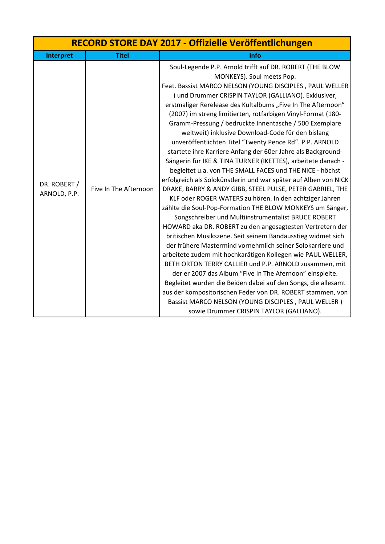| RECORD STORE DAY 2017 - Offizielle Veröffentlichungen |                       |                                                                                                                                                                                                                                                                                                                                                                                                                                                                                                                                                                                                                                                                                                                                                                                                                                                                                                                                                                                                                                                                                                                                                                                                                                                                                                                                                                                                                                                                                                                                                                                                                                                  |
|-------------------------------------------------------|-----------------------|--------------------------------------------------------------------------------------------------------------------------------------------------------------------------------------------------------------------------------------------------------------------------------------------------------------------------------------------------------------------------------------------------------------------------------------------------------------------------------------------------------------------------------------------------------------------------------------------------------------------------------------------------------------------------------------------------------------------------------------------------------------------------------------------------------------------------------------------------------------------------------------------------------------------------------------------------------------------------------------------------------------------------------------------------------------------------------------------------------------------------------------------------------------------------------------------------------------------------------------------------------------------------------------------------------------------------------------------------------------------------------------------------------------------------------------------------------------------------------------------------------------------------------------------------------------------------------------------------------------------------------------------------|
| Interpret                                             | <b>Titel</b>          | Info                                                                                                                                                                                                                                                                                                                                                                                                                                                                                                                                                                                                                                                                                                                                                                                                                                                                                                                                                                                                                                                                                                                                                                                                                                                                                                                                                                                                                                                                                                                                                                                                                                             |
| DR. ROBERT /<br>ARNOLD, P.P.                          | Five In The Afternoon | Soul-Legende P.P. Arnold trifft auf DR. ROBERT (THE BLOW<br>MONKEYS). Soul meets Pop.<br>Feat. Bassist MARCO NELSON (YOUNG DISCIPLES, PAUL WELLER<br>) und Drummer CRISPIN TAYLOR (GALLIANO). Exklusiver,<br>erstmaliger Rerelease des Kultalbums "Five In The Afternoon"<br>(2007) im streng limitierten, rotfarbigen Vinyl-Format (180-<br>Gramm-Pressung / bedruckte Innentasche / 500 Exemplare<br>weltweit) inklusive Download-Code für den bislang<br>unveröffentlichten Titel "Twenty Pence Rd". P.P. ARNOLD<br>startete ihre Karriere Anfang der 60er Jahre als Background-<br>Sängerin für IKE & TINA TURNER (IKETTES), arbeitete danach -<br>begleitet u.a. von THE SMALL FACES und THE NICE - höchst<br>erfolgreich als Solokünstlerin und war später auf Alben von NICK<br>DRAKE, BARRY & ANDY GIBB, STEEL PULSE, PETER GABRIEL, THE<br>KLF oder ROGER WATERS zu hören. In den achtziger Jahren<br>zählte die Soul-Pop-Formation THE BLOW MONKEYS um Sänger,<br>Songschreiber und Multiinstrumentalist BRUCE ROBERT<br>HOWARD aka DR. ROBERT zu den angesagtesten Vertretern der<br>britischen Musikszene. Seit seinem Bandausstieg widmet sich<br>der frühere Mastermind vornehmlich seiner Solokarriere und<br>arbeitete zudem mit hochkarätigen Kollegen wie PAUL WELLER,<br>BETH ORTON TERRY CALLIER und P.P. ARNOLD zusammen, mit<br>der er 2007 das Album "Five In The Afernoon" einspielte.<br>Begleitet wurden die Beiden dabei auf den Songs, die allesamt<br>aus der kompositorischen Feder von DR. ROBERT stammen, von<br>Bassist MARCO NELSON (YOUNG DISCIPLES, PAUL WELLER)<br>sowie Drummer CRISPIN TAYLOR (GALLIANO). |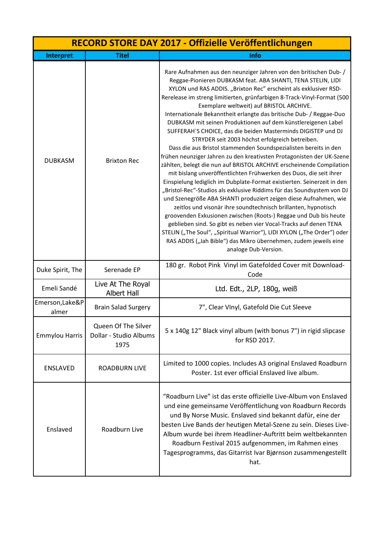| RECORD STORE DAY 2017 - Offizielle Veröffentlichungen |                                                       |                                                                                                                                                                                                                                                                                                                                                                                                                                                                                                                                                                                                                                                                                                                                                                                                                                                                                                                                                                                                                                                                                                                                                                                                                                                                                                                                                                                                                                                                                               |
|-------------------------------------------------------|-------------------------------------------------------|-----------------------------------------------------------------------------------------------------------------------------------------------------------------------------------------------------------------------------------------------------------------------------------------------------------------------------------------------------------------------------------------------------------------------------------------------------------------------------------------------------------------------------------------------------------------------------------------------------------------------------------------------------------------------------------------------------------------------------------------------------------------------------------------------------------------------------------------------------------------------------------------------------------------------------------------------------------------------------------------------------------------------------------------------------------------------------------------------------------------------------------------------------------------------------------------------------------------------------------------------------------------------------------------------------------------------------------------------------------------------------------------------------------------------------------------------------------------------------------------------|
| Interpret                                             | <b>Titel</b>                                          | Info                                                                                                                                                                                                                                                                                                                                                                                                                                                                                                                                                                                                                                                                                                                                                                                                                                                                                                                                                                                                                                                                                                                                                                                                                                                                                                                                                                                                                                                                                          |
| <b>DUBKASM</b>                                        | <b>Brixton Rec</b>                                    | Rare Aufnahmen aus den neunziger Jahren von den britischen Dub-/<br>Reggae-Pionieren DUBKASM feat. ABA SHANTI, TENA STELIN, LIDI<br>XYLON und RAS ADDIS. "Brixton Rec" erscheint als exklusiver RSD-<br>Rerelease im streng limitierten, grünfarbigen 8-Track-Vinyl-Format (500<br>Exemplare weltweit) auf BRISTOL ARCHIVE.<br>Internationale Bekanntheit erlangte das britische Dub- / Reggae-Duo<br>DUBKASM mit seinen Produktionen auf dem künstlereigenen Label<br>SUFFERAH'S CHOICE, das die beiden Masterminds DIGISTEP und DJ<br>STRYDER seit 2003 höchst erfolgreich betreiben.<br>Dass die aus Bristol stammenden Soundspezialisten bereits in den<br>frühen neunziger Jahren zu den kreativsten Protagonisten der UK-Szene<br>zählten, belegt die nun auf BRISTOL ARCHIVE erscheinende Compilation<br>mit bislang unveröffentlichten Frühwerken des Duos, die seit ihrer<br>Einspielung lediglich im Dubplate-Format existierten. Seinerzeit in den<br>"Bristol-Rec"-Studios als exklusive Riddims für das Soundsystem von DJ<br>und Szenegröße ABA SHANTI produziert zeigen diese Aufnahmen, wie<br>zeitlos und visonär ihre soundtechnisch brillanten, hypnotisch<br>groovenden Exkusionen zwischen (Roots-) Reggae und Dub bis heute<br>geblieben sind. So gibt es neben vier Vocal-Tracks auf denen TENA<br>STELIN ("The Soul", "Spiritual Warrior"), LIDI XYLON ("The Order") oder<br>RAS ADDIS ("Jah Bible") das Mikro übernehmen, zudem jeweils eine<br>analoge Dub-Version. |
| Duke Spirit, The                                      | Serenade EP                                           | 180 gr. Robot Pink Vinyl im Gatefolded Cover mit Download-<br>Code                                                                                                                                                                                                                                                                                                                                                                                                                                                                                                                                                                                                                                                                                                                                                                                                                                                                                                                                                                                                                                                                                                                                                                                                                                                                                                                                                                                                                            |
| Emeli Sandé                                           | Live At The Royal<br><b>Albert Hall</b>               | Ltd. Edt., 2LP, 180g, weiß                                                                                                                                                                                                                                                                                                                                                                                                                                                                                                                                                                                                                                                                                                                                                                                                                                                                                                                                                                                                                                                                                                                                                                                                                                                                                                                                                                                                                                                                    |
| Emerson, Lake&P<br>almer                              | <b>Brain Salad Surgery</b>                            | 7", Clear VInyl, Gatefold Die Cut Sleeve                                                                                                                                                                                                                                                                                                                                                                                                                                                                                                                                                                                                                                                                                                                                                                                                                                                                                                                                                                                                                                                                                                                                                                                                                                                                                                                                                                                                                                                      |
| <b>Emmylou Harris</b>                                 | Queen Of The Silver<br>Dollar - Studio Albums<br>1975 | 5 x 140g 12" Black vinyl album (with bonus 7") in rigid slipcase<br>for RSD 2017.                                                                                                                                                                                                                                                                                                                                                                                                                                                                                                                                                                                                                                                                                                                                                                                                                                                                                                                                                                                                                                                                                                                                                                                                                                                                                                                                                                                                             |
| <b>ENSLAVED</b>                                       | <b>ROADBURN LIVE</b>                                  | Limited to 1000 copies. Includes A3 original Enslaved Roadburn<br>Poster. 1st ever official Enslaved live album.                                                                                                                                                                                                                                                                                                                                                                                                                                                                                                                                                                                                                                                                                                                                                                                                                                                                                                                                                                                                                                                                                                                                                                                                                                                                                                                                                                              |
| Enslaved                                              | Roadburn Live                                         | "Roadburn Live" ist das erste offizielle Live-Album von Enslaved<br>und eine gemeinsame Veröffentlichung von Roadburn Records<br>und By Norse Music. Enslaved sind bekannt dafür, eine der<br>besten Live Bands der heutigen Metal-Szene zu sein. Dieses Live-<br>Album wurde bei ihrem Headliner-Auftritt beim weltbekannten<br>Roadburn Festival 2015 aufgenommen, im Rahmen eines<br>Tagesprogramms, das Gitarrist Ivar Bjørnson zusammengestellt<br>hat.                                                                                                                                                                                                                                                                                                                                                                                                                                                                                                                                                                                                                                                                                                                                                                                                                                                                                                                                                                                                                                  |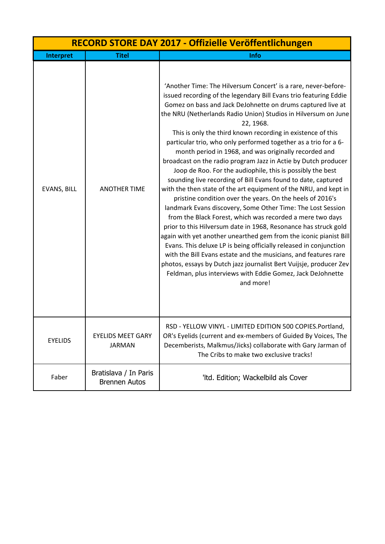|                | RECORD STORE DAY 2017 - Offizielle Veröffentlichungen |                                                                                                                                                                                                                                                                                                                                                                                                                                                                                                                                                                                                                                                                                                                                                                                                                                                                                                                                                                                                                                                                                                                                                                                                                                                                                                                                                                             |  |
|----------------|-------------------------------------------------------|-----------------------------------------------------------------------------------------------------------------------------------------------------------------------------------------------------------------------------------------------------------------------------------------------------------------------------------------------------------------------------------------------------------------------------------------------------------------------------------------------------------------------------------------------------------------------------------------------------------------------------------------------------------------------------------------------------------------------------------------------------------------------------------------------------------------------------------------------------------------------------------------------------------------------------------------------------------------------------------------------------------------------------------------------------------------------------------------------------------------------------------------------------------------------------------------------------------------------------------------------------------------------------------------------------------------------------------------------------------------------------|--|
| Interpret      | <b>Titel</b>                                          | Info                                                                                                                                                                                                                                                                                                                                                                                                                                                                                                                                                                                                                                                                                                                                                                                                                                                                                                                                                                                                                                                                                                                                                                                                                                                                                                                                                                        |  |
| EVANS, BILL    | <b>ANOTHER TIME</b>                                   | 'Another Time: The Hilversum Concert' is a rare, never-before-<br>issued recording of the legendary Bill Evans trio featuring Eddie<br>Gomez on bass and Jack DeJohnette on drums captured live at<br>the NRU (Netherlands Radio Union) Studios in Hilversum on June<br>22, 1968.<br>This is only the third known recording in existence of this<br>particular trio, who only performed together as a trio for a 6-<br>month period in 1968, and was originally recorded and<br>broadcast on the radio program Jazz in Actie by Dutch producer<br>Joop de Roo. For the audiophile, this is possibly the best<br>sounding live recording of Bill Evans found to date, captured<br>with the then state of the art equipment of the NRU, and kept in<br>pristine condition over the years. On the heels of 2016's<br>landmark Evans discovery, Some Other Time: The Lost Session<br>from the Black Forest, which was recorded a mere two days<br>prior to this Hilversum date in 1968, Resonance has struck gold<br>again with yet another unearthed gem from the iconic pianist Bill<br>Evans. This deluxe LP is being officially released in conjunction<br>with the Bill Evans estate and the musicians, and features rare<br>photos, essays by Dutch jazz journalist Bert Vuijsje, producer Zev<br>Feldman, plus interviews with Eddie Gomez, Jack DeJohnette<br>and more! |  |
| <b>EYELIDS</b> | <b>EYELIDS MEET GARY</b><br><b>JARMAN</b>             | RSD - YELLOW VINYL - LIMITED EDITION 500 COPIES. Portland,<br>OR's Eyelids (current and ex-members of Guided By Voices, The<br>Decemberists, Malkmus/Jicks) collaborate with Gary Jarman of<br>The Cribs to make two exclusive tracks!                                                                                                                                                                                                                                                                                                                                                                                                                                                                                                                                                                                                                                                                                                                                                                                                                                                                                                                                                                                                                                                                                                                                      |  |
| Faber          | Bratislava / In Paris<br><b>Brennen Autos</b>         | 'Itd. Edition; Wackelbild als Cover                                                                                                                                                                                                                                                                                                                                                                                                                                                                                                                                                                                                                                                                                                                                                                                                                                                                                                                                                                                                                                                                                                                                                                                                                                                                                                                                         |  |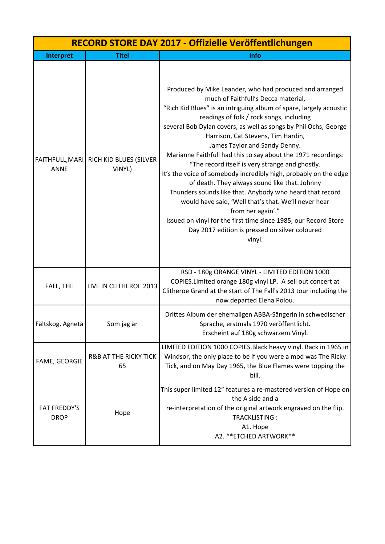|                                    | RECORD STORE DAY 2017 - Offizielle Veröffentlichungen |                                                                                                                                                                                                                                                                                                                                                                                                                                                                                                                                                                                                                                                                                                                                                                                                                                                                             |  |
|------------------------------------|-------------------------------------------------------|-----------------------------------------------------------------------------------------------------------------------------------------------------------------------------------------------------------------------------------------------------------------------------------------------------------------------------------------------------------------------------------------------------------------------------------------------------------------------------------------------------------------------------------------------------------------------------------------------------------------------------------------------------------------------------------------------------------------------------------------------------------------------------------------------------------------------------------------------------------------------------|--|
| Interpret                          | <b>Titel</b>                                          | Info                                                                                                                                                                                                                                                                                                                                                                                                                                                                                                                                                                                                                                                                                                                                                                                                                                                                        |  |
| FAITHFULL, MARI<br><b>ANNE</b>     | RICH KID BLUES (SILVER<br>VINYL)                      | Produced by Mike Leander, who had produced and arranged<br>much of Faithfull's Decca material,<br>"Rich Kid Blues" is an intriguing album of spare, largely acoustic<br>readings of folk / rock songs, including<br>several Bob Dylan covers, as well as songs by Phil Ochs, George<br>Harrison, Cat Stevens, Tim Hardin,<br>James Taylor and Sandy Denny.<br>Marianne Faithfull had this to say about the 1971 recordings:<br>"The record itself is very strange and ghostly.<br>It's the voice of somebody incredibly high, probably on the edge<br>of death. They always sound like that. Johnny<br>Thunders sounds like that. Anybody who heard that record<br>would have said, 'Well that's that. We'll never hear<br>from her again'."<br>Issued on vinyl for the first time since 1985, our Record Store<br>Day 2017 edition is pressed on silver coloured<br>vinyl. |  |
| FALL, THE                          | LIVE IN CLITHEROE 2013                                | RSD - 180g ORANGE VINYL - LIMITED EDITION 1000<br>COPIES.Limited orange 180g vinyl LP. A sell out concert at<br>Clitheroe Grand at the start of The Fall's 2013 tour including the<br>now departed Elena Polou.                                                                                                                                                                                                                                                                                                                                                                                                                                                                                                                                                                                                                                                             |  |
| Fältskog, Agneta                   | Som jag är                                            | Drittes Album der ehemaligen ABBA-Sängerin in schwedischer<br>Sprache, erstmals 1970 veröffentlicht.<br>Erscheint auf 180g schwarzem Vinyl.                                                                                                                                                                                                                                                                                                                                                                                                                                                                                                                                                                                                                                                                                                                                 |  |
| FAME, GEORGIE                      | <b>R&amp;B AT THE RICKY TICK</b><br>65                | LIMITED EDITION 1000 COPIES. Black heavy vinyl. Back in 1965 in<br>Windsor, the only place to be if you were a mod was The Ricky<br>Tick, and on May Day 1965, the Blue Flames were topping the<br>bill.                                                                                                                                                                                                                                                                                                                                                                                                                                                                                                                                                                                                                                                                    |  |
| <b>FAT FREDDY'S</b><br><b>DROP</b> | Hope                                                  | This super limited 12" features a re-mastered version of Hope on<br>the A side and a<br>re-interpretation of the original artwork engraved on the flip.<br>TRACKLISTING:<br>A1. Hope<br>A2. ** ETCHED ARTWORK**                                                                                                                                                                                                                                                                                                                                                                                                                                                                                                                                                                                                                                                             |  |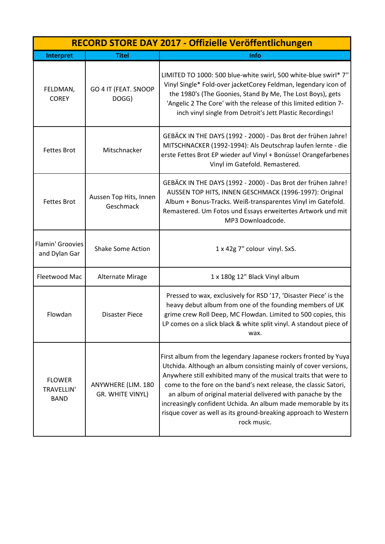| RECORD STORE DAY 2017 - Offizielle Veröffentlichungen |                                        |                                                                                                                                                                                                                                                                                                                                                                                                                                                                                              |
|-------------------------------------------------------|----------------------------------------|----------------------------------------------------------------------------------------------------------------------------------------------------------------------------------------------------------------------------------------------------------------------------------------------------------------------------------------------------------------------------------------------------------------------------------------------------------------------------------------------|
| Interpret                                             | <b>Titel</b>                           | Info                                                                                                                                                                                                                                                                                                                                                                                                                                                                                         |
| FELDMAN,<br><b>COREY</b>                              | GO 4 IT (FEAT. SNOOP<br>DOGG)          | LIMITED TO 1000: 500 blue-white swirl, 500 white-blue swirl* 7"<br>Vinyl Single* Fold-over jacketCorey Feldman, legendary icon of<br>the 1980's (The Goonies, Stand By Me, The Lost Boys), gets<br>'Angelic 2 The Core' with the release of this limited edition 7-<br>inch vinyl single from Detroit's Jett Plastic Recordings!                                                                                                                                                             |
| <b>Fettes Brot</b>                                    | Mitschnacker                           | GEBÄCK IN THE DAYS (1992 - 2000) - Das Brot der frühen Jahre!<br>MITSCHNACKER (1992-1994): Als Deutschrap laufen lernte - die<br>erste Fettes Brot EP wieder auf Vinyl + Bonüsse! Orangefarbenes<br>Vinyl im Gatefold. Remastered.                                                                                                                                                                                                                                                           |
| <b>Fettes Brot</b>                                    | Aussen Top Hits, Innen<br>Geschmack    | GEBÄCK IN THE DAYS (1992 - 2000) - Das Brot der frühen Jahre!<br>AUSSEN TOP HITS, INNEN GESCHMACK (1996-1997): Original<br>Album + Bonus-Tracks. Weiß-transparentes Vinyl im Gatefold.<br>Remastered. Um Fotos und Essays erweitertes Artwork und mit<br>MP3 Downloadcode.                                                                                                                                                                                                                   |
| Flamin' Groovies<br>and Dylan Gar                     | <b>Shake Some Action</b>               | 1 x 42g 7" colour vinyl. SxS.                                                                                                                                                                                                                                                                                                                                                                                                                                                                |
| Fleetwood Mac                                         | Alternate Mirage                       | 1 x 180g 12" Black Vinyl album                                                                                                                                                                                                                                                                                                                                                                                                                                                               |
| Flowdan                                               | <b>Disaster Piece</b>                  | Pressed to wax, exclusively for RSD '17, 'Disaster Piece' is the<br>heavy debut album from one of the founding members of UK<br>grime crew Roll Deep, MC Flowdan. Limited to 500 copies, this<br>LP comes on a slick black & white split vinyl. A standout piece of<br>wax.                                                                                                                                                                                                                  |
| <b>FLOWER</b><br><b>TRAVELLIN'</b><br><b>BAND</b>     | ANYWHERE (LIM. 180<br>GR. WHITE VINYL) | First album from the legendary Japanese rockers fronted by Yuya<br>Utchida. Although an album consisting mainly of cover versions,<br>Anywhere still exhibited many of the musical traits that were to<br>come to the fore on the band's next release, the classic Satori,<br>an album of original material delivered with panache by the<br>increasingly confident Uchida. An album made memorable by its<br>risque cover as well as its ground-breaking approach to Western<br>rock music. |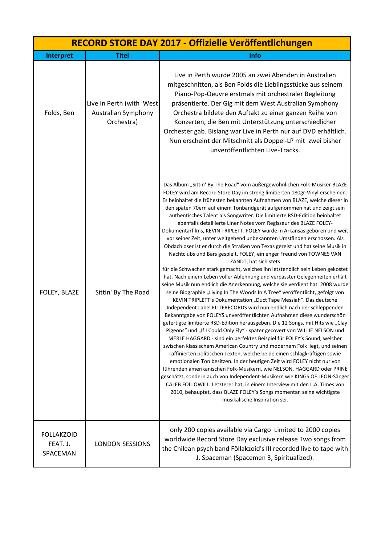| RECORD STORE DAY 2017 - Offizielle Veröffentlichungen |                                                                |                                                                                                                                                                                                                                                                                                                                                                                                                                                                                                                                                                                                                                                                                                                                                                                                                                                                                                                                                                                                                                                                                                                                                                                                                                                                                                                                                                                                                                                                                                                                                                                                                                                                                                                                                                                                                                                                                                                                                                                                                                                                                                                                                                                                 |
|-------------------------------------------------------|----------------------------------------------------------------|-------------------------------------------------------------------------------------------------------------------------------------------------------------------------------------------------------------------------------------------------------------------------------------------------------------------------------------------------------------------------------------------------------------------------------------------------------------------------------------------------------------------------------------------------------------------------------------------------------------------------------------------------------------------------------------------------------------------------------------------------------------------------------------------------------------------------------------------------------------------------------------------------------------------------------------------------------------------------------------------------------------------------------------------------------------------------------------------------------------------------------------------------------------------------------------------------------------------------------------------------------------------------------------------------------------------------------------------------------------------------------------------------------------------------------------------------------------------------------------------------------------------------------------------------------------------------------------------------------------------------------------------------------------------------------------------------------------------------------------------------------------------------------------------------------------------------------------------------------------------------------------------------------------------------------------------------------------------------------------------------------------------------------------------------------------------------------------------------------------------------------------------------------------------------------------------------|
| Interpret                                             | <b>Titel</b>                                                   | Info                                                                                                                                                                                                                                                                                                                                                                                                                                                                                                                                                                                                                                                                                                                                                                                                                                                                                                                                                                                                                                                                                                                                                                                                                                                                                                                                                                                                                                                                                                                                                                                                                                                                                                                                                                                                                                                                                                                                                                                                                                                                                                                                                                                            |
| Folds, Ben                                            | Live In Perth (with West)<br>Australian Symphony<br>Orchestra) | Live in Perth wurde 2005 an zwei Abenden in Australien<br>mitgeschnitten, als Ben Folds die Lieblingsstücke aus seinem<br>Piano-Pop-Oeuvre erstmals mit orchestraler Begleitung<br>präsentierte. Der Gig mit dem West Australian Symphony<br>Orchestra bildete den Auftakt zu einer ganzen Reihe von<br>Konzerten, die Ben mit Unterstützung unterschiedlicher<br>Orchester gab. Bislang war Live in Perth nur auf DVD erhältlich.<br>Nun erscheint der Mitschnitt als Doppel-LP mit zwei bisher<br>unveröffentlichten Live-Tracks.                                                                                                                                                                                                                                                                                                                                                                                                                                                                                                                                                                                                                                                                                                                                                                                                                                                                                                                                                                                                                                                                                                                                                                                                                                                                                                                                                                                                                                                                                                                                                                                                                                                             |
| FOLEY, BLAZE                                          | Sittin' By The Road                                            | Das Album "Sittin' By The Road" vom außergewöhnlichen Folk-Musiker BLAZE<br>FOLEY wird am Record Store Day im streng limitierten 180gr-Vinyl erscheinen.<br>Es beinhaltet die frühesten bekannten Aufnahmen von BLAZE, welche dieser in<br>den späten 70ern auf einem Tonbandgerät aufgenommen hat und zeigt sein<br>authentisches Talent als Songwriter. Die limitierte RSD-Edition beinhaltet<br>ebenfalls detaillierte Liner Notes vom Regisseur des BLAZE FOLEY-<br>Dokumentarfilms, KEVIN TRIPLETT. FOLEY wurde in Arkansas geboren und weit<br>vor seiner Zeit, unter weitgehend unbekannten Umständen erschossen. Als<br>Obdachloser ist er durch die Straßen von Texas gereist und hat seine Musik in<br>Nachtclubs und Bars gespielt. FOLEY, ein enger Freund von TOWNES VAN<br>ZANDT, hat sich stets<br>für die Schwachen stark gemacht, welches ihn letztendlich sein Leben gekostet<br>hat. Nach einem Leben voller Ablehnung und verpasster Gelegenheiten erhält<br>seine Musik nun endlich die Anerkennung, welche sie verdient hat. 2008 wurde<br>seine Biographie "Living In The Woods In A Tree" veröffentlicht, gefolgt von<br>KEVIN TRIPLETT's Dokumentation "Duct Tape Messiah". Das deutsche<br>Independent Label ELITERECORDS wird nun endlich nach der schleppenden<br>Bekanntgabe von FOLEYS unveröffentlichten Aufnahmen diese wunderschön<br>gefertigte limitierte RSD-Edition herausgeben. Die 12 Songs, mit Hits wie "Clay<br>Pigeons" und "If I Could Only Fly" - später gecovert von WILLIE NELSON und<br>MERLE HAGGARD - sind ein perfektes Beispiel für FOLEY's Sound, welcher<br>zwischen klassischem American Country und modernem Folk liegt, und seinen<br>raffinierten politischen Texten, welche beide einen schlagkräftigen sowie<br>emotionalen Ton besitzen. In der heutigen Zeit wird FOLEY nicht nur von<br>führenden amerikanischen Folk-Musikern, wie NELSON, HAGGARD oder PRINE<br>geschätzt, sondern auch von Independent-Musikern wie KINGS OF LEON-Sänger<br>CALEB FOLLOWILL. Letzterer hat, in einem Interview mit den L.A. Times von<br>2010, behauptet, dass BLAZE FOLEY's Songs momentan seine wichtigste<br>musikalische Inspiration sei. |
| <b>FOLLAKZOID</b><br>FEAT. J.<br>SPACEMAN             | <b>LONDON SESSIONS</b>                                         | only 200 copies available via Cargo Limited to 2000 copies<br>worldwide Record Store Day exclusive release Two songs from<br>the Chilean psych band Föllakzoid's III recorded live to tape with<br>J. Spaceman (Spacemen 3, Spiritualized).                                                                                                                                                                                                                                                                                                                                                                                                                                                                                                                                                                                                                                                                                                                                                                                                                                                                                                                                                                                                                                                                                                                                                                                                                                                                                                                                                                                                                                                                                                                                                                                                                                                                                                                                                                                                                                                                                                                                                     |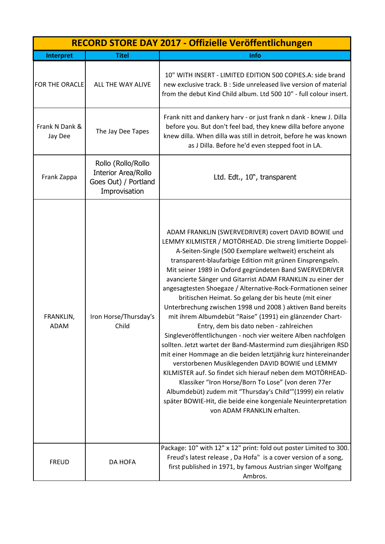| RECORD STORE DAY 2017 - Offizielle Veröffentlichungen |                                                                                           |                                                                                                                                                                                                                                                                                                                                                                                                                                                                                                                                                                                                                                                                                                                                                                                                                                                                                                                                                                                                                                                                                                                                                                                                                |
|-------------------------------------------------------|-------------------------------------------------------------------------------------------|----------------------------------------------------------------------------------------------------------------------------------------------------------------------------------------------------------------------------------------------------------------------------------------------------------------------------------------------------------------------------------------------------------------------------------------------------------------------------------------------------------------------------------------------------------------------------------------------------------------------------------------------------------------------------------------------------------------------------------------------------------------------------------------------------------------------------------------------------------------------------------------------------------------------------------------------------------------------------------------------------------------------------------------------------------------------------------------------------------------------------------------------------------------------------------------------------------------|
| Interpret                                             | <b>Titel</b>                                                                              | Info                                                                                                                                                                                                                                                                                                                                                                                                                                                                                                                                                                                                                                                                                                                                                                                                                                                                                                                                                                                                                                                                                                                                                                                                           |
| <b>FOR THE ORACLE</b>                                 | ALL THE WAY ALIVE                                                                         | 10" WITH INSERT - LIMITED EDITION 500 COPIES.A: side brand<br>new exclusive track. B : Side unreleased live version of material<br>from the debut Kind Child album. Ltd 500 10" - full colour insert.                                                                                                                                                                                                                                                                                                                                                                                                                                                                                                                                                                                                                                                                                                                                                                                                                                                                                                                                                                                                          |
| Frank N Dank &<br>Jay Dee                             | The Jay Dee Tapes                                                                         | Frank nitt and dankery harv - or just frank n dank - knew J. Dilla<br>before you. But don't feel bad, they knew dilla before anyone<br>knew dilla. When dilla was still in detroit, before he was known<br>as J Dilla. Before he'd even stepped foot in LA.                                                                                                                                                                                                                                                                                                                                                                                                                                                                                                                                                                                                                                                                                                                                                                                                                                                                                                                                                    |
| Frank Zappa                                           | Rollo (Rollo/Rollo<br><b>Interior Area/Rollo</b><br>Goes Out) / Portland<br>Improvisation | Ltd. Edt., 10", transparent                                                                                                                                                                                                                                                                                                                                                                                                                                                                                                                                                                                                                                                                                                                                                                                                                                                                                                                                                                                                                                                                                                                                                                                    |
| FRANKLIN,<br><b>ADAM</b>                              | Iron Horse/Thursday's<br>Child                                                            | ADAM FRANKLIN (SWERVEDRIVER) covert DAVID BOWIE und<br>LEMMY KILMISTER / MOTÖRHEAD. Die streng limitierte Doppel-<br>A-Seiten-Single (500 Exemplare weltweit) erscheint als<br>transparent-blaufarbige Edition mit grünen Einsprengseln.<br>Mit seiner 1989 in Oxford gegründeten Band SWERVEDRIVER<br>avancierte Sänger und Gitarrist ADAM FRANKLIN zu einer der<br>angesagtesten Shoegaze / Alternative-Rock-Formationen seiner<br>britischen Heimat. So gelang der bis heute (mit einer<br>Unterbrechung zwischen 1998 und 2008) aktiven Band bereits<br>mit ihrem Albumdebüt "Raise" (1991) ein glänzender Chart-<br>Entry, dem bis dato neben - zahlreichen<br>Singleveröffentlichungen - noch vier weitere Alben nachfolgen<br>sollten. Jetzt wartet der Band-Mastermind zum diesjährigen RSD<br>mit einer Hommage an die beiden letztjährig kurz hintereinander<br>verstorbenen Musiklegenden DAVID BOWIE und LEMMY<br>KILMISTER auf. So findet sich hierauf neben dem MOTÖRHEAD-<br>Klassiker "Iron Horse/Born To Lose" (von deren 77er<br>Albumdebüt) zudem mit "Thursday's Child" (1999) ein relativ<br>später BOWIE-Hit, die beide eine kongeniale Neuinterpretation<br>von ADAM FRANKLIN erhalten. |
| <b>FREUD</b>                                          | <b>DA HOFA</b>                                                                            | Package: 10" with 12" x 12" print: fold out poster Limited to 300.<br>Freud's latest release, Da Hofa" is a cover version of a song,<br>first published in 1971, by famous Austrian singer Wolfgang<br>Ambros.                                                                                                                                                                                                                                                                                                                                                                                                                                                                                                                                                                                                                                                                                                                                                                                                                                                                                                                                                                                                 |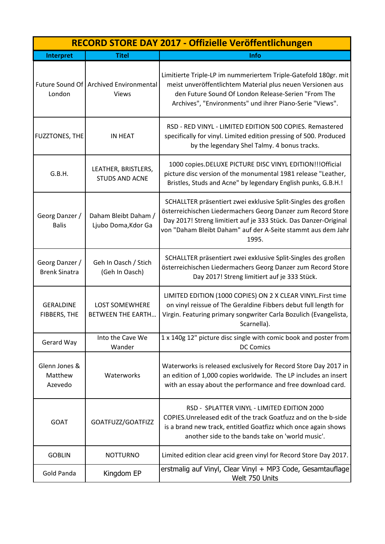| RECORD STORE DAY 2017 - Offizielle Veröffentlichungen |                                                          |                                                                                                                                                                                                                                                                            |
|-------------------------------------------------------|----------------------------------------------------------|----------------------------------------------------------------------------------------------------------------------------------------------------------------------------------------------------------------------------------------------------------------------------|
| Interpret                                             | <b>Titel</b>                                             | Info                                                                                                                                                                                                                                                                       |
| London                                                | Future Sound Of   Archived Environmental<br><b>Views</b> | Limitierte Triple-LP im nummeriertem Triple-Gatefold 180gr. mit<br>meist unveröffentlichtem Material plus neuen Versionen aus<br>den Future Sound Of London Release-Serien "From The<br>Archives", "Environments" und ihrer Piano-Serie "Views".                           |
| <b>FUZZTONES, THE</b>                                 | <b>IN HEAT</b>                                           | RSD - RED VINYL - LIMITED EDITION 500 COPIES. Remastered<br>specifically for vinyl. Limited edition pressing of 500. Produced<br>by the legendary Shel Talmy. 4 bonus tracks.                                                                                              |
| G.B.H.                                                | LEATHER, BRISTLERS,<br><b>STUDS AND ACNE</b>             | 1000 copies.DELUXE PICTURE DISC VINYL EDITION!!!Official<br>picture disc version of the monumental 1981 release "Leather,<br>Bristles, Studs and Acne" by legendary English punks, G.B.H.!                                                                                 |
| Georg Danzer /<br><b>Balis</b>                        | Daham Bleibt Daham /<br>Ljubo Doma, Kdor Ga              | SCHALLTER präsentiert zwei exklusive Split-Singles des großen<br>österreichischen Liedermachers Georg Danzer zum Record Store<br>Day 2017! Streng limitiert auf je 333 Stück. Das Danzer-Original<br>von "Daham Bleibt Daham" auf der A-Seite stammt aus dem Jahr<br>1995. |
| Georg Danzer /<br><b>Brenk Sinatra</b>                | Geh In Oasch / Stich<br>(Geh In Oasch)                   | SCHALLTER präsentiert zwei exklusive Split-Singles des großen<br>österreichischen Liedermachers Georg Danzer zum Record Store<br>Day 2017! Streng limitiert auf je 333 Stück.                                                                                              |
| <b>GERALDINE</b><br>FIBBERS, THE                      | <b>LOST SOMEWHERE</b><br>BETWEEN THE EARTH               | LIMITED EDITION (1000 COPIES) ON 2 X CLEAR VINYL. First time<br>on vinyl reissue of The Geraldine Fibbers debut full length for<br>Virgin. Featuring primary songwriter Carla Bozulich (Evangelista,<br>Scarnella).                                                        |
| Gerard Way                                            | Into the Cave We<br>Wander                               | 1 x 140g 12" picture disc single with comic book and poster from<br><b>DC Comics</b>                                                                                                                                                                                       |
| Glenn Jones &<br>Matthew<br>Azevedo                   | Waterworks                                               | Waterworks is released exclusively for Record Store Day 2017 in<br>an edition of 1,000 copies worldwide. The LP includes an insert<br>with an essay about the performance and free download card.                                                                          |
| <b>GOAT</b>                                           | GOATFUZZ/GOATFIZZ                                        | RSD - SPLATTER VINYL - LIMITED EDITION 2000<br>COPIES. Unreleased edit of the track Goatfuzz and on the b-side<br>is a brand new track, entitled Goatfizz which once again shows<br>another side to the bands take on 'world music'.                                       |
| <b>GOBLIN</b>                                         | <b>NOTTURNO</b>                                          | Limited edition clear acid green vinyl for Record Store Day 2017.                                                                                                                                                                                                          |
| Gold Panda                                            | Kingdom EP                                               | erstmalig auf Vinyl, Clear Vinyl + MP3 Code, Gesamtauflage<br>Welt 750 Units                                                                                                                                                                                               |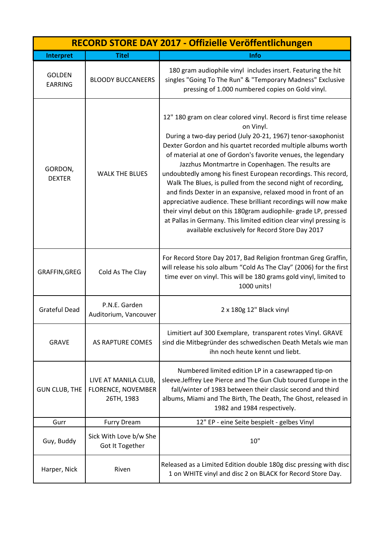| RECORD STORE DAY 2017 - Offizielle Veröffentlichungen |                                                                 |                                                                                                                                                                                                                                                                                                                                                                                                                                                                                                                                                                                                                                                                                                                                                                                                         |
|-------------------------------------------------------|-----------------------------------------------------------------|---------------------------------------------------------------------------------------------------------------------------------------------------------------------------------------------------------------------------------------------------------------------------------------------------------------------------------------------------------------------------------------------------------------------------------------------------------------------------------------------------------------------------------------------------------------------------------------------------------------------------------------------------------------------------------------------------------------------------------------------------------------------------------------------------------|
| <b>Interpret</b>                                      | <b>Titel</b>                                                    | Info                                                                                                                                                                                                                                                                                                                                                                                                                                                                                                                                                                                                                                                                                                                                                                                                    |
| <b>GOLDEN</b><br><b>EARRING</b>                       | <b>BLOODY BUCCANEERS</b>                                        | 180 gram audiophile vinyl includes insert. Featuring the hit<br>singles "Going To The Run" & "Temporary Madness" Exclusive<br>pressing of 1.000 numbered copies on Gold vinyl.                                                                                                                                                                                                                                                                                                                                                                                                                                                                                                                                                                                                                          |
| GORDON,<br><b>DEXTER</b>                              | <b>WALK THE BLUES</b>                                           | 12" 180 gram on clear colored vinyl. Record is first time release<br>on Vinyl.<br>During a two-day period (July 20-21, 1967) tenor-saxophonist<br>Dexter Gordon and his quartet recorded multiple albums worth<br>of material at one of Gordon's favorite venues, the legendary<br>Jazzhus Montmartre in Copenhagen. The results are<br>undoubtedly among his finest European recordings. This record,<br>Walk The Blues, is pulled from the second night of recording,<br>and finds Dexter in an expansive, relaxed mood in front of an<br>appreciative audience. These brilliant recordings will now make<br>their vinyl debut on this 180gram audiophile- grade LP, pressed<br>at Pallas in Germany. This limited edition clear vinyl pressing is<br>available exclusively for Record Store Day 2017 |
| GRAFFIN, GREG                                         | Cold As The Clay                                                | For Record Store Day 2017, Bad Religion frontman Greg Graffin,<br>will release his solo album "Cold As The Clay" (2006) for the first<br>time ever on vinyl. This will be 180 grams gold vinyl, limited to<br>1000 units!                                                                                                                                                                                                                                                                                                                                                                                                                                                                                                                                                                               |
| <b>Grateful Dead</b>                                  | P.N.E. Garden<br>Auditorium, Vancouver                          | 2 x 180g 12" Black vinyl                                                                                                                                                                                                                                                                                                                                                                                                                                                                                                                                                                                                                                                                                                                                                                                |
| <b>GRAVE</b>                                          | AS RAPTURE COMES                                                | Limitiert auf 300 Exemplare, transparent rotes Vinyl. GRAVE<br>sind die Mitbegründer des schwedischen Death Metals wie man<br>ihn noch heute kennt und liebt.                                                                                                                                                                                                                                                                                                                                                                                                                                                                                                                                                                                                                                           |
| <b>GUN CLUB, THE</b>                                  | LIVE AT MANILA CLUB,<br><b>FLORENCE, NOVEMBER</b><br>26TH, 1983 | Numbered limited edition LP in a casewrapped tip-on<br>sleeve.Jeffrey Lee Pierce and The Gun Club toured Europe in the<br>fall/winter of 1983 between their classic second and third<br>albums, Miami and The Birth, The Death, The Ghost, released in<br>1982 and 1984 respectively.                                                                                                                                                                                                                                                                                                                                                                                                                                                                                                                   |
| Gurr                                                  | <b>Furry Dream</b>                                              | 12" EP - eine Seite bespielt - gelbes Vinyl                                                                                                                                                                                                                                                                                                                                                                                                                                                                                                                                                                                                                                                                                                                                                             |
| Guy, Buddy                                            | Sick With Love b/w She<br>Got It Together                       | 10"                                                                                                                                                                                                                                                                                                                                                                                                                                                                                                                                                                                                                                                                                                                                                                                                     |
| Harper, Nick                                          | Riven                                                           | Released as a Limited Edition double 180g disc pressing with disc<br>1 on WHITE vinyl and disc 2 on BLACK for Record Store Day.                                                                                                                                                                                                                                                                                                                                                                                                                                                                                                                                                                                                                                                                         |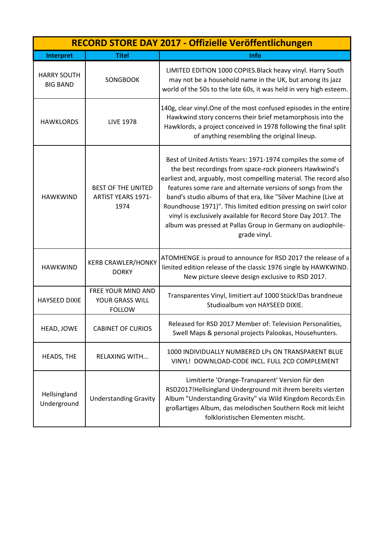|                                       | RECORD STORE DAY 2017 - Offizielle Veröffentlichungen          |                                                                                                                                                                                                                                                                                                                                                                                                                                                                                                                                                   |  |
|---------------------------------------|----------------------------------------------------------------|---------------------------------------------------------------------------------------------------------------------------------------------------------------------------------------------------------------------------------------------------------------------------------------------------------------------------------------------------------------------------------------------------------------------------------------------------------------------------------------------------------------------------------------------------|--|
| Interpret                             | <b>Titel</b>                                                   | Info                                                                                                                                                                                                                                                                                                                                                                                                                                                                                                                                              |  |
| <b>HARRY SOUTH</b><br><b>BIG BAND</b> | <b>SONGBOOK</b>                                                | LIMITED EDITION 1000 COPIES. Black heavy vinyl. Harry South<br>may not be a household name in the UK, but among its jazz<br>world of the 50s to the late 60s, it was held in very high esteem.                                                                                                                                                                                                                                                                                                                                                    |  |
| <b>HAWKLORDS</b>                      | <b>LIVE 1978</b>                                               | 140g, clear vinyl. One of the most confused episodes in the entire<br>Hawkwind story concerns their brief metamorphosis into the<br>Hawklords, a project conceived in 1978 following the final split<br>of anything resembling the original lineup.                                                                                                                                                                                                                                                                                               |  |
| <b>HAWKWIND</b>                       | <b>BEST OF THE UNITED</b><br><b>ARTIST YEARS 1971-</b><br>1974 | Best of United Artists Years: 1971-1974 compiles the some of<br>the best recordings from space-rock pioneers Hawkwind's<br>earliest and, arguably, most compelling material. The record also<br>features some rare and alternate versions of songs from the<br>band's studio albums of that era, like "Silver Machine (Live at<br>Roundhouse 1971)". This limited edition pressing on swirl color<br>vinyl is exclusively available for Record Store Day 2017. The<br>album was pressed at Pallas Group in Germany on audiophile-<br>grade vinyl. |  |
| <b>HAWKWIND</b>                       | <b>KERB CRAWLER/HONKY</b><br><b>DORKY</b>                      | ATOMHENGE is proud to announce for RSD 2017 the release of a<br>limited edition release of the classic 1976 single by HAWKWIND.<br>New picture sleeve design exclusive to RSD 2017.                                                                                                                                                                                                                                                                                                                                                               |  |
| <b>HAYSEED DIXIE</b>                  | <b>FREE YOUR MIND AND</b><br>YOUR GRASS WILL<br><b>FOLLOW</b>  | Transparentes Vinyl, limitiert auf 1000 Stück!Das brandneue<br>Studioalbum von HAYSEED DIXIE.                                                                                                                                                                                                                                                                                                                                                                                                                                                     |  |
| HEAD, JOWE                            | <b>CABINET OF CURIOS</b>                                       | Released for RSD 2017 Member of: Television Personalities,<br>Swell Maps & personal projects Palookas, Househunters.                                                                                                                                                                                                                                                                                                                                                                                                                              |  |
| HEADS, THE                            | <b>RELAXING WITH</b>                                           | 1000 INDIVIDUALLY NUMBERED LPs ON TRANSPARENT BLUE<br>VINYL! DOWNLOAD-CODE INCL. FULL 2CD COMPLEMENT                                                                                                                                                                                                                                                                                                                                                                                                                                              |  |
| Hellsingland<br>Underground           | <b>Understanding Gravity</b>                                   | Limitierte 'Orange-Transparent' Version für den<br>RSD2017!Hellsingland Underground mit ihrem bereits vierten<br>Album "Understanding Gravity" via Wild Kingdom Records: Ein<br>großartiges Album, das melodischen Southern Rock mit leicht<br>folkloristischen Elementen mischt.                                                                                                                                                                                                                                                                 |  |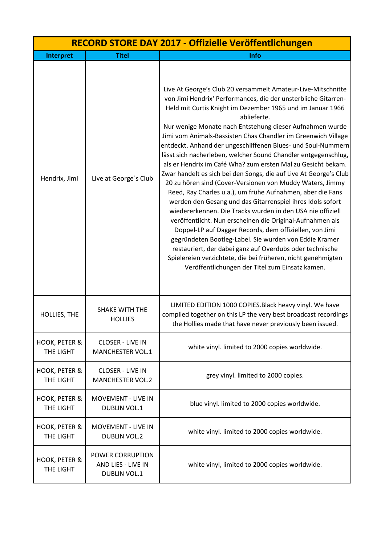|                            | RECORD STORE DAY 2017 - Offizielle Veröffentlichungen         |                                                                                                                                                                                                                                                                                                                                                                                                                                                                                                                                                                                                                                                                                                                                                                                                                                                                                                                                                                                                                                                                                                                                                                                                                                         |  |
|----------------------------|---------------------------------------------------------------|-----------------------------------------------------------------------------------------------------------------------------------------------------------------------------------------------------------------------------------------------------------------------------------------------------------------------------------------------------------------------------------------------------------------------------------------------------------------------------------------------------------------------------------------------------------------------------------------------------------------------------------------------------------------------------------------------------------------------------------------------------------------------------------------------------------------------------------------------------------------------------------------------------------------------------------------------------------------------------------------------------------------------------------------------------------------------------------------------------------------------------------------------------------------------------------------------------------------------------------------|--|
| Interpret                  | <b>Titel</b>                                                  | Info                                                                                                                                                                                                                                                                                                                                                                                                                                                                                                                                                                                                                                                                                                                                                                                                                                                                                                                                                                                                                                                                                                                                                                                                                                    |  |
| Hendrix, Jimi              | Live at George's Club                                         | Live At George's Club 20 versammelt Amateur-Live-Mitschnitte<br>von Jimi Hendrix' Performances, die der unsterbliche Gitarren-<br>Held mit Curtis Knight im Dezember 1965 und im Januar 1966<br>ablieferte.<br>Nur wenige Monate nach Entstehung dieser Aufnahmen wurde<br>Jimi vom Animals-Bassisten Chas Chandler im Greenwich Village<br>entdeckt. Anhand der ungeschliffenen Blues- und Soul-Nummern<br>lässt sich nacherleben, welcher Sound Chandler entgegenschlug,<br>als er Hendrix im Café Wha? zum ersten Mal zu Gesicht bekam.<br>Zwar handelt es sich bei den Songs, die auf Live At George's Club<br>20 zu hören sind (Cover-Versionen von Muddy Waters, Jimmy<br>Reed, Ray Charles u.a.), um frühe Aufnahmen, aber die Fans<br>werden den Gesang und das Gitarrenspiel ihres Idols sofort<br>wiedererkennen. Die Tracks wurden in den USA nie offiziell<br>veröffentlicht. Nun erscheinen die Original-Aufnahmen als<br>Doppel-LP auf Dagger Records, dem offiziellen, von Jimi<br>gegründeten Bootleg-Label. Sie wurden von Eddie Kramer<br>restauriert, der dabei ganz auf Overdubs oder technische<br>Spielereien verzichtete, die bei früheren, nicht genehmigten<br>Veröffentlichungen der Titel zum Einsatz kamen. |  |
| HOLLIES, THE               | <b>SHAKE WITH THE</b><br><b>HOLLIES</b>                       | LIMITED EDITION 1000 COPIES. Black heavy vinyl. We have<br>compiled together on this LP the very best broadcast recordings<br>the Hollies made that have never previously been issued.                                                                                                                                                                                                                                                                                                                                                                                                                                                                                                                                                                                                                                                                                                                                                                                                                                                                                                                                                                                                                                                  |  |
| HOOK, PETER &<br>THE LIGHT | <b>CLOSER - LIVE IN</b><br>MANCHESTER VOL.1                   | white vinyl. limited to 2000 copies worldwide.                                                                                                                                                                                                                                                                                                                                                                                                                                                                                                                                                                                                                                                                                                                                                                                                                                                                                                                                                                                                                                                                                                                                                                                          |  |
| HOOK, PETER &<br>THE LIGHT | <b>CLOSER - LIVE IN</b><br><b>MANCHESTER VOL.2</b>            | grey vinyl. limited to 2000 copies.                                                                                                                                                                                                                                                                                                                                                                                                                                                                                                                                                                                                                                                                                                                                                                                                                                                                                                                                                                                                                                                                                                                                                                                                     |  |
| HOOK, PETER &<br>THE LIGHT | <b>MOVEMENT - LIVE IN</b><br><b>DUBLIN VOL.1</b>              | blue vinyl. limited to 2000 copies worldwide.                                                                                                                                                                                                                                                                                                                                                                                                                                                                                                                                                                                                                                                                                                                                                                                                                                                                                                                                                                                                                                                                                                                                                                                           |  |
| HOOK, PETER &<br>THE LIGHT | <b>MOVEMENT - LIVE IN</b><br><b>DUBLIN VOL.2</b>              | white vinyl. limited to 2000 copies worldwide.                                                                                                                                                                                                                                                                                                                                                                                                                                                                                                                                                                                                                                                                                                                                                                                                                                                                                                                                                                                                                                                                                                                                                                                          |  |
| HOOK, PETER &<br>THE LIGHT | POWER CORRUPTION<br>AND LIES - LIVE IN<br><b>DUBLIN VOL.1</b> | white vinyl, limited to 2000 copies worldwide.                                                                                                                                                                                                                                                                                                                                                                                                                                                                                                                                                                                                                                                                                                                                                                                                                                                                                                                                                                                                                                                                                                                                                                                          |  |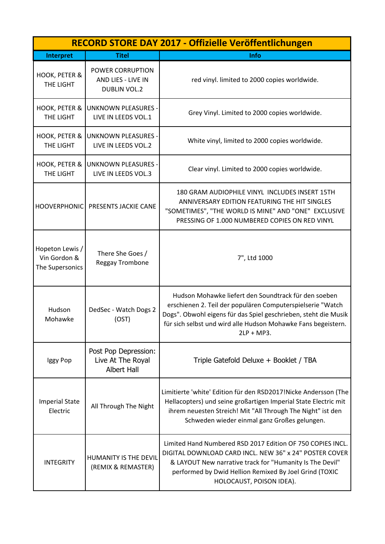| RECORD STORE DAY 2017 - Offizielle Veröffentlichungen |                                                               |                                                                                                                                                                                                                                                                         |
|-------------------------------------------------------|---------------------------------------------------------------|-------------------------------------------------------------------------------------------------------------------------------------------------------------------------------------------------------------------------------------------------------------------------|
| Interpret                                             | <b>Titel</b>                                                  | Info                                                                                                                                                                                                                                                                    |
| HOOK, PETER &<br>THE LIGHT                            | POWER CORRUPTION<br>AND LIES - LIVE IN<br><b>DUBLIN VOL.2</b> | red vinyl. limited to 2000 copies worldwide.                                                                                                                                                                                                                            |
| HOOK, PETER &<br>THE LIGHT                            | <b>UNKNOWN PLEASURES -</b><br>LIVE IN LEEDS VOL.1             | Grey Vinyl. Limited to 2000 copies worldwide.                                                                                                                                                                                                                           |
| HOOK, PETER &<br>THE LIGHT                            | <b>UNKNOWN PLEASURES -</b><br>LIVE IN LEEDS VOL.2             | White vinyl, limited to 2000 copies worldwide.                                                                                                                                                                                                                          |
| HOOK, PETER &<br>THE LIGHT                            | <b>UNKNOWN PLEASURES -</b><br>LIVE IN LEEDS VOL.3             | Clear vinyl. Limited to 2000 copies worldwide.                                                                                                                                                                                                                          |
| HOOVERPHONIC                                          | PRESENTS JACKIE CANE                                          | 180 GRAM AUDIOPHILE VINYL INCLUDES INSERT 15TH<br>ANNIVERSARY EDITION FEATURING THE HIT SINGLES<br>"SOMETIMES", "THE WORLD IS MINE" AND "ONE" EXCLUSIVE<br>PRESSING OF 1.000 NUMBERED COPIES ON RED VINYL                                                               |
| Hopeton Lewis /<br>Vin Gordon &<br>The Supersonics    | There She Goes /<br>Reggay Trombone                           | 7", Ltd 1000                                                                                                                                                                                                                                                            |
| Hudson<br>Mohawke                                     | DedSec - Watch Dogs 2<br>(OST)                                | Hudson Mohawke liefert den Soundtrack für den soeben<br>erschienen 2. Teil der populären Computerspielserie "Watch<br>Dogs". Obwohl eigens für das Spiel geschrieben, steht die Musik<br>für sich selbst und wird alle Hudson Mohawke Fans begeistern.<br>$2LP + MP3$ . |
| Iggy Pop                                              | Post Pop Depression:<br>Live At The Royal<br>Albert Hall      | Triple Gatefold Deluxe + Booklet / TBA                                                                                                                                                                                                                                  |
| <b>Imperial State</b><br>Electric                     | All Through The Night                                         | Limitierte 'white' Edition für den RSD2017!Nicke Andersson (The<br>Hellacopters) und seine großartigen Imperial State Electric mit<br>ihrem neuesten Streich! Mit "All Through The Night" ist den<br>Schweden wieder einmal ganz Großes gelungen.                       |
| <b>INTEGRITY</b>                                      | HUMANITY IS THE DEVIL<br>(REMIX & REMASTER)                   | Limited Hand Numbered RSD 2017 Edition OF 750 COPIES INCL.<br>DIGITAL DOWNLOAD CARD INCL. NEW 36" x 24" POSTER COVER<br>& LAYOUT New narrative track for "Humanity Is The Devil"<br>performed by Dwid Hellion Remixed By Joel Grind (TOXIC<br>HOLOCAUST, POISON IDEA).  |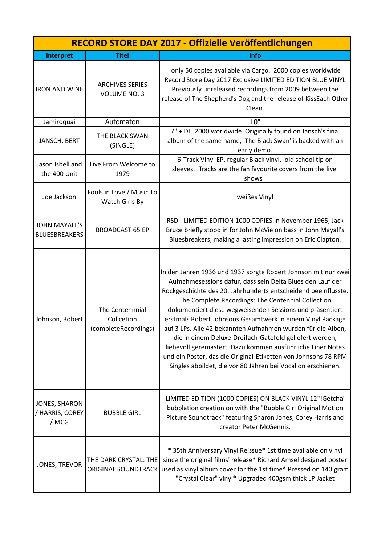| RECORD STORE DAY 2017 - Offizielle Veröffentlichungen |                                                       |                                                                                                                                                                                                                                                                                                                                                                                                                                                                                                                                                                                                                                                                                                            |
|-------------------------------------------------------|-------------------------------------------------------|------------------------------------------------------------------------------------------------------------------------------------------------------------------------------------------------------------------------------------------------------------------------------------------------------------------------------------------------------------------------------------------------------------------------------------------------------------------------------------------------------------------------------------------------------------------------------------------------------------------------------------------------------------------------------------------------------------|
| <b>Interpret</b>                                      | <b>Titel</b>                                          | Info                                                                                                                                                                                                                                                                                                                                                                                                                                                                                                                                                                                                                                                                                                       |
| <b>IRON AND WINE</b>                                  | <b>ARCHIVES SERIES</b><br><b>VOLUME NO. 3</b>         | only 50 copies available via Cargo. 2000 copies worldwide<br>Record Store Day 2017 Exclusive LIMITED EDITION BLUE VINYL<br>Previously unreleased recordings from 2009 between the<br>release of The Shepherd's Dog and the release of KissEach Other<br>Clean.                                                                                                                                                                                                                                                                                                                                                                                                                                             |
| Jamiroquai                                            | Automaton                                             | 10"                                                                                                                                                                                                                                                                                                                                                                                                                                                                                                                                                                                                                                                                                                        |
| JANSCH, BERT                                          | THE BLACK SWAN<br>(SINGLE)                            | 7" + DL. 2000 worldwide. Originally found on Jansch's final<br>album of the same name, 'The Black Swan' is backed with an<br>early demo.                                                                                                                                                                                                                                                                                                                                                                                                                                                                                                                                                                   |
| Jason Isbell and<br>the 400 Unit                      | Live From Welcome to<br>1979                          | 6-Track Vinyl EP, regular Black vinyl, old school tip on<br>sleeves. Tracks are the fan favourite covers from the live<br>shows                                                                                                                                                                                                                                                                                                                                                                                                                                                                                                                                                                            |
| Joe Jackson                                           | Fools in Love / Music To<br>Watch Girls By            | weißes Vinyl                                                                                                                                                                                                                                                                                                                                                                                                                                                                                                                                                                                                                                                                                               |
| <b>JOHN MAYALL'S</b><br><b>BLUESBREAKERS</b>          | <b>BROADCAST 65 EP</b>                                | RSD - LIMITED EDITION 1000 COPIES.In November 1965, Jack<br>Bruce briefly stood in for John McVie on bass in John Mayall's<br>Bluesbreakers, making a lasting impression on Eric Clapton.                                                                                                                                                                                                                                                                                                                                                                                                                                                                                                                  |
| Johnson, Robert                                       | The Centennnial<br>Collcetion<br>(completeRecordings) | In den Jahren 1936 und 1937 sorgte Robert Johnson mit nur zwei<br>Aufnahmesessions dafür, dass sein Delta Blues den Lauf der<br>Rockgeschichte des 20. Jahrhunderts entscheidend beeinflusste.<br>The Complete Recordings: The Centennial Collection<br>dokumentiert diese wegweisenden Sessions und präsentiert<br>erstmals Robert Johnsons Gesamtwerk in einem Vinyl Package<br>auf 3 LPs. Alle 42 bekannten Aufnahmen wurden für die Alben,<br>die in einem Deluxe-Dreifach-Gatefold geliefert werden,<br>liebevoll geremastert. Dazu kommen ausführliche Liner Notes<br>und ein Poster, das die Original-Etiketten von Johnsons 78 RPM<br>Singles abbildet, die vor 80 Jahren bei Vocalion erschienen. |
| JONES, SHARON<br>/ HARRIS, COREY<br>/ MCG             | <b>BUBBLE GIRL</b>                                    | LIMITED EDITION (1000 COPIES) ON BLACK VINYL 12"!Getcha'<br>bubblation creation on with the "Bubble Girl Original Motion<br>Picture Soundtrack" featuring Sharon Jones, Corey Harris and<br>creator Peter McGennis.                                                                                                                                                                                                                                                                                                                                                                                                                                                                                        |
| JONES, TREVOR                                         | THE DARK CRYSTAL: THE<br><b>ORIGINAL SOUNDTRACK</b>   | * 35th Anniversary Vinyl Reissue* 1st time available on vinyl<br>since the original films' release* Richard Amsel designed poster<br>used as vinyl album cover for the 1st time* Pressed on 140 gram<br>"Crystal Clear" vinyl* Upgraded 400gsm thick LP Jacket                                                                                                                                                                                                                                                                                                                                                                                                                                             |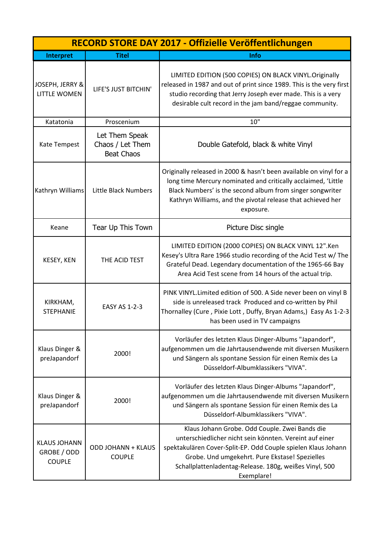| RECORD STORE DAY 2017 - Offizielle Veröffentlichungen |                                                         |                                                                                                                                                                                                                                                                                                      |
|-------------------------------------------------------|---------------------------------------------------------|------------------------------------------------------------------------------------------------------------------------------------------------------------------------------------------------------------------------------------------------------------------------------------------------------|
| Interpret                                             | <b>Titel</b>                                            | <b>Info</b>                                                                                                                                                                                                                                                                                          |
| JOSEPH, JERRY &<br><b>LITTLE WOMEN</b>                | LIFE'S JUST BITCHIN'                                    | LIMITED EDITION (500 COPIES) ON BLACK VINYL. Originally<br>released in 1987 and out of print since 1989. This is the very first<br>studio recording that Jerry Joseph ever made. This is a very<br>desirable cult record in the jam band/reggae community.                                           |
| Katatonia                                             | Proscenium                                              | 10"                                                                                                                                                                                                                                                                                                  |
| Kate Tempest                                          | Let Them Speak<br>Chaos / Let Them<br><b>Beat Chaos</b> | Double Gatefold, black & white Vinyl                                                                                                                                                                                                                                                                 |
| Kathryn Williams                                      | Little Black Numbers                                    | Originally released in 2000 & hasn't been available on vinyl for a<br>long time Mercury nominated and critically acclaimed, 'Little<br>Black Numbers' is the second album from singer songwriter<br>Kathryn Williams, and the pivotal release that achieved her<br>exposure.                         |
| Keane                                                 | Tear Up This Town                                       | Picture Disc single                                                                                                                                                                                                                                                                                  |
| KESEY, KEN                                            | THE ACID TEST                                           | LIMITED EDITION (2000 COPIES) ON BLACK VINYL 12".Ken<br>Kesey's Ultra Rare 1966 studio recording of the Acid Test w/ The<br>Grateful Dead. Legendary documentation of the 1965-66 Bay<br>Area Acid Test scene from 14 hours of the actual trip.                                                      |
| KIRKHAM,<br><b>STEPHANIE</b>                          | EASY AS 1-2-3                                           | PINK VINYL. Limited edition of 500. A Side never been on vinyl B<br>side is unreleased track Produced and co-written by Phil<br>Thornalley (Cure, Pixie Lott, Duffy, Bryan Adams,) Easy As 1-2-3<br>has been used in TV campaigns                                                                    |
| Klaus Dinger &<br>preJapandorf                        | 2000!                                                   | Vorläufer des letzten Klaus Dinger-Albums "Japandorf",<br>aufgenommen um die Jahrtausendwende mit diversen Musikern<br>und Sängern als spontane Session für einen Remix des La<br>Düsseldorf-Albumklassikers "VIVA".                                                                                 |
| Klaus Dinger &<br>preJapandorf                        | 2000!                                                   | Vorläufer des letzten Klaus Dinger-Albums "Japandorf",<br>aufgenommen um die Jahrtausendwende mit diversen Musikern<br>und Sängern als spontane Session für einen Remix des La<br>Düsseldorf-Albumklassikers "VIVA".                                                                                 |
| <b>KLAUS JOHANN</b><br>GROBE / ODD<br><b>COUPLE</b>   | <b>ODD JOHANN + KLAUS</b><br><b>COUPLE</b>              | Klaus Johann Grobe. Odd Couple. Zwei Bands die<br>unterschiedlicher nicht sein könnten. Vereint auf einer<br>spektakulären Cover-Split-EP. Odd Couple spielen Klaus Johann<br>Grobe. Und umgekehrt. Pure Ekstase! Spezielles<br>Schallplattenladentag-Release. 180g, weißes Vinyl, 500<br>Exemplare! |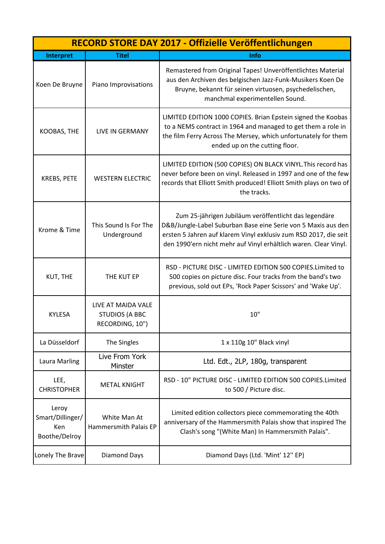|                                                   | RECORD STORE DAY 2017 - Offizielle Veröffentlichungen          |                                                                                                                                                                                                                                                                |  |
|---------------------------------------------------|----------------------------------------------------------------|----------------------------------------------------------------------------------------------------------------------------------------------------------------------------------------------------------------------------------------------------------------|--|
| Interpret                                         | <b>Titel</b>                                                   | Info                                                                                                                                                                                                                                                           |  |
| Koen De Bruyne                                    | Piano Improvisations                                           | Remastered from Original Tapes! Unveröffentlichtes Material<br>aus den Archiven des belgischen Jazz-Funk-Musikers Koen De<br>Bruyne, bekannt für seinen virtuosen, psychedelischen,<br>manchmal experimentellen Sound.                                         |  |
| KOOBAS, THE                                       | <b>LIVE IN GERMANY</b>                                         | LIMITED EDITION 1000 COPIES. Brian Epstein signed the Koobas<br>to a NEMS contract in 1964 and managed to get them a role in<br>the film Ferry Across The Mersey, which unfortunately for them<br>ended up on the cutting floor.                               |  |
| KREBS, PETE                                       | <b>WESTERN ELECTRIC</b>                                        | LIMITED EDITION (500 COPIES) ON BLACK VINYL. This record has<br>never before been on vinyl. Released in 1997 and one of the few<br>records that Elliott Smith produced! Elliott Smith plays on two of<br>the tracks.                                           |  |
| Krome & Time                                      | This Sound Is For The<br>Underground                           | Zum 25-jährigen Jubiläum veröffentlicht das legendäre<br>D&B/Jungle-Label Suburban Base eine Serie von 5 Maxis aus den<br>ersten 5 Jahren auf klarem Vinyl exklusiv zum RSD 2017, die seit<br>den 1990'ern nicht mehr auf Vinyl erhältlich waren. Clear Vinyl. |  |
| KUT, THE                                          | THE KUT EP                                                     | RSD - PICTURE DISC - LIMITED EDITION 500 COPIES. Limited to<br>500 copies on picture disc. Four tracks from the band's two<br>previous, sold out EPs, 'Rock Paper Scissors' and 'Wake Up'.                                                                     |  |
| <b>KYLESA</b>                                     | LIVE AT MAIDA VALE<br><b>STUDIOS (A BBC</b><br>RECORDING, 10") | 10"                                                                                                                                                                                                                                                            |  |
| La Düsseldorf                                     | The Singles                                                    | 1 x 110g 10" Black vinyl                                                                                                                                                                                                                                       |  |
| <b>Laura Marling</b>                              | Live From York<br>Minster                                      | Ltd. Edt., 2LP, 180g, transparent                                                                                                                                                                                                                              |  |
| LEE,<br><b>CHRISTOPHER</b>                        | <b>METAL KNIGHT</b>                                            | RSD - 10" PICTURE DISC - LIMITED EDITION 500 COPIES.Limited<br>to 500 / Picture disc.                                                                                                                                                                          |  |
| Leroy<br>Smart/Dillinger/<br>Ken<br>Boothe/Delroy | White Man At<br>Hammersmith Palais EP                          | Limited edition collectors piece commemorating the 40th<br>anniversary of the Hammersmith Palais show that inspired The<br>Clash's song "(White Man) In Hammersmith Palais".                                                                                   |  |
| Lonely The Brave                                  | Diamond Days                                                   | Diamond Days (Ltd. 'Mint' 12" EP)                                                                                                                                                                                                                              |  |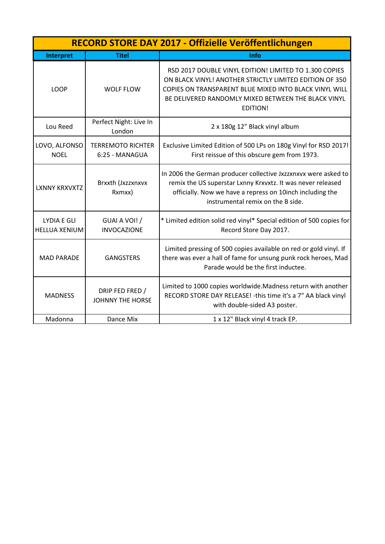| RECORD STORE DAY 2017 - Offizielle Veröffentlichungen |                                            |                                                                                                                                                                                                                                                       |
|-------------------------------------------------------|--------------------------------------------|-------------------------------------------------------------------------------------------------------------------------------------------------------------------------------------------------------------------------------------------------------|
| <b>Interpret</b>                                      | <b>Titel</b>                               | Info                                                                                                                                                                                                                                                  |
| <b>LOOP</b>                                           | <b>WOLF FLOW</b>                           | RSD 2017 DOUBLE VINYL EDITION! LIMITED TO 1.300 COPIES<br>ON BLACK VINYL! ANOTHER STRICTLY LIMITED EDITION OF 350<br>COPIES ON TRANSPARENT BLUE MIXED INTO BLACK VINYL WILL<br>BE DELIVERED RANDOMLY MIXED BETWEEN THE BLACK VINYL<br><b>EDITION!</b> |
| Lou Reed                                              | Perfect Night: Live In<br>London           | 2 x 180g 12" Black vinyl album                                                                                                                                                                                                                        |
| LOVO, ALFONSO<br><b>NOEL</b>                          | <b>TERREMOTO RICHTER</b><br>6:25 - MANAGUA | Exclusive Limited Edition of 500 LPs on 180g Vinyl for RSD 2017!<br>First reissue of this obscure gem from 1973.                                                                                                                                      |
| <b>LXNNY KRXVXTZ</b>                                  | Brxxth (Jxzzxnxvx<br>Rxmxx)                | In 2006 the German producer collective Jxzzxnxvx were asked to<br>remix the US superstar Lxnny Krxvxtz. It was never released<br>officially. Now we have a repress on 10inch including the<br>instrumental remix on the B side.                       |
| <b>LYDIA E GLI</b><br><b>HELLUA XENIUM</b>            | GUAI A VOI! /<br><b>INVOCAZIONE</b>        | * Limited edition solid red vinyl* Special edition of 500 copies for<br>Record Store Day 2017.                                                                                                                                                        |
| <b>MAD PARADE</b>                                     | <b>GANGSTERS</b>                           | Limited pressing of 500 copies available on red or gold vinyl. If<br>there was ever a hall of fame for unsung punk rock heroes, Mad<br>Parade would be the first inductee.                                                                            |
| <b>MADNESS</b>                                        | DRIP FED FRED /<br><b>JOHNNY THE HORSE</b> | Limited to 1000 copies worldwide. Madness return with another<br>RECORD STORE DAY RELEASE! - this time it's a 7" AA black vinyl<br>with double-sided A3 poster.                                                                                       |
| Madonna                                               | Dance Mix                                  | 1 x 12" Black vinyl 4 track EP.                                                                                                                                                                                                                       |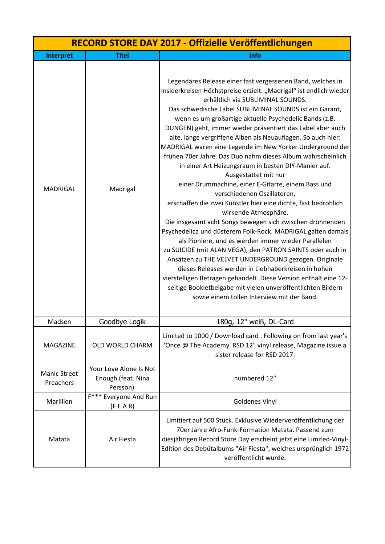| RECORD STORE DAY 2017 - Offizielle Veröffentlichungen |                                                          |                                                                                                                                                                                                                                                                                                                                                                                                                                                                                                                                                                                                                                                                                                                                                                                                                                                                                                                                                                                                                                                                                                                                                                                                                                                                                                                                                                       |
|-------------------------------------------------------|----------------------------------------------------------|-----------------------------------------------------------------------------------------------------------------------------------------------------------------------------------------------------------------------------------------------------------------------------------------------------------------------------------------------------------------------------------------------------------------------------------------------------------------------------------------------------------------------------------------------------------------------------------------------------------------------------------------------------------------------------------------------------------------------------------------------------------------------------------------------------------------------------------------------------------------------------------------------------------------------------------------------------------------------------------------------------------------------------------------------------------------------------------------------------------------------------------------------------------------------------------------------------------------------------------------------------------------------------------------------------------------------------------------------------------------------|
| <b>Interpret</b>                                      | <b>Titel</b>                                             | Info                                                                                                                                                                                                                                                                                                                                                                                                                                                                                                                                                                                                                                                                                                                                                                                                                                                                                                                                                                                                                                                                                                                                                                                                                                                                                                                                                                  |
| <b>MADRIGAL</b>                                       | Madrigal                                                 | Legendäres Release einer fast vergessenen Band, welches in<br>Insiderkreisen Höchstpreise erzielt. "Madrigal" ist endlich wieder<br>erhältlich via SUBLIMINAL SOUNDS.<br>Das schwedische Label SUBLIMINAL SOUNDS ist ein Garant,<br>wenn es um großartige aktuelle Psychedelic Bands (z.B.<br>DUNGEN) geht, immer wieder präsentiert das Label aber auch<br>alte, lange vergriffene Alben als Neuauflagen. So auch hier:<br>MADRIGAL waren eine Legende im New Yorker Underground der<br>frühen 70er Jahre. Das Duo nahm dieses Album wahrscheinlich<br>in einer Art Heizungsraum in besten DIY-Manier auf.<br>Ausgestattet mit nur<br>einer Drummachine, einer E-Gitarre, einem Bass und<br>verschiedenen Oszillatoren,<br>erschaffen die zwei Künstler hier eine dichte, fast bedrohlich<br>wirkende Atmosphäre.<br>Die insgesamt acht Songs bewegen sich zwischen dröhnenden<br>Psychedelica und düsterem Folk-Rock. MADRIGAL galten damals<br>als Pioniere, und es werden immer wieder Parallelen<br>zu SUICIDE (mit ALAN VEGA), den PATRON SAINTS oder auch in<br>Ansätzen zu THE VELVET UNDERGROUND gezogen. Originale<br>dieses Releases werden in Liebhaberkreisen in hohen<br>vierstelligen Beträgen gehandelt. Diese Version enthält eine 12-<br>seitige Bookletbeigabe mit vielen unveröffentlichten Bildern<br>sowie einem tollen Interview mit der Band. |
| Madsen                                                | Goodbye Logik                                            | 180g, 12" weiß, DL-Card                                                                                                                                                                                                                                                                                                                                                                                                                                                                                                                                                                                                                                                                                                                                                                                                                                                                                                                                                                                                                                                                                                                                                                                                                                                                                                                                               |
| <b>MAGAZINE</b>                                       | OLD WORLD CHARM                                          | Limited to 1000 / Download card . Following on from last year's<br>'Once @ The Academy' RSD 12" vinyl release, Magazine issue a<br>sister release for RSD 2017.                                                                                                                                                                                                                                                                                                                                                                                                                                                                                                                                                                                                                                                                                                                                                                                                                                                                                                                                                                                                                                                                                                                                                                                                       |
| <b>Manic Street</b><br>Preachers                      | Your Love Alone Is Not<br>Enough (feat. Nina<br>Persson) | numbered 12"                                                                                                                                                                                                                                                                                                                                                                                                                                                                                                                                                                                                                                                                                                                                                                                                                                                                                                                                                                                                                                                                                                                                                                                                                                                                                                                                                          |
| Marillion                                             | $F***$<br>Everyone And Run<br>(F E A R)                  | <b>Goldenes Vinyl</b>                                                                                                                                                                                                                                                                                                                                                                                                                                                                                                                                                                                                                                                                                                                                                                                                                                                                                                                                                                                                                                                                                                                                                                                                                                                                                                                                                 |
| Matata                                                | Air Fiesta                                               | Limitiert auf 500 Stück. Exklusive Wiederveröffentlichung der<br>70er Jahre Afro-Funk-Formation Matata. Passend zum<br>diesjährigen Record Store Day erscheint jetzt eine Limited-Vinyl-<br>Edition des Debütalbums "Air Fiesta", welches ursprünglich 1972<br>veröffentlicht wurde.                                                                                                                                                                                                                                                                                                                                                                                                                                                                                                                                                                                                                                                                                                                                                                                                                                                                                                                                                                                                                                                                                  |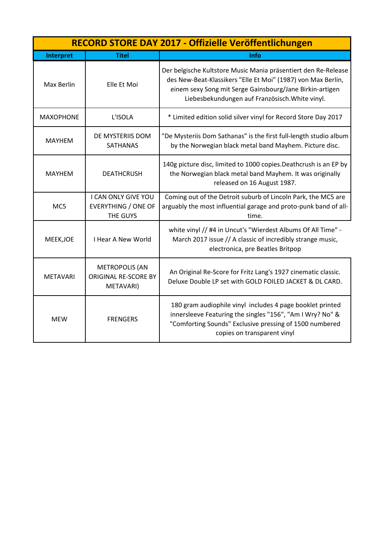|                  | RECORD STORE DAY 2017 - Offizielle Veröffentlichungen             |                                                                                                                                                                                                                                               |  |
|------------------|-------------------------------------------------------------------|-----------------------------------------------------------------------------------------------------------------------------------------------------------------------------------------------------------------------------------------------|--|
| Interpret        | <b>Titel</b>                                                      | <b>Info</b>                                                                                                                                                                                                                                   |  |
| Max Berlin       | Elle Et Moi                                                       | Der belgische Kultstore Music Mania präsentiert den Re-Release<br>des New-Beat-Klassikers "Elle Et Moi" (1987) von Max Berlin,<br>einem sexy Song mit Serge Gainsbourg/Jane Birkin-artigen<br>Liebesbekundungen auf Französisch. White vinyl. |  |
| <b>MAXOPHONE</b> | L'ISOLA                                                           | * Limited edition solid silver vinyl for Record Store Day 2017                                                                                                                                                                                |  |
| <b>MAYHEM</b>    | DE MYSTERIIS DOM<br><b>SATHANAS</b>                               | "De Mysteriis Dom Sathanas" is the first full-length studio album<br>by the Norwegian black metal band Mayhem. Picture disc.                                                                                                                  |  |
| <b>MAYHEM</b>    | <b>DEATHCRUSH</b>                                                 | 140g picture disc, limited to 1000 copies. Deathcrush is an EP by<br>the Norwegian black metal band Mayhem. It was originally<br>released on 16 August 1987.                                                                                  |  |
| MC5              | I CAN ONLY GIVE YOU<br><b>EVERYTHING / ONE OF</b><br>THE GUYS     | Coming out of the Detroit suburb of Lincoln Park, the MC5 are<br>arguably the most influential garage and proto-punk band of all-<br>time.                                                                                                    |  |
| MEEK, JOE        | <b>I Hear A New World</b>                                         | white vinyl // #4 in Uncut's "Wierdest Albums Of All Time" -<br>March 2017 issue // A classic of incredibly strange music,<br>electronica, pre Beatles Britpop                                                                                |  |
| <b>METAVARI</b>  | <b>METROPOLIS (AN</b><br><b>ORIGINAL RE-SCORE BY</b><br>METAVARI) | An Original Re-Score for Fritz Lang's 1927 cinematic classic.<br>Deluxe Double LP set with GOLD FOILED JACKET & DL CARD.                                                                                                                      |  |
| <b>MEW</b>       | <b>FRENGERS</b>                                                   | 180 gram audiophile vinyl includes 4 page booklet printed<br>innersleeve Featuring the singles "156", "Am I Wry? No" &<br>"Comforting Sounds" Exclusive pressing of 1500 numbered<br>copies on transparent vinyl                              |  |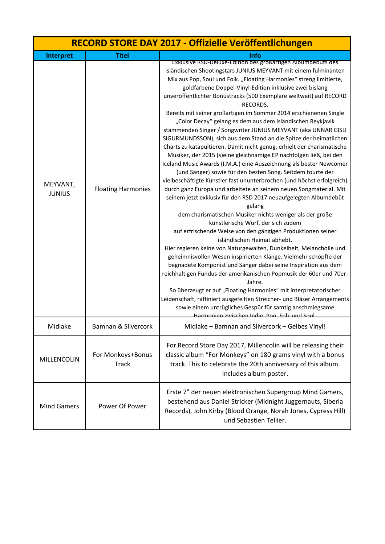| RECORD STORE DAY 2017 - Offizielle Veröffentlichungen |                                   |                                                                                                                                                                                                                                                                                                                                                                                                                                                                                                                                                                                                                                                                                                                                                                                                                                                                                                                                                                                                                                                                                                                                                                                                                                                                                                                                                                                                                                                                                                                                                                                                                                                                                                                                                                                                                                                                                                        |
|-------------------------------------------------------|-----------------------------------|--------------------------------------------------------------------------------------------------------------------------------------------------------------------------------------------------------------------------------------------------------------------------------------------------------------------------------------------------------------------------------------------------------------------------------------------------------------------------------------------------------------------------------------------------------------------------------------------------------------------------------------------------------------------------------------------------------------------------------------------------------------------------------------------------------------------------------------------------------------------------------------------------------------------------------------------------------------------------------------------------------------------------------------------------------------------------------------------------------------------------------------------------------------------------------------------------------------------------------------------------------------------------------------------------------------------------------------------------------------------------------------------------------------------------------------------------------------------------------------------------------------------------------------------------------------------------------------------------------------------------------------------------------------------------------------------------------------------------------------------------------------------------------------------------------------------------------------------------------------------------------------------------------|
| Interpret                                             | <b>Titel</b>                      | <b>Info</b>                                                                                                                                                                                                                                                                                                                                                                                                                                                                                                                                                                                                                                                                                                                                                                                                                                                                                                                                                                                                                                                                                                                                                                                                                                                                                                                                                                                                                                                                                                                                                                                                                                                                                                                                                                                                                                                                                            |
| MEYVANT,<br><b>JUNIUS</b>                             | <b>Floating Harmonies</b>         | EXKIUSIVE RSD-Deluxe-Edition des großartigen Albumdebuts des<br>isländischen Shootingstars JUNIUS MEYVANT mit einem fulminanten<br>Mix aus Pop, Soul und Folk. "Floating Harmonies" streng limitierte,<br>goldfarbene Doppel-Vinyl-Edition inklusive zwei bislang<br>unveröffentlichter Bonustracks (500 Exemplare weltweit) auf RECORD<br>RECORDS.<br>Bereits mit seiner großartigen im Sommer 2014 erschienenen Single<br>"Color Decay" gelang es dem aus dem isländischen Reykjavík<br>stammenden Singer / Songwriter JUNIUS MEYVANT (aka UNNAR GISLI<br>SIGURMUNDSSON), sich aus dem Stand an die Spitze der heimatlichen<br>Charts zu katapultieren. Damit nicht genug, erhielt der charismatische<br>Musiker, der 2015 (s)eine gleichnamige EP nachfolgen ließ, bei den<br>Iceland Music Awards (I.M.A.) eine Auszeichnung als bester Newcomer<br>(und Sänger) sowie für den besten Song. Seitdem tourte der<br>vielbeschäftigte Künstler fast ununterbrochen (und höchst erfolgreich)<br>durch ganz Europa und arbeitete an seinem neuen Songmaterial. Mit<br>seinem jetzt exklusiv für den RSD 2017 neuaufgelegten Albumdebüt<br>gelang<br>dem charismatischen Musiker nichts weniger als der große<br>künstlerische Wurf, der sich zudem<br>auf erfrischende Weise von den gängigen Produktionen seiner<br>isländischen Heimat abhebt.<br>Hier regieren keine von Naturgewalten, Dunkelheit, Melancholie und<br>geheimnisvollen Wesen inspirierten Klänge. Vielmehr schöpfte der<br>begnadete Komponist und Sänger dabei seine Inspiration aus dem<br>reichhaltigen Fundus der amerikanischen Popmusik der 60er und 70er-<br>Jahre.<br>So überzeugt er auf "Floating Harmonies" mit interpretatorischer<br>Leidenschaft, raffiniert ausgefeilten Streicher- und Bläser Arrangements<br>sowie einem untrügliches Gespür für samtig anschmiegsame<br>Harmonien zwischen Indie Don Folk und Soul |
| Midlake                                               | Bamnan & Slivercork               | Midlake - Bamnan and Slivercork - Gelbes Vinyl!                                                                                                                                                                                                                                                                                                                                                                                                                                                                                                                                                                                                                                                                                                                                                                                                                                                                                                                                                                                                                                                                                                                                                                                                                                                                                                                                                                                                                                                                                                                                                                                                                                                                                                                                                                                                                                                        |
| MILLENCOLIN                                           | For Monkeys+Bonus<br><b>Track</b> | For Record Store Day 2017, Millencolin will be releasing their<br>classic album "For Monkeys" on 180 grams vinyl with a bonus<br>track. This to celebrate the 20th anniversary of this album.<br>Includes album poster.                                                                                                                                                                                                                                                                                                                                                                                                                                                                                                                                                                                                                                                                                                                                                                                                                                                                                                                                                                                                                                                                                                                                                                                                                                                                                                                                                                                                                                                                                                                                                                                                                                                                                |
| <b>Mind Gamers</b>                                    | Power Of Power                    | Erste 7" der neuen elektronischen Supergroup Mind Gamers,<br>bestehend aus Daniel Stricker (Midnight Juggernauts, Siberia<br>Records), John Kirby (Blood Orange, Norah Jones, Cypress Hill)<br>und Sebastien Tellier.                                                                                                                                                                                                                                                                                                                                                                                                                                                                                                                                                                                                                                                                                                                                                                                                                                                                                                                                                                                                                                                                                                                                                                                                                                                                                                                                                                                                                                                                                                                                                                                                                                                                                  |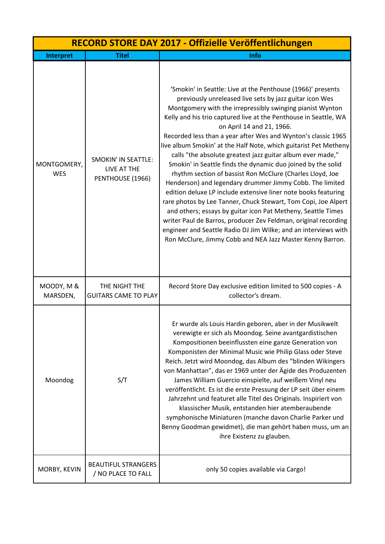| RECORD STORE DAY 2017 - Offizielle Veröffentlichungen |                                                               |                                                                                                                                                                                                                                                                                                                                                                                                                                                                                                                                                                                                                                                                                                                                                                                                                                                                                                                                                                                                                                                                                         |
|-------------------------------------------------------|---------------------------------------------------------------|-----------------------------------------------------------------------------------------------------------------------------------------------------------------------------------------------------------------------------------------------------------------------------------------------------------------------------------------------------------------------------------------------------------------------------------------------------------------------------------------------------------------------------------------------------------------------------------------------------------------------------------------------------------------------------------------------------------------------------------------------------------------------------------------------------------------------------------------------------------------------------------------------------------------------------------------------------------------------------------------------------------------------------------------------------------------------------------------|
| Interpret                                             | <b>Titel</b>                                                  | Info                                                                                                                                                                                                                                                                                                                                                                                                                                                                                                                                                                                                                                                                                                                                                                                                                                                                                                                                                                                                                                                                                    |
| MONTGOMERY,<br><b>WES</b>                             | <b>SMOKIN' IN SEATTLE:</b><br>LIVE AT THE<br>PENTHOUSE (1966) | 'Smokin' in Seattle: Live at the Penthouse (1966)' presents<br>previously unreleased live sets by jazz guitar icon Wes<br>Montgomery with the irrepressibly swinging pianist Wynton<br>Kelly and his trio captured live at the Penthouse in Seattle, WA<br>on April 14 and 21, 1966.<br>Recorded less than a year after Wes and Wynton's classic 1965<br>live album Smokin' at the Half Note, which guitarist Pet Metheny<br>calls "the absolute greatest jazz guitar album ever made,"<br>Smokin' in Seattle finds the dynamic duo joined by the solid<br>rhythm section of bassist Ron McClure (Charles Lloyd, Joe<br>Henderson) and legendary drummer Jimmy Cobb. The limited<br>edition deluxe LP include extensive liner note books featuring<br>rare photos by Lee Tanner, Chuck Stewart, Tom Copi, Joe Alpert<br>and others; essays by guitar icon Pat Metheny, Seattle Times<br>writer Paul de Barros, producer Zev Feldman, original recording<br>engineer and Seattle Radio DJ Jim Wilke; and an interviews with<br>Ron McClure, Jimmy Cobb and NEA Jazz Master Kenny Barron. |
| MOODY, M &                                            | THE NIGHT THE                                                 | Record Store Day exclusive edition limited to 500 copies - A                                                                                                                                                                                                                                                                                                                                                                                                                                                                                                                                                                                                                                                                                                                                                                                                                                                                                                                                                                                                                            |
| MARSDEN,<br>Moondog                                   | <b>GUITARS CAME TO PLAY</b><br>S/T                            | collector's dream.<br>Er wurde als Louis Hardin geboren, aber in der Musikwelt<br>verewigte er sich als Moondog. Seine avantgardistischen<br>Kompositionen beeinflussten eine ganze Generation von<br>Komponisten der Minimal Music wie Philip Glass oder Steve<br>Reich. Jetzt wird Moondog, das Album des "blinden Wikingers<br>von Manhattan", das er 1969 unter der Ägide des Produzenten<br>James William Guercio einspielte, auf weißem Vinyl neu<br>veröffentlicht. Es ist die erste Pressung der LP seit über einem<br>Jahrzehnt und featuret alle Titel des Originals. Inspiriert von<br>klassischer Musik, entstanden hier atemberaubende<br>symphonische Miniaturen (manche davon Charlie Parker und<br>Benny Goodman gewidmet), die man gehört haben muss, um an<br>ihre Existenz zu glauben.                                                                                                                                                                                                                                                                               |
| MORBY, KEVIN                                          | <b>BEAUTIFUL STRANGERS</b><br>/ NO PLACE TO FALL              | only 50 copies available via Cargo!                                                                                                                                                                                                                                                                                                                                                                                                                                                                                                                                                                                                                                                                                                                                                                                                                                                                                                                                                                                                                                                     |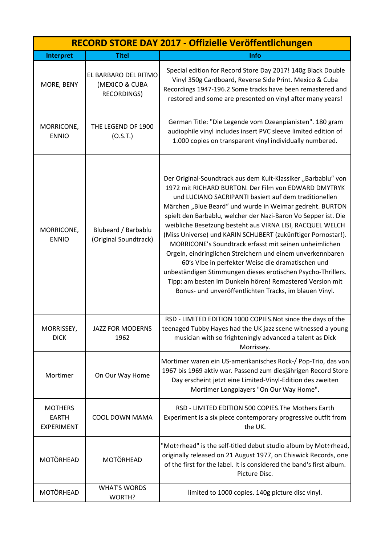|                                                     |                                                              | RECORD STORE DAY 2017 - Offizielle Veröffentlichungen                                                                                                                                                                                                                                                                                                                                                                                                                                                                                                                                                                                                                                                                                                                                                        |
|-----------------------------------------------------|--------------------------------------------------------------|--------------------------------------------------------------------------------------------------------------------------------------------------------------------------------------------------------------------------------------------------------------------------------------------------------------------------------------------------------------------------------------------------------------------------------------------------------------------------------------------------------------------------------------------------------------------------------------------------------------------------------------------------------------------------------------------------------------------------------------------------------------------------------------------------------------|
| Interpret                                           | <b>Titel</b>                                                 | Info                                                                                                                                                                                                                                                                                                                                                                                                                                                                                                                                                                                                                                                                                                                                                                                                         |
| MORE, BENY                                          | EL BARBARO DEL RITMO<br>(MEXICO & CUBA<br><b>RECORDINGS)</b> | Special edition for Record Store Day 2017! 140g Black Double<br>Vinyl 350g Cardboard, Reverse Side Print. Mexico & Cuba<br>Recordings 1947-196.2 Some tracks have been remastered and<br>restored and some are presented on vinyl after many years!                                                                                                                                                                                                                                                                                                                                                                                                                                                                                                                                                          |
| MORRICONE,<br><b>ENNIO</b>                          | THE LEGEND OF 1900<br>(O.S.T.)                               | German Title: "Die Legende vom Ozeanpianisten". 180 gram<br>audiophile vinyl includes insert PVC sleeve limited edition of<br>1.000 copies on transparent vinyl individually numbered.                                                                                                                                                                                                                                                                                                                                                                                                                                                                                                                                                                                                                       |
| MORRICONE,<br><b>ENNIO</b>                          | Blubeard / Barbablu<br>(Original Soundtrack)                 | Der Original-Soundtrack aus dem Kult-Klassiker "Barbablu" von<br>1972 mit RICHARD BURTON. Der Film von EDWARD DMYTRYK<br>und LUCIANO SACRIPANTI basiert auf dem traditionellen<br>Märchen "Blue Beard" und wurde in Weimar gedreht. BURTON<br>spielt den Barbablu, welcher der Nazi-Baron Vo Sepper ist. Die<br>weibliche Besetzung besteht aus VIRNA LISI, RACQUEL WELCH<br>(Miss Universe) und KARIN SCHUBERT (zukünftiger Pornostar!).<br>MORRICONE's Soundtrack erfasst mit seinen unheimlichen<br>Orgeln, eindringlichen Streichern und einem unverkennbaren<br>60's Vibe in perfekter Weise die dramatischen und<br>unbeständigen Stimmungen dieses erotischen Psycho-Thrillers.<br>Tipp: am besten im Dunkeln hören! Remastered Version mit<br>Bonus- und unveröffentlichten Tracks, im blauen Vinyl. |
| MORRISSEY,<br><b>DICK</b>                           | <b>JAZZ FOR MODERNS</b><br>1962                              | RSD - LIMITED EDITION 1000 COPIES. Not since the days of the<br>teenaged Tubby Hayes had the UK jazz scene witnessed a young<br>musician with so frighteningly advanced a talent as Dick<br>Morrissey.                                                                                                                                                                                                                                                                                                                                                                                                                                                                                                                                                                                                       |
| Mortimer                                            | On Our Way Home                                              | Mortimer waren ein US-amerikanisches Rock-/ Pop-Trio, das von<br>1967 bis 1969 aktiv war. Passend zum diesjährigen Record Store<br>Day erscheint jetzt eine Limited-Vinyl-Edition des zweiten<br>Mortimer Longplayers "On Our Way Home".                                                                                                                                                                                                                                                                                                                                                                                                                                                                                                                                                                     |
| <b>MOTHERS</b><br><b>EARTH</b><br><b>EXPERIMENT</b> | COOL DOWN MAMA                                               | RSD - LIMITED EDITION 500 COPIES. The Mothers Earth<br>Experiment is a six piece contemporary progressive outfit from<br>the UK.                                                                                                                                                                                                                                                                                                                                                                                                                                                                                                                                                                                                                                                                             |
| <b>MOTÖRHEAD</b>                                    | <b>MOTÖRHEAD</b>                                             | "Mot÷rhead" is the self-titled debut studio album by Mot÷rhead,<br>originally released on 21 August 1977, on Chiswick Records, one<br>of the first for the label. It is considered the band's first album.<br>Picture Disc.                                                                                                                                                                                                                                                                                                                                                                                                                                                                                                                                                                                  |
| MOTÖRHEAD                                           | <b>WHAT'S WORDS</b><br>WORTH?                                | limited to 1000 copies. 140g picture disc vinyl.                                                                                                                                                                                                                                                                                                                                                                                                                                                                                                                                                                                                                                                                                                                                                             |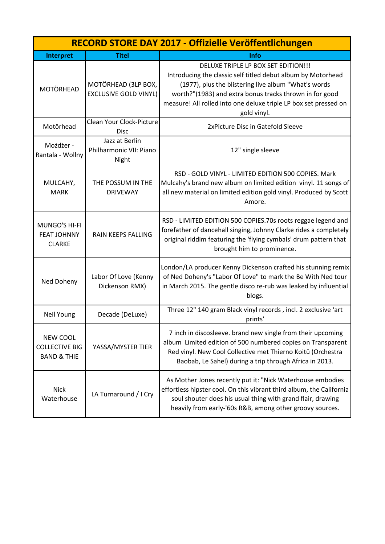| RECORD STORE DAY 2017 - Offizielle Veröffentlichungen              |                                                     |                                                                                                                                                                                                                                                                                                           |
|--------------------------------------------------------------------|-----------------------------------------------------|-----------------------------------------------------------------------------------------------------------------------------------------------------------------------------------------------------------------------------------------------------------------------------------------------------------|
| Interpret                                                          | <b>Titel</b>                                        | <b>Info</b>                                                                                                                                                                                                                                                                                               |
| <b>MOTÖRHEAD</b>                                                   | MOTÖRHEAD (3LP BOX,<br><b>EXCLUSIVE GOLD VINYL)</b> | DELUXE TRIPLE LP BOX SET EDITION!!!<br>Introducing the classic self titled debut album by Motorhead<br>(1977), plus the blistering live album "What's words<br>worth?"(1983) and extra bonus tracks thrown in for good<br>measure! All rolled into one deluxe triple LP box set pressed on<br>gold vinyl. |
| Motörhead                                                          | Clean Your Clock-Picture<br><b>Disc</b>             | 2xPicture Disc in Gatefold Sleeve                                                                                                                                                                                                                                                                         |
| Możdżer -<br>Rantala - Wollny                                      | Jazz at Berlin<br>Philharmonic VII: Piano<br>Night  | 12" single sleeve                                                                                                                                                                                                                                                                                         |
| MULCAHY,<br><b>MARK</b>                                            | THE POSSUM IN THE<br><b>DRIVEWAY</b>                | RSD - GOLD VINYL - LIMITED EDITION 500 COPIES. Mark<br>Mulcahy's brand new album on limited edition vinyl. 11 songs of<br>all new material on limited edition gold vinyl. Produced by Scott<br>Amore.                                                                                                     |
| MUNGO'S HI-FI<br><b>FEAT JOHNNY</b><br><b>CLARKE</b>               | <b>RAIN KEEPS FALLING</b>                           | RSD - LIMITED EDITION 500 COPIES.70s roots reggae legend and<br>forefather of dancehall singing, Johnny Clarke rides a completely<br>original riddim featuring the 'flying cymbals' drum pattern that<br>brought him to prominence.                                                                       |
| Ned Doheny                                                         | Labor Of Love (Kenny<br>Dickenson RMX)              | London/LA producer Kenny Dickenson crafted his stunning remix<br>of Ned Doheny's "Labor Of Love" to mark the Be With Ned tour<br>in March 2015. The gentle disco re-rub was leaked by influential<br>blogs.                                                                                               |
| Neil Young                                                         | Decade (DeLuxe)                                     | Three 12" 140 gram Black vinyl records, incl. 2 exclusive 'art<br>prints'                                                                                                                                                                                                                                 |
| <b>NEW COOL</b><br><b>COLLECTIVE BIG</b><br><b>BAND &amp; THIE</b> | YASSA/MYSTER TIER                                   | 7 inch in discosleeve. brand new single from their upcoming<br>album Limited edition of 500 numbered copies on Transparent<br>Red vinyl. New Cool Collective met Thierno Koitü (Orchestra<br>Baobab, Le Sahel) during a trip through Africa in 2013.                                                      |
| <b>Nick</b><br>Waterhouse                                          | LA Turnaround / I Cry                               | As Mother Jones recently put it: "Nick Waterhouse embodies<br>effortless hipster cool. On this vibrant third album, the California<br>soul shouter does his usual thing with grand flair, drawing<br>heavily from early-'60s R&B, among other groovy sources.                                             |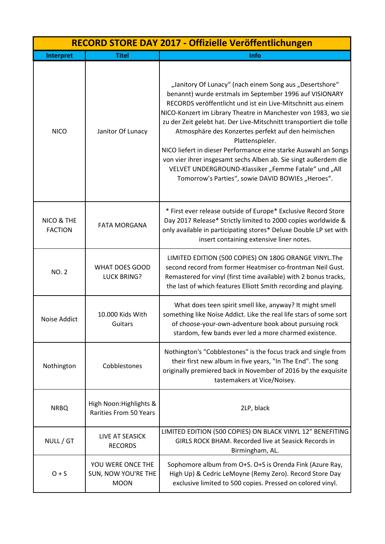| RECORD STORE DAY 2017 - Offizielle Veröffentlichungen |                                                         |                                                                                                                                                                                                                                                                                                                                                                                                                                                                                                                                                                                                                                                          |
|-------------------------------------------------------|---------------------------------------------------------|----------------------------------------------------------------------------------------------------------------------------------------------------------------------------------------------------------------------------------------------------------------------------------------------------------------------------------------------------------------------------------------------------------------------------------------------------------------------------------------------------------------------------------------------------------------------------------------------------------------------------------------------------------|
| <b>Interpret</b>                                      | <b>Titel</b>                                            | Info                                                                                                                                                                                                                                                                                                                                                                                                                                                                                                                                                                                                                                                     |
| <b>NICO</b>                                           | Janitor Of Lunacy                                       | "Janitory Of Lunacy" (nach einem Song aus "Desertshore"<br>benannt) wurde erstmals im September 1996 auf VISIONARY<br>RECORDS veröffentlicht und ist ein Live-Mitschnitt aus einem<br>NICO-Konzert im Library Theatre in Manchester von 1983, wo sie<br>zu der Zeit gelebt hat. Der Live-Mitschnitt transportiert die tolle<br>Atmosphäre des Konzertes perfekt auf den heimischen<br>Plattenspieler.<br>NICO liefert in dieser Performance eine starke Auswahl an Songs<br>von vier ihrer insgesamt sechs Alben ab. Sie singt außerdem die<br>VELVET UNDERGROUND-Klassiker "Femme Fatale" und "All<br>Tomorrow's Parties", sowie DAVID BOWIEs "Heroes". |
| NICO & THE<br><b>FACTION</b>                          | <b>FATA MORGANA</b>                                     | * First ever release outside of Europe* Exclusive Record Store<br>Day 2017 Release* Strictly limited to 2000 copies worldwide &<br>only available in participating stores* Deluxe Double LP set with<br>insert containing extensive liner notes.                                                                                                                                                                                                                                                                                                                                                                                                         |
| <b>NO. 2</b>                                          | <b>WHAT DOES GOOD</b><br><b>LUCK BRING?</b>             | LIMITED EDITION (500 COPIES) ON 180G ORANGE VINYL. The<br>second record from former Heatmiser co-frontman Neil Gust.<br>Remastered for vinyl (first time available) with 2 bonus tracks,<br>the last of which features Elliott Smith recording and playing.                                                                                                                                                                                                                                                                                                                                                                                              |
| Noise Addict                                          | 10.000 Kids With<br>Guitars                             | What does teen spirit smell like, anyway? It might smell<br>something like Noise Addict. Like the real life stars of some sort<br>of choose-your-own-adventure book about pursuing rock<br>stardom, few bands ever led a more charmed existence.                                                                                                                                                                                                                                                                                                                                                                                                         |
| Nothington                                            | Cobblestones                                            | Nothington's "Cobblestones" is the focus track and single from<br>their first new album in five years, "In The End". The song<br>originally premiered back in November of 2016 by the exquisite<br>tastemakers at Vice/Noisey.                                                                                                                                                                                                                                                                                                                                                                                                                           |
| <b>NRBQ</b>                                           | High Noon: Highlights &<br>Rarities From 50 Years       | 2LP, black                                                                                                                                                                                                                                                                                                                                                                                                                                                                                                                                                                                                                                               |
| NULL / GT                                             | LIVE AT SEASICK<br><b>RECORDS</b>                       | LIMITED EDITION (500 COPIES) ON BLACK VINYL 12" BENEFITING<br>GIRLS ROCK BHAM. Recorded live at Seasick Records in<br>Birmingham, AL.                                                                                                                                                                                                                                                                                                                                                                                                                                                                                                                    |
| $O + S$                                               | YOU WERE ONCE THE<br>SUN, NOW YOU'RE THE<br><b>MOON</b> | Sophomore album from O+S. O+S is Orenda Fink (Azure Ray,<br>High Up) & Cedric LeMoyne (Remy Zero). Record Store Day<br>exclusive limited to 500 copies. Pressed on colored vinyl.                                                                                                                                                                                                                                                                                                                                                                                                                                                                        |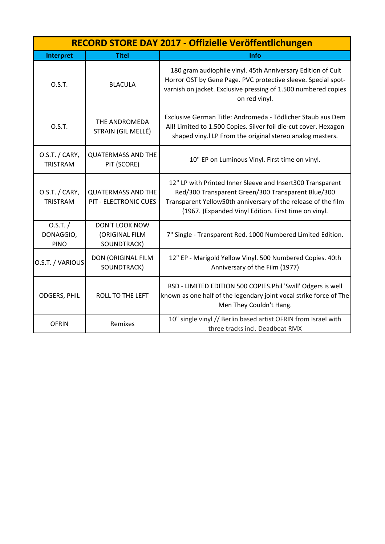|                                      | RECORD STORE DAY 2017 - Offizielle Veröffentlichungen     |                                                                                                                                                                                                                                           |  |
|--------------------------------------|-----------------------------------------------------------|-------------------------------------------------------------------------------------------------------------------------------------------------------------------------------------------------------------------------------------------|--|
| Interpret                            | <b>Titel</b>                                              | Info                                                                                                                                                                                                                                      |  |
| O.S.T.                               | <b>BLACULA</b>                                            | 180 gram audiophile vinyl. 45th Anniversary Edition of Cult<br>Horror OST by Gene Page. PVC protective sleeve. Special spot-<br>varnish on jacket. Exclusive pressing of 1.500 numbered copies<br>on red vinyl.                           |  |
| O.S.T.                               | THE ANDROMEDA<br>STRAIN (GIL MELLÉ)                       | Exclusive German Title: Andromeda - Tödlicher Staub aus Dem<br>All! Limited to 1.500 Copies. Silver foil die-cut cover. Hexagon<br>shaped viny. ILP From the original stereo analog masters.                                              |  |
| O.S.T. / CARY,<br><b>TRISTRAM</b>    | <b>QUATERMASS AND THE</b><br>PIT (SCORE)                  | 10" EP on Luminous Vinyl. First time on vinyl.                                                                                                                                                                                            |  |
| O.S.T. / CARY,<br><b>TRISTRAM</b>    | <b>QUATERMASS AND THE</b><br><b>PIT - ELECTRONIC CUES</b> | 12" LP with Printed Inner Sleeve and Insert300 Transparent<br>Red/300 Transparent Green/300 Transparent Blue/300<br>Transparent Yellow50th anniversary of the release of the film<br>(1967.) Expanded Vinyl Edition. First time on vinyl. |  |
| 0.5.T. /<br>DONAGGIO,<br><b>PINO</b> | <b>DON'T LOOK NOW</b><br>(ORIGINAL FILM<br>SOUNDTRACK)    | 7" Single - Transparent Red. 1000 Numbered Limited Edition.                                                                                                                                                                               |  |
| O.S.T. / VARIOUS                     | DON (ORIGINAL FILM<br>SOUNDTRACK)                         | 12" EP - Marigold Yellow Vinyl. 500 Numbered Copies. 40th<br>Anniversary of the Film (1977)                                                                                                                                               |  |
| <b>ODGERS, PHIL</b>                  | <b>ROLL TO THE LEFT</b>                                   | RSD - LIMITED EDITION 500 COPIES.Phil 'Swill' Odgers is well<br>known as one half of the legendary joint vocal strike force of The<br>Men They Couldn't Hang.                                                                             |  |
| <b>OFRIN</b>                         | Remixes                                                   | 10" single vinyl // Berlin based artist OFRIN from Israel with<br>three tracks incl. Deadbeat RMX                                                                                                                                         |  |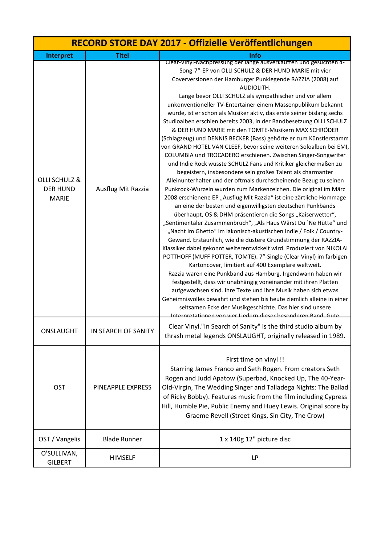| RECORD STORE DAY 2017 - Offizielle Veröffentlichungen |                     |                                                                                                                                                                                                                                                                                                                                                                                                                                                                                                                                                                                                                                                                                                                                                                                                                                                                                                                                                                                                                                                                                                                                                                                                                                                                                                                                                                                                                                                                                                                                                                                                                                                                                                                                                                                                                                                                                                                                                                                                                                                                         |
|-------------------------------------------------------|---------------------|-------------------------------------------------------------------------------------------------------------------------------------------------------------------------------------------------------------------------------------------------------------------------------------------------------------------------------------------------------------------------------------------------------------------------------------------------------------------------------------------------------------------------------------------------------------------------------------------------------------------------------------------------------------------------------------------------------------------------------------------------------------------------------------------------------------------------------------------------------------------------------------------------------------------------------------------------------------------------------------------------------------------------------------------------------------------------------------------------------------------------------------------------------------------------------------------------------------------------------------------------------------------------------------------------------------------------------------------------------------------------------------------------------------------------------------------------------------------------------------------------------------------------------------------------------------------------------------------------------------------------------------------------------------------------------------------------------------------------------------------------------------------------------------------------------------------------------------------------------------------------------------------------------------------------------------------------------------------------------------------------------------------------------------------------------------------------|
| Interpret                                             | <b>Titel</b>        | Info                                                                                                                                                                                                                                                                                                                                                                                                                                                                                                                                                                                                                                                                                                                                                                                                                                                                                                                                                                                                                                                                                                                                                                                                                                                                                                                                                                                                                                                                                                                                                                                                                                                                                                                                                                                                                                                                                                                                                                                                                                                                    |
| OLLI SCHULZ &<br><b>DER HUND</b><br><b>MARIE</b>      | Ausflug Mit Razzia  | Clear-Vinyl-Nachpressung der lange ausverkauften und gesuchten 4-<br>Song-7"-EP von OLLI SCHULZ & DER HUND MARIE mit vier<br>Coverversionen der Hamburger Punklegende RAZZIA (2008) auf<br>AUDIOLITH.<br>Lange bevor OLLI SCHULZ als sympathischer und vor allem<br>unkonventioneller TV-Entertainer einem Massenpublikum bekannt<br>wurde, ist er schon als Musiker aktiv, das erste seiner bislang sechs<br>Studioalben erschien bereits 2003, in der Bandbesetzung OLLI SCHULZ<br>& DER HUND MARIE mit den TOMTE-Musikern MAX SCHRÖDER<br>(Schlagzeug) und DENNIS BECKER (Bass) gehörte er zum Künstlerstamm<br>von GRAND HOTEL VAN CLEEF, bevor seine weiteren Soloalben bei EMI,<br>COLUMBIA und TROCADERO erschienen. Zwischen Singer-Songwriter<br>und Indie Rock wusste SCHULZ Fans und Kritiker gleichermaßen zu<br>begeistern, insbesondere sein großes Talent als charmanter<br>Alleinunterhalter und der oftmals durchscheinende Bezug zu seinen<br>Punkrock-Wurzeln wurden zum Markenzeichen. Die original im März<br>2008 erschienene EP "Ausflug Mit Razzia" ist eine zärtliche Hommage<br>an eine der besten und eigenwilligsten deutschen Punkbands<br>überhaupt, OS & DHM präsentieren die Songs "Kaiserwetter",<br>"Sentimentaler Zusammenbruch", "Als Haus Wärst Du `Ne Hütte" und<br>"Nacht Im Ghetto" im lakonisch-akustischen Indie / Folk / Country-<br>Gewand. Erstaunlich, wie die düstere Grundstimmung der RAZZIA-<br>Klassiker dabei gekonnt weiterentwickelt wird. Produziert von NIKOLAI<br>POTTHOFF (MUFF POTTER, TOMTE). 7"-Single (Clear Vinyl) im farbigen<br>Kartoncover, limitiert auf 400 Exemplare weltweit.<br>Razzia waren eine Punkband aus Hamburg. Irgendwann haben wir<br>festgestellt, dass wir unabhängig voneinander mit ihren Platten<br>aufgewachsen sind. Ihre Texte und ihre Musik haben sich etwas<br>Geheimnisvolles bewahrt und stehen bis heute ziemlich alleine in einer<br>seltsamen Ecke der Musikgeschichte. Das hier sind unsere<br><u> Internretationen von vier Liedern dieser besonderen Rand, Gute</u> |
| ONSLAUGHT                                             | IN SEARCH OF SANITY | Clear Vinyl."In Search of Sanity" is the third studio album by<br>thrash metal legends ONSLAUGHT, originally released in 1989.                                                                                                                                                                                                                                                                                                                                                                                                                                                                                                                                                                                                                                                                                                                                                                                                                                                                                                                                                                                                                                                                                                                                                                                                                                                                                                                                                                                                                                                                                                                                                                                                                                                                                                                                                                                                                                                                                                                                          |
| OST                                                   | PINEAPPLE EXPRESS   | First time on vinyl !!<br>Starring James Franco and Seth Rogen. From creators Seth<br>Rogen and Judd Apatow (Superbad, Knocked Up, The 40-Year-<br>Old-Virgin, The Wedding Singer and Talladega Nights: The Ballad<br>of Ricky Bobby). Features music from the film including Cypress<br>Hill, Humble Pie, Public Enemy and Huey Lewis. Original score by<br>Graeme Revell (Street Kings, Sin City, The Crow)                                                                                                                                                                                                                                                                                                                                                                                                                                                                                                                                                                                                                                                                                                                                                                                                                                                                                                                                                                                                                                                                                                                                                                                                                                                                                                                                                                                                                                                                                                                                                                                                                                                           |
| OST / Vangelis                                        | <b>Blade Runner</b> | 1 x 140g 12" picture disc                                                                                                                                                                                                                                                                                                                                                                                                                                                                                                                                                                                                                                                                                                                                                                                                                                                                                                                                                                                                                                                                                                                                                                                                                                                                                                                                                                                                                                                                                                                                                                                                                                                                                                                                                                                                                                                                                                                                                                                                                                               |
| O'SULLIVAN,<br><b>GILBERT</b>                         | <b>HIMSELF</b>      | LP                                                                                                                                                                                                                                                                                                                                                                                                                                                                                                                                                                                                                                                                                                                                                                                                                                                                                                                                                                                                                                                                                                                                                                                                                                                                                                                                                                                                                                                                                                                                                                                                                                                                                                                                                                                                                                                                                                                                                                                                                                                                      |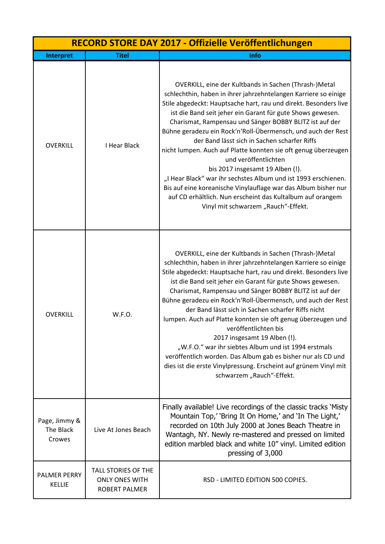| RECORD STORE DAY 2017 - Offizielle Veröffentlichungen |                                                                             |                                                                                                                                                                                                                                                                                                                                                                                                                                                                                                                                                                                                                                                                                                                                                                                                              |
|-------------------------------------------------------|-----------------------------------------------------------------------------|--------------------------------------------------------------------------------------------------------------------------------------------------------------------------------------------------------------------------------------------------------------------------------------------------------------------------------------------------------------------------------------------------------------------------------------------------------------------------------------------------------------------------------------------------------------------------------------------------------------------------------------------------------------------------------------------------------------------------------------------------------------------------------------------------------------|
| Interpret                                             | <b>Titel</b>                                                                | Info                                                                                                                                                                                                                                                                                                                                                                                                                                                                                                                                                                                                                                                                                                                                                                                                         |
| <b>OVERKILL</b>                                       | I Hear Black                                                                | OVERKILL, eine der Kultbands in Sachen (Thrash-)Metal<br>schlechthin, haben in ihrer jahrzehntelangen Karriere so einige<br>Stile abgedeckt: Hauptsache hart, rau und direkt. Besonders live<br>ist die Band seit jeher ein Garant für gute Shows gewesen.<br>Charismat, Rampensau und Sänger BOBBY BLITZ ist auf der<br>Bühne geradezu ein Rock'n'Roll-Übermensch, und auch der Rest<br>der Band lässt sich in Sachen scharfer Riffs<br>nicht lumpen. Auch auf Platte konnten sie oft genug überzeugen<br>und veröffentlichten<br>bis 2017 insgesamt 19 Alben (!).<br>"I Hear Black" war ihr sechstes Album und ist 1993 erschienen.<br>Bis auf eine koreanische Vinylauflage war das Album bisher nur<br>auf CD erhältlich. Nun erscheint das Kultalbum auf orangem<br>Vinyl mit schwarzem "Rauch"-Effekt. |
| <b>OVERKILL</b>                                       | W.F.O.                                                                      | OVERKILL, eine der Kultbands in Sachen (Thrash-)Metal<br>schlechthin, haben in ihrer jahrzehntelangen Karriere so einige<br>Stile abgedeckt: Hauptsache hart, rau und direkt. Besonders live<br>ist die Band seit jeher ein Garant für gute Shows gewesen.<br>Charismat, Rampensau und Sänger BOBBY BLITZ ist auf der<br>Bühne geradezu ein Rock'n'Roll-Übermensch, und auch der Rest<br>der Band lässt sich in Sachen scharfer Riffs nicht<br>lumpen. Auch auf Platte konnten sie oft genug überzeugen und<br>veröffentlichten bis<br>2017 insgesamt 19 Alben (!).<br>"W.F.O." war ihr siebtes Album und ist 1994 erstmals<br>veröffentlich worden. Das Album gab es bisher nur als CD und<br>dies ist die erste Vinylpressung. Erscheint auf grünem Vinyl mit<br>schwarzem "Rauch"-Effekt.                 |
| Page, Jimmy &<br>The Black<br>Crowes                  | Live At Jones Beach                                                         | Finally available! Live recordings of the classic tracks 'Misty<br>Mountain Top,' 'Bring It On Home,' and 'In The Light,'<br>recorded on 10th July 2000 at Jones Beach Theatre in<br>Wantagh, NY. Newly re-mastered and pressed on limited<br>edition marbled black and white 10" vinyl. Limited edition<br>pressing of 3,000                                                                                                                                                                                                                                                                                                                                                                                                                                                                                |
| <b>PALMER PERRY</b><br><b>KELLIE</b>                  | <b>TALL STORIES OF THE</b><br><b>ONLY ONES WITH</b><br><b>ROBERT PALMER</b> | RSD - LIMITED EDITION 500 COPIES.                                                                                                                                                                                                                                                                                                                                                                                                                                                                                                                                                                                                                                                                                                                                                                            |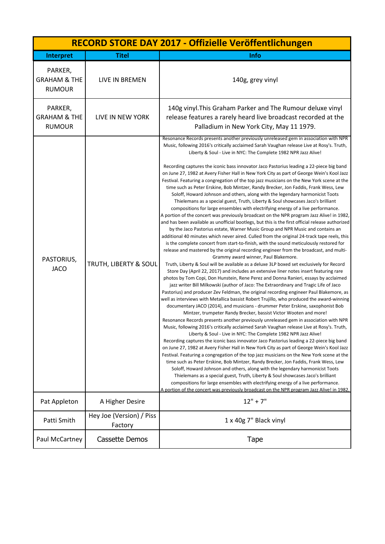| RECORD STORE DAY 2017 - Offizielle Veröffentlichungen |                                     |                                                                                                                                                                                                                                                                                                                                                                                                                                                                                                                                                                                                                                                                                                                                                                                                                                                                                                                                                                                                                                                                                                                                                                                                                                                                                                                                                                                                                                                                                                                                                                                                                                                                                                                                                                                                                                                                                                                                                                                                                                                                                                                                                                                                                                                                                                                                                                                                                                                                                                                                                                                                                                                                                                                                                                                                                                                                                                                                                                                                                                                                                                                          |
|-------------------------------------------------------|-------------------------------------|--------------------------------------------------------------------------------------------------------------------------------------------------------------------------------------------------------------------------------------------------------------------------------------------------------------------------------------------------------------------------------------------------------------------------------------------------------------------------------------------------------------------------------------------------------------------------------------------------------------------------------------------------------------------------------------------------------------------------------------------------------------------------------------------------------------------------------------------------------------------------------------------------------------------------------------------------------------------------------------------------------------------------------------------------------------------------------------------------------------------------------------------------------------------------------------------------------------------------------------------------------------------------------------------------------------------------------------------------------------------------------------------------------------------------------------------------------------------------------------------------------------------------------------------------------------------------------------------------------------------------------------------------------------------------------------------------------------------------------------------------------------------------------------------------------------------------------------------------------------------------------------------------------------------------------------------------------------------------------------------------------------------------------------------------------------------------------------------------------------------------------------------------------------------------------------------------------------------------------------------------------------------------------------------------------------------------------------------------------------------------------------------------------------------------------------------------------------------------------------------------------------------------------------------------------------------------------------------------------------------------------------------------------------------------------------------------------------------------------------------------------------------------------------------------------------------------------------------------------------------------------------------------------------------------------------------------------------------------------------------------------------------------------------------------------------------------------------------------------------------------|
| Interpret                                             | <b>Titel</b>                        | Info                                                                                                                                                                                                                                                                                                                                                                                                                                                                                                                                                                                                                                                                                                                                                                                                                                                                                                                                                                                                                                                                                                                                                                                                                                                                                                                                                                                                                                                                                                                                                                                                                                                                                                                                                                                                                                                                                                                                                                                                                                                                                                                                                                                                                                                                                                                                                                                                                                                                                                                                                                                                                                                                                                                                                                                                                                                                                                                                                                                                                                                                                                                     |
| PARKER,<br><b>GRAHAM &amp; THE</b><br><b>RUMOUR</b>   | LIVE IN BREMEN                      | 140g, grey vinyl                                                                                                                                                                                                                                                                                                                                                                                                                                                                                                                                                                                                                                                                                                                                                                                                                                                                                                                                                                                                                                                                                                                                                                                                                                                                                                                                                                                                                                                                                                                                                                                                                                                                                                                                                                                                                                                                                                                                                                                                                                                                                                                                                                                                                                                                                                                                                                                                                                                                                                                                                                                                                                                                                                                                                                                                                                                                                                                                                                                                                                                                                                         |
| PARKER,<br><b>GRAHAM &amp; THE</b><br><b>RUMOUR</b>   | LIVE IN NEW YORK                    | 140g vinyl. This Graham Parker and The Rumour deluxe vinyl<br>release features a rarely heard live broadcast recorded at the<br>Palladium in New York City, May 11 1979.                                                                                                                                                                                                                                                                                                                                                                                                                                                                                                                                                                                                                                                                                                                                                                                                                                                                                                                                                                                                                                                                                                                                                                                                                                                                                                                                                                                                                                                                                                                                                                                                                                                                                                                                                                                                                                                                                                                                                                                                                                                                                                                                                                                                                                                                                                                                                                                                                                                                                                                                                                                                                                                                                                                                                                                                                                                                                                                                                 |
| PASTORIUS,<br><b>JACO</b>                             | TRUTH, LIBERTY & SOUL               | Resonance Records presents another previously unreleased gem in association with NPR<br>Music, following 2016's critically acclaimed Sarah Vaughan release Live at Rosy's. Truth,<br>Liberty & Soul - Live in NYC: The Complete 1982 NPR Jazz Alive!<br>Recording captures the iconic bass innovator Jaco Pastorius leading a 22-piece big band<br>on June 27, 1982 at Avery Fisher Hall in New York City as part of George Wein's Kool Jazz<br>Festival. Featuring a congregation of the top jazz musicians on the New York scene at the<br>time such as Peter Erskine, Bob Mintzer, Randy Brecker, Jon Faddis, Frank Wess, Lew<br>Soloff, Howard Johnson and others, along with the legendary harmonicist Toots<br>Thielemans as a special guest, Truth, Liberty & Soul showcases Jaco's brilliant<br>compositions for large ensembles with electrifying energy of a live performance.<br>A portion of the concert was previously broadcast on the NPR program Jazz Alive! in 1982,<br>and has been available as unofficial bootlegs, but this is the first official release authorized<br>by the Jaco Pastorius estate, Warner Music Group and NPR Music and contains an<br>additional 40 minutes which never aired. Culled from the original 24-track tape reels, this<br>is the complete concert from start-to-finish, with the sound meticulously restored for<br>release and mastered by the original recording engineer from the broadcast, and multi-<br>Grammy award winner, Paul Blakemore.<br>Truth, Liberty & Soul will be available as a deluxe 3LP boxed set exclusively for Record<br>Store Day (April 22, 2017) and includes an extensive liner notes insert featuring rare<br>photos by Tom Copi, Don Hunstein, Rene Perez and Donna Ranieri, essays by acclaimed<br>jazz writer Bill Milkowski (author of Jaco: The Extraordinary and Tragic Life of Jaco<br>Pastorius) and producer Zev Feldman, the original recording engineer Paul Blakemore, as<br>well as interviews with Metallica bassist Robert Trujillo, who produced the award-winning<br>documentary JACO (2014), and musicians - drummer Peter Erskine, saxophonist Bob<br>Mintzer, trumpeter Randy Brecker, bassist Victor Wooten and more!<br>Resonance Records presents another previously unreleased gem in association with NPR<br>Music, following 2016's critically acclaimed Sarah Vaughan release Live at Rosy's. Truth,<br>Liberty & Soul - Live in NYC: The Complete 1982 NPR Jazz Alive!<br>Recording captures the iconic bass innovator Jaco Pastorius leading a 22-piece big band<br>on June 27, 1982 at Avery Fisher Hall in New York City as part of George Wein's Kool Jazz<br>Festival. Featuring a congregation of the top jazz musicians on the New York scene at the<br>time such as Peter Erskine, Bob Mintzer, Randy Brecker, Jon Faddis, Frank Wess, Lew<br>Soloff, Howard Johnson and others, along with the legendary harmonicist Toots<br>Thielemans as a special guest, Truth, Liberty & Soul showcases Jaco's brilliant<br>compositions for large ensembles with electrifying energy of a live performance. |
| Pat Appleton                                          | A Higher Desire                     | A portion of the concert was previously broadcast on the NPR program Jazz Alive! in 1982,<br>$12" + 7"$                                                                                                                                                                                                                                                                                                                                                                                                                                                                                                                                                                                                                                                                                                                                                                                                                                                                                                                                                                                                                                                                                                                                                                                                                                                                                                                                                                                                                                                                                                                                                                                                                                                                                                                                                                                                                                                                                                                                                                                                                                                                                                                                                                                                                                                                                                                                                                                                                                                                                                                                                                                                                                                                                                                                                                                                                                                                                                                                                                                                                  |
| Patti Smith                                           | Hey Joe (Version) / Piss<br>Factory | 1 x 40g 7" Black vinyl                                                                                                                                                                                                                                                                                                                                                                                                                                                                                                                                                                                                                                                                                                                                                                                                                                                                                                                                                                                                                                                                                                                                                                                                                                                                                                                                                                                                                                                                                                                                                                                                                                                                                                                                                                                                                                                                                                                                                                                                                                                                                                                                                                                                                                                                                                                                                                                                                                                                                                                                                                                                                                                                                                                                                                                                                                                                                                                                                                                                                                                                                                   |
| Paul McCartney                                        | Cassette Demos                      | <b>Tape</b>                                                                                                                                                                                                                                                                                                                                                                                                                                                                                                                                                                                                                                                                                                                                                                                                                                                                                                                                                                                                                                                                                                                                                                                                                                                                                                                                                                                                                                                                                                                                                                                                                                                                                                                                                                                                                                                                                                                                                                                                                                                                                                                                                                                                                                                                                                                                                                                                                                                                                                                                                                                                                                                                                                                                                                                                                                                                                                                                                                                                                                                                                                              |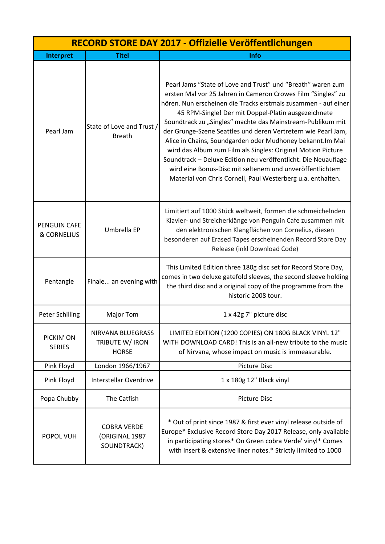| RECORD STORE DAY 2017 - Offizielle Veröffentlichungen |                                                      |                                                                                                                                                                                                                                                                                                                                                                                                                                                                                                                                                                                                                                                                                                                |
|-------------------------------------------------------|------------------------------------------------------|----------------------------------------------------------------------------------------------------------------------------------------------------------------------------------------------------------------------------------------------------------------------------------------------------------------------------------------------------------------------------------------------------------------------------------------------------------------------------------------------------------------------------------------------------------------------------------------------------------------------------------------------------------------------------------------------------------------|
| Interpret                                             | <b>Titel</b>                                         | Info                                                                                                                                                                                                                                                                                                                                                                                                                                                                                                                                                                                                                                                                                                           |
| Pearl Jam                                             | State of Love and Trust /<br><b>Breath</b>           | Pearl Jams "State of Love and Trust" und "Breath" waren zum<br>ersten Mal vor 25 Jahren in Cameron Crowes Film "Singles" zu<br>hören. Nun erscheinen die Tracks erstmals zusammen - auf einer<br>45 RPM-Single! Der mit Doppel-Platin ausgezeichnete<br>Soundtrack zu "Singles" machte das Mainstream-Publikum mit<br>der Grunge-Szene Seattles und deren Vertretern wie Pearl Jam,<br>Alice in Chains, Soundgarden oder Mudhoney bekannt. Im Mai<br>wird das Album zum Film als Singles: Original Motion Picture<br>Soundtrack - Deluxe Edition neu veröffentlicht. Die Neuauflage<br>wird eine Bonus-Disc mit seltenem und unveröffentlichtem<br>Material von Chris Cornell, Paul Westerberg u.a. enthalten. |
| <b>PENGUIN CAFE</b><br>& CORNELIUS                    | Umbrella EP                                          | Limitiert auf 1000 Stück weltweit, formen die schmeichelnden<br>Klavier- und Streicherklänge von Penguin Cafe zusammen mit<br>den elektronischen Klangflächen von Cornelius, diesen<br>besonderen auf Erased Tapes erscheinenden Record Store Day<br>Release (inkl Download Code)                                                                                                                                                                                                                                                                                                                                                                                                                              |
| Pentangle                                             | Finale an evening with                               | This Limited Edition three 180g disc set for Record Store Day,<br>comes in two deluxe gatefold sleeves, the second sleeve holding<br>the third disc and a original copy of the programme from the<br>historic 2008 tour.                                                                                                                                                                                                                                                                                                                                                                                                                                                                                       |
| <b>Peter Schilling</b>                                | Major Tom                                            | 1 x 42g 7" picture disc                                                                                                                                                                                                                                                                                                                                                                                                                                                                                                                                                                                                                                                                                        |
| PICKIN' ON<br><b>SERIES</b>                           | NIRVANA BLUEGRASS<br>TRIBUTE W/ IRON<br><b>HORSE</b> | LIMITED EDITION (1200 COPIES) ON 180G BLACK VINYL 12"<br>WITH DOWNLOAD CARD! This is an all-new tribute to the music<br>of Nirvana, whose impact on music is immeasurable.                                                                                                                                                                                                                                                                                                                                                                                                                                                                                                                                     |
| Pink Floyd                                            | London 1966/1967                                     | <b>Picture Disc</b>                                                                                                                                                                                                                                                                                                                                                                                                                                                                                                                                                                                                                                                                                            |
| Pink Floyd                                            | <b>Interstellar Overdrive</b>                        | 1 x 180g 12" Black vinyl                                                                                                                                                                                                                                                                                                                                                                                                                                                                                                                                                                                                                                                                                       |
| Popa Chubby                                           | The Catfish                                          | <b>Picture Disc</b>                                                                                                                                                                                                                                                                                                                                                                                                                                                                                                                                                                                                                                                                                            |
| POPOL VUH                                             | <b>COBRA VERDE</b><br>(ORIGINAL 1987<br>SOUNDTRACK)  | * Out of print since 1987 & first ever vinyl release outside of<br>Europe* Exclusive Record Store Day 2017 Release, only available<br>in participating stores* On Green cobra Verde' vinyl* Comes<br>with insert & extensive liner notes.* Strictly limited to 1000                                                                                                                                                                                                                                                                                                                                                                                                                                            |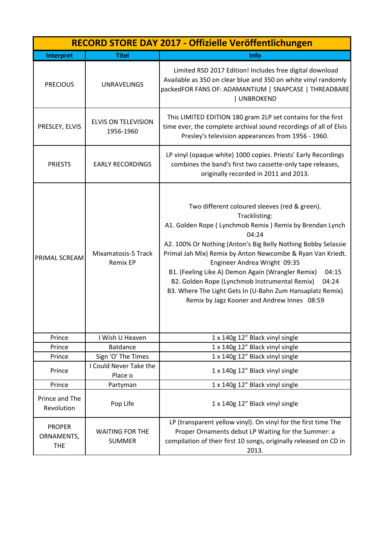| RECORD STORE DAY 2017 - Offizielle Veröffentlichungen |                                         |                                                                                                                                                                                                                                                                                                                                                                                                                                                                                                                                         |
|-------------------------------------------------------|-----------------------------------------|-----------------------------------------------------------------------------------------------------------------------------------------------------------------------------------------------------------------------------------------------------------------------------------------------------------------------------------------------------------------------------------------------------------------------------------------------------------------------------------------------------------------------------------------|
| Interpret                                             | <b>Titel</b>                            | <b>Info</b>                                                                                                                                                                                                                                                                                                                                                                                                                                                                                                                             |
| <b>PRECIOUS</b>                                       | <b>UNRAVELINGS</b>                      | Limited RSD 2017 Edition! Includes free digital download<br>Available as 350 on clear blue and 350 on white vinyl randomly<br>packedFOR FANS OF: ADAMANTIUM   SNAPCASE   THREADBARE<br>UNBROKEND                                                                                                                                                                                                                                                                                                                                        |
| PRESLEY, ELVIS                                        | <b>ELVIS ON TELEVISION</b><br>1956-1960 | This LIMITED EDITION 180 gram 2LP set contains for the first<br>time ever, the complete archival sound recordings of all of Elvis<br>Presley's television appearances from 1956 - 1960.                                                                                                                                                                                                                                                                                                                                                 |
| <b>PRIESTS</b>                                        | <b>EARLY RECORDINGS</b>                 | LP vinyl (opaque white) 1000 copies. Priests' Early Recordings<br>combines the band's first two cassette-only tape releases,<br>originally recorded in 2011 and 2013.                                                                                                                                                                                                                                                                                                                                                                   |
| PRIMAL SCREAM                                         | Mixamatosis-5 Track<br><b>Remix EP</b>  | Two different coloured sleeves (red & green).<br>Tracklisting:<br>A1. Golden Rope ( Lynchmob Remix ) Remix by Brendan Lynch<br>04:24<br>A2. 100% Or Nothing (Anton's Big Belly Nothing Bobby Selassie<br>Primal Jah Mix) Remix by Anton Newcombe & Ryan Van Kriedt.<br>Engineer Andrea Wright 09:35<br>B1. (Feeling Like A) Demon Again (Wrangler Remix)<br>04:15<br>B2. Golden Rope (Lynchmob Instrumental Remix)<br>04:24<br>B3. Where The Light Gets In (U-Bahn Zum Hansaplatz Remix)<br>Remix by Jagz Kooner and Andrew Innes 08:59 |
| Prince                                                | I Wish U Heaven                         | 1 x 140g 12" Black vinyl single                                                                                                                                                                                                                                                                                                                                                                                                                                                                                                         |
| Prince                                                | <b>Batdance</b>                         | 1 x 140g 12" Black vinyl single                                                                                                                                                                                                                                                                                                                                                                                                                                                                                                         |
| Prince                                                | Sign 'O' The Times                      | 1 x 140g 12" Black vinyl single                                                                                                                                                                                                                                                                                                                                                                                                                                                                                                         |
| Prince                                                | I Could Never Take the<br>Place o       | 1 x 140g 12" Black vinyl single                                                                                                                                                                                                                                                                                                                                                                                                                                                                                                         |
| Prince                                                | Partyman                                | 1 x 140g 12" Black vinyl single                                                                                                                                                                                                                                                                                                                                                                                                                                                                                                         |
| Prince and The<br>Revolution                          | Pop Life                                | 1 x 140g 12" Black vinyl single                                                                                                                                                                                                                                                                                                                                                                                                                                                                                                         |
| <b>PROPER</b><br>ORNAMENTS,<br><b>THE</b>             | <b>WAITING FOR THE</b><br><b>SUMMER</b> | LP (transparent yellow vinyl). On vinyl for the first time The<br>Proper Ornaments debut LP Waiting for the Summer: a<br>compilation of their first 10 songs, originally released on CD in<br>2013.                                                                                                                                                                                                                                                                                                                                     |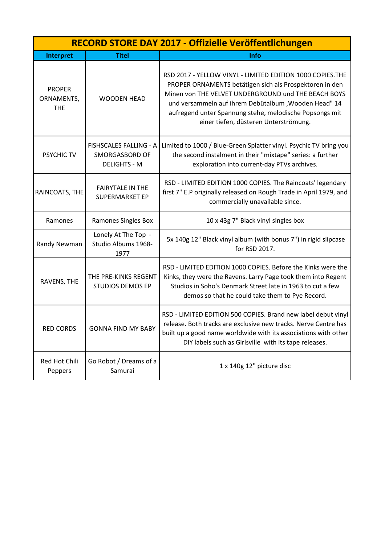|                                           | RECORD STORE DAY 2017 - Offizielle Veröffentlichungen           |                                                                                                                                                                                                                                                                                                                                         |  |
|-------------------------------------------|-----------------------------------------------------------------|-----------------------------------------------------------------------------------------------------------------------------------------------------------------------------------------------------------------------------------------------------------------------------------------------------------------------------------------|--|
| Interpret                                 | <b>Titel</b>                                                    | Info                                                                                                                                                                                                                                                                                                                                    |  |
| <b>PROPER</b><br>ORNAMENTS,<br><b>THE</b> | <b>WOODEN HEAD</b>                                              | RSD 2017 - YELLOW VINYL - LIMITED EDITION 1000 COPIES.THE<br>PROPER ORNAMENTS betätigen sich als Prospektoren in den<br>Minen von THE VELVET UNDERGROUND und THE BEACH BOYS<br>und versammeln auf ihrem Debütalbum, Wooden Head" 14<br>aufregend unter Spannung stehe, melodische Popsongs mit<br>einer tiefen, düsteren Unterströmung. |  |
| <b>PSYCHIC TV</b>                         | FISHSCALES FALLING - A<br>SMORGASBORD OF<br><b>DELIGHTS - M</b> | Limited to 1000 / Blue-Green Splatter vinyl. Psychic TV bring you<br>the second instalment in their "mixtape" series: a further<br>exploration into current-day PTVs archives.                                                                                                                                                          |  |
| RAINCOATS, THE                            | <b>FAIRYTALE IN THE</b><br><b>SUPERMARKET EP</b>                | RSD - LIMITED EDITION 1000 COPIES. The Raincoats' legendary<br>first 7" E.P originally released on Rough Trade in April 1979, and<br>commercially unavailable since.                                                                                                                                                                    |  |
| Ramones                                   | Ramones Singles Box                                             | 10 x 43g 7" Black vinyl singles box                                                                                                                                                                                                                                                                                                     |  |
| Randy Newman                              | Lonely At The Top -<br>Studio Albums 1968-<br>1977              | 5x 140g 12" Black vinyl album (with bonus 7") in rigid slipcase<br>for RSD 2017.                                                                                                                                                                                                                                                        |  |
| RAVENS, THE                               | THE PRE-KINKS REGENT<br><b>STUDIOS DEMOS EP</b>                 | RSD - LIMITED EDITION 1000 COPIES. Before the Kinks were the<br>Kinks, they were the Ravens. Larry Page took them into Regent<br>Studios in Soho's Denmark Street late in 1963 to cut a few<br>demos so that he could take them to Pye Record.                                                                                          |  |
| <b>RED CORDS</b>                          | <b>GONNA FIND MY BABY</b>                                       | RSD - LIMITED EDITION 500 COPIES. Brand new label debut vinyl<br>release. Both tracks are exclusive new tracks. Nerve Centre has<br>built up a good name worldwide with its associations with other<br>DIY labels such as Girlsville with its tape releases.                                                                            |  |
| Red Hot Chili<br>Peppers                  | Go Robot / Dreams of a<br>Samurai                               | 1 x 140g 12" picture disc                                                                                                                                                                                                                                                                                                               |  |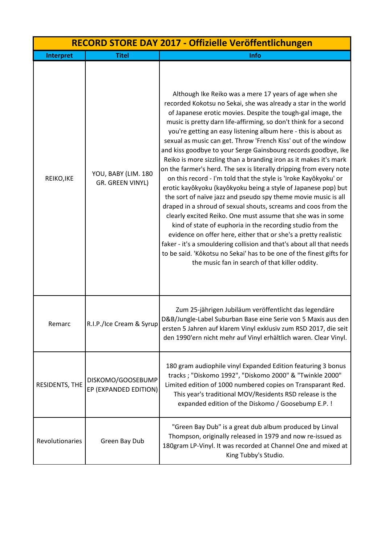| RECORD STORE DAY 2017 - Offizielle Veröffentlichungen |                                            |                                                                                                                                                                                                                                                                                                                                                                                                                                                                                                                                                                                                                                                                                                                                                                                                                                                                                                                                                                                                                                                                                                                                                                                                                                                                                           |
|-------------------------------------------------------|--------------------------------------------|-------------------------------------------------------------------------------------------------------------------------------------------------------------------------------------------------------------------------------------------------------------------------------------------------------------------------------------------------------------------------------------------------------------------------------------------------------------------------------------------------------------------------------------------------------------------------------------------------------------------------------------------------------------------------------------------------------------------------------------------------------------------------------------------------------------------------------------------------------------------------------------------------------------------------------------------------------------------------------------------------------------------------------------------------------------------------------------------------------------------------------------------------------------------------------------------------------------------------------------------------------------------------------------------|
| Interpret                                             | <b>Titel</b>                               | Info                                                                                                                                                                                                                                                                                                                                                                                                                                                                                                                                                                                                                                                                                                                                                                                                                                                                                                                                                                                                                                                                                                                                                                                                                                                                                      |
| REIKO, IKE                                            | YOU, BABY (LIM. 180<br>GR. GREEN VINYL)    | Although Ike Reiko was a mere 17 years of age when she<br>recorded Kokotsu no Sekai, she was already a star in the world<br>of Japanese erotic movies. Despite the tough-gal image, the<br>music is pretty darn life-affirming, so don't think for a second<br>you're getting an easy listening album here - this is about as<br>sexual as music can get. Throw 'French Kiss' out of the window<br>and kiss goodbye to your Serge Gainsbourg records goodbye, Ike<br>Reiko is more sizzling than a branding iron as it makes it's mark<br>on the farmer's herd. The sex is literally dripping from every note<br>on this record - I'm told that the style is 'Iroke Kayôkyoku' or<br>erotic kayôkyoku (kayôkyoku being a style of Japanese pop) but<br>the sort of naïve jazz and pseudo spy theme movie music is all<br>draped in a shroud of sexual shouts, screams and coos from the<br>clearly excited Reiko. One must assume that she was in some<br>kind of state of euphoria in the recording studio from the<br>evidence on offer here, either that or she's a pretty realistic<br>faker - it's a smouldering collision and that's about all that needs<br>to be said. 'Kôkotsu no Sekai' has to be one of the finest gifts for<br>the music fan in search of that killer oddity. |
| Remarc                                                | R.I.P./Ice Cream & Syrup                   | Zum 25-jährigen Jubiläum veröffentlicht das legendäre<br>D&B/Jungle-Label Suburban Base eine Serie von 5 Maxis aus den<br>ersten 5 Jahren auf klarem Vinyl exklusiv zum RSD 2017, die seit<br>den 1990'ern nicht mehr auf Vinyl erhältlich waren. Clear Vinyl.                                                                                                                                                                                                                                                                                                                                                                                                                                                                                                                                                                                                                                                                                                                                                                                                                                                                                                                                                                                                                            |
| RESIDENTS, THE                                        | DISKOMO/GOOSEBUMP<br>EP (EXPANDED EDITION) | 180 gram audiophile vinyl Expanded Edition featuring 3 bonus<br>tracks ; "Diskomo 1992", "Diskomo 2000" & "Twinkle 2000"<br>Limited edition of 1000 numbered copies on Transparant Red.<br>This year's traditional MOV/Residents RSD release is the<br>expanded edition of the Diskomo / Goosebump E.P. !                                                                                                                                                                                                                                                                                                                                                                                                                                                                                                                                                                                                                                                                                                                                                                                                                                                                                                                                                                                 |
| Revolutionaries                                       | Green Bay Dub                              | "Green Bay Dub" is a great dub album produced by Linval<br>Thompson, originally released in 1979 and now re-issued as<br>180gram LP-Vinyl. It was recorded at Channel One and mixed at<br>King Tubby's Studio.                                                                                                                                                                                                                                                                                                                                                                                                                                                                                                                                                                                                                                                                                                                                                                                                                                                                                                                                                                                                                                                                            |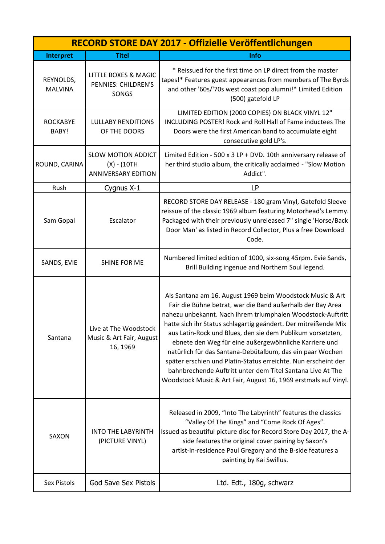| RECORD STORE DAY 2017 - Offizielle Veröffentlichungen |                                                                           |                                                                                                                                                                                                                                                                                                                                                                                                                                                                                                                                                                                                                                                  |
|-------------------------------------------------------|---------------------------------------------------------------------------|--------------------------------------------------------------------------------------------------------------------------------------------------------------------------------------------------------------------------------------------------------------------------------------------------------------------------------------------------------------------------------------------------------------------------------------------------------------------------------------------------------------------------------------------------------------------------------------------------------------------------------------------------|
| Interpret                                             | <b>Titel</b>                                                              | Info                                                                                                                                                                                                                                                                                                                                                                                                                                                                                                                                                                                                                                             |
| REYNOLDS,<br><b>MALVINA</b>                           | <b>LITTLE BOXES &amp; MAGIC</b><br>PENNIES: CHILDREN'S<br>SONGS           | * Reissued for the first time on LP direct from the master<br>tapes!* Features guest appearances from members of The Byrds<br>and other '60s/'70s west coast pop alumni!* Limited Edition<br>(500) gatefold LP                                                                                                                                                                                                                                                                                                                                                                                                                                   |
| <b>ROCKABYE</b><br>BABY!                              | <b>LULLABY RENDITIONS</b><br>OF THE DOORS                                 | LIMITED EDITION (2000 COPIES) ON BLACK VINYL 12"<br><b>INCLUDING POSTER! Rock and Roll Hall of Fame inductees The</b><br>Doors were the first American band to accumulate eight<br>consecutive gold LP's.                                                                                                                                                                                                                                                                                                                                                                                                                                        |
| ROUND, CARINA                                         | <b>SLOW MOTION ADDICT</b><br>$(X) - (10TH)$<br><b>ANNIVERSARY EDITION</b> | Limited Edition - 500 x 3 LP + DVD. 10th anniversary release of<br>her third studio album, the critically acclaimed - "Slow Motion<br>Addict".                                                                                                                                                                                                                                                                                                                                                                                                                                                                                                   |
| Rush                                                  | Cygnus X-1                                                                | <b>LP</b>                                                                                                                                                                                                                                                                                                                                                                                                                                                                                                                                                                                                                                        |
| Sam Gopal                                             | Escalator                                                                 | RECORD STORE DAY RELEASE - 180 gram Vinyl, Gatefold Sleeve<br>reissue of the classic 1969 album featuring Motorhead's Lemmy.<br>Packaged with their previously unreleased 7" single 'Horse/Back<br>Door Man' as listed in Record Collector, Plus a free Download<br>Code.                                                                                                                                                                                                                                                                                                                                                                        |
| SANDS, EVIE                                           | SHINE FOR ME                                                              | Numbered limited edition of 1000, six-song 45rpm. Evie Sands,<br>Brill Building ingenue and Northern Soul legend.                                                                                                                                                                                                                                                                                                                                                                                                                                                                                                                                |
| Santana                                               | Live at The Woodstock<br>Music & Art Fair, August<br>16, 1969             | Als Santana am 16. August 1969 beim Woodstock Music & Art<br>Fair die Bühne betrat, war die Band außerhalb der Bay Area<br>nahezu unbekannt. Nach ihrem triumphalen Woodstock-Auftritt<br>hatte sich ihr Status schlagartig geändert. Der mitreißende Mix<br>aus Latin-Rock und Blues, den sie dem Publikum vorsetzten,<br>ebnete den Weg für eine außergewöhnliche Karriere und<br>natürlich für das Santana-Debütalbum, das ein paar Wochen<br>später erschien und Platin-Status erreichte. Nun erscheint der<br>bahnbrechende Auftritt unter dem Titel Santana Live At The<br>Woodstock Music & Art Fair, August 16, 1969 erstmals auf Vinyl. |
| SAXON                                                 | <b>INTO THE LABYRINTH</b><br>(PICTURE VINYL)                              | Released in 2009, "Into The Labyrinth" features the classics<br>"Valley Of The Kings" and "Come Rock Of Ages".<br>Issued as beautiful picture disc for Record Store Day 2017, the A-<br>side features the original cover paining by Saxon's<br>artist-in-residence Paul Gregory and the B-side features a<br>painting by Kai Swillus.                                                                                                                                                                                                                                                                                                            |
| Sex Pistols                                           | <b>God Save Sex Pistols</b>                                               | Ltd. Edt., 180g, schwarz                                                                                                                                                                                                                                                                                                                                                                                                                                                                                                                                                                                                                         |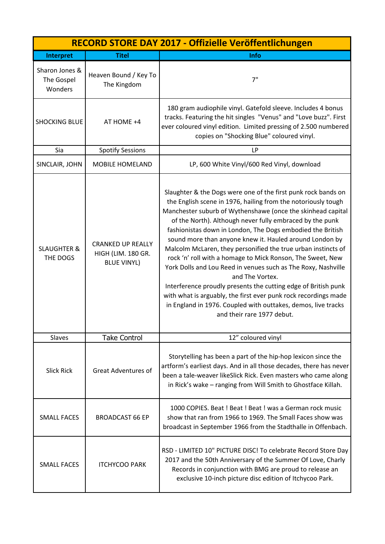|                                         | RECORD STORE DAY 2017 - Offizielle Veröffentlichungen                |                                                                                                                                                                                                                                                                                                                                                                                                                                                                                                                                                                                                                                                                                                                                                                                                                                           |  |
|-----------------------------------------|----------------------------------------------------------------------|-------------------------------------------------------------------------------------------------------------------------------------------------------------------------------------------------------------------------------------------------------------------------------------------------------------------------------------------------------------------------------------------------------------------------------------------------------------------------------------------------------------------------------------------------------------------------------------------------------------------------------------------------------------------------------------------------------------------------------------------------------------------------------------------------------------------------------------------|--|
| Interpret                               | <b>Titel</b>                                                         | <b>Info</b>                                                                                                                                                                                                                                                                                                                                                                                                                                                                                                                                                                                                                                                                                                                                                                                                                               |  |
| Sharon Jones &<br>The Gospel<br>Wonders | Heaven Bound / Key To<br>The Kingdom                                 | 7"                                                                                                                                                                                                                                                                                                                                                                                                                                                                                                                                                                                                                                                                                                                                                                                                                                        |  |
| <b>SHOCKING BLUE</b>                    | AT HOME +4                                                           | 180 gram audiophile vinyl. Gatefold sleeve. Includes 4 bonus<br>tracks. Featuring the hit singles "Venus" and "Love buzz". First<br>ever coloured vinyl edition. Limited pressing of 2.500 numbered<br>copies on "Shocking Blue" coloured vinyl.                                                                                                                                                                                                                                                                                                                                                                                                                                                                                                                                                                                          |  |
| Sia                                     | <b>Spotify Sessions</b>                                              | LP                                                                                                                                                                                                                                                                                                                                                                                                                                                                                                                                                                                                                                                                                                                                                                                                                                        |  |
| SINCLAIR, JOHN                          | <b>MOBILE HOMELAND</b>                                               | LP, 600 White Vinyl/600 Red Vinyl, download                                                                                                                                                                                                                                                                                                                                                                                                                                                                                                                                                                                                                                                                                                                                                                                               |  |
| <b>SLAUGHTER &amp;</b><br>THE DOGS      | <b>CRANKED UP REALLY</b><br>HIGH (LIM. 180 GR.<br><b>BLUE VINYL)</b> | Slaughter & the Dogs were one of the first punk rock bands on<br>the English scene in 1976, hailing from the notoriously tough<br>Manchester suburb of Wythenshawe (once the skinhead capital<br>of the North). Although never fully embraced by the punk<br>fashionistas down in London, The Dogs embodied the British<br>sound more than anyone knew it. Hauled around London by<br>Malcolm McLaren, they personified the true urban instincts of<br>rock 'n' roll with a homage to Mick Ronson, The Sweet, New<br>York Dolls and Lou Reed in venues such as The Roxy, Nashville<br>and The Vortex.<br>Interference proudly presents the cutting edge of British punk<br>with what is arguably, the first ever punk rock recordings made<br>in England in 1976. Coupled with outtakes, demos, live tracks<br>and their rare 1977 debut. |  |
| Slaves                                  | <b>Take Control</b>                                                  | 12" coloured vinyl                                                                                                                                                                                                                                                                                                                                                                                                                                                                                                                                                                                                                                                                                                                                                                                                                        |  |
| <b>Slick Rick</b>                       | <b>Great Adventures of</b>                                           | Storytelling has been a part of the hip-hop lexicon since the<br>artform's earliest days. And in all those decades, there has never<br>been a tale-weaver likeSlick Rick. Even masters who came along<br>in Rick's wake - ranging from Will Smith to Ghostface Killah.                                                                                                                                                                                                                                                                                                                                                                                                                                                                                                                                                                    |  |
| <b>SMALL FACES</b>                      | <b>BROADCAST 66 EP</b>                                               | 1000 COPIES. Beat ! Beat ! Beat ! was a German rock music<br>show that ran from 1966 to 1969. The Small Faces show was<br>broadcast in September 1966 from the Stadthalle in Offenbach.                                                                                                                                                                                                                                                                                                                                                                                                                                                                                                                                                                                                                                                   |  |
| <b>SMALL FACES</b>                      | <b>ITCHYCOO PARK</b>                                                 | RSD - LIMITED 10" PICTURE DISC! To celebrate Record Store Day<br>2017 and the 50th Anniversary of the Summer Of Love, Charly<br>Records in conjunction with BMG are proud to release an<br>exclusive 10-inch picture disc edition of Itchycoo Park.                                                                                                                                                                                                                                                                                                                                                                                                                                                                                                                                                                                       |  |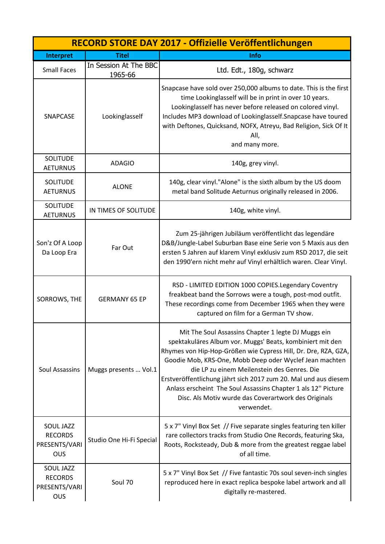|                                                            |                                  | RECORD STORE DAY 2017 - Offizielle Veröffentlichungen                                                                                                                                                                                                                                                                                                                                                                                                                                                  |
|------------------------------------------------------------|----------------------------------|--------------------------------------------------------------------------------------------------------------------------------------------------------------------------------------------------------------------------------------------------------------------------------------------------------------------------------------------------------------------------------------------------------------------------------------------------------------------------------------------------------|
| Interpret                                                  | <b>Titel</b>                     | Info                                                                                                                                                                                                                                                                                                                                                                                                                                                                                                   |
| <b>Small Faces</b>                                         | In Session At The BBC<br>1965-66 | Ltd. Edt., 180g, schwarz                                                                                                                                                                                                                                                                                                                                                                                                                                                                               |
| SNAPCASE                                                   | Lookinglasself                   | Snapcase have sold over 250,000 albums to date. This is the first<br>time Lookinglasself will be in print in over 10 years.<br>Lookinglasself has never before released on colored vinyl.<br>Includes MP3 download of Lookinglasself. Snapcase have toured<br>with Deftones, Quicksand, NOFX, Atreyu, Bad Religion, Sick Of It<br>All,<br>and many more.                                                                                                                                               |
| <b>SOLITUDE</b><br><b>AETURNUS</b>                         | <b>ADAGIO</b>                    | 140g, grey vinyl.                                                                                                                                                                                                                                                                                                                                                                                                                                                                                      |
| <b>SOLITUDE</b><br><b>AETURNUS</b>                         | <b>ALONE</b>                     | 140g, clear vinyl."Alone" is the sixth album by the US doom<br>metal band Solitude Aeturnus originally released in 2006.                                                                                                                                                                                                                                                                                                                                                                               |
| <b>SOLITUDE</b><br><b>AETURNUS</b>                         | IN TIMES OF SOLITUDE             | 140g, white vinyl.                                                                                                                                                                                                                                                                                                                                                                                                                                                                                     |
| Son'z Of A Loop<br>Da Loop Era                             | Far Out                          | Zum 25-jährigen Jubiläum veröffentlicht das legendäre<br>D&B/Jungle-Label Suburban Base eine Serie von 5 Maxis aus den<br>ersten 5 Jahren auf klarem Vinyl exklusiv zum RSD 2017, die seit<br>den 1990'ern nicht mehr auf Vinyl erhältlich waren. Clear Vinyl.                                                                                                                                                                                                                                         |
| SORROWS, THE                                               | <b>GERMANY 65 EP</b>             | RSD - LIMITED EDITION 1000 COPIES. Legendary Coventry<br>freakbeat band the Sorrows were a tough, post-mod outfit.<br>These recordings come from December 1965 when they were<br>captured on film for a German TV show.                                                                                                                                                                                                                                                                                |
| Soul Assassins                                             | Muggs presents  Vol.1            | Mit The Soul Assassins Chapter 1 legte DJ Muggs ein<br>spektakuläres Album vor. Muggs' Beats, kombiniert mit den<br>Rhymes von Hip-Hop-Größen wie Cypress Hill, Dr. Dre, RZA, GZA,<br>Goodie Mob, KRS-One, Mobb Deep oder Wyclef Jean machten<br>die LP zu einem Meilenstein des Genres. Die<br>Erstveröffentlichung jährt sich 2017 zum 20. Mal und aus diesem<br>Anlass erscheint The Soul Assassins Chapter 1 als 12" Picture<br>Disc. Als Motiv wurde das Coverartwork des Originals<br>verwendet. |
| <b>SOUL JAZZ</b><br><b>RECORDS</b><br>PRESENTS/VARI<br>OUS | Studio One Hi-Fi Special         | 5 x 7" Vinyl Box Set // Five separate singles featuring ten killer<br>rare collectors tracks from Studio One Records, featuring Ska,<br>Roots, Rocksteady, Dub & more from the greatest reggae label<br>of all time.                                                                                                                                                                                                                                                                                   |
| SOUL JAZZ<br><b>RECORDS</b><br>PRESENTS/VARI<br>OUS        | Soul 70                          | 5 x 7" Vinyl Box Set // Five fantastic 70s soul seven-inch singles<br>reproduced here in exact replica bespoke label artwork and all<br>digitally re-mastered.                                                                                                                                                                                                                                                                                                                                         |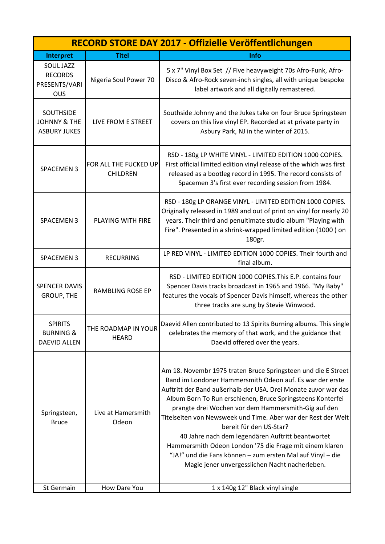|                                                                   |                                          | RECORD STORE DAY 2017 - Offizielle Veröffentlichungen                                                                                                                                                                                                                                                                                                                                                                                                                                                                                                                                                                                        |
|-------------------------------------------------------------------|------------------------------------------|----------------------------------------------------------------------------------------------------------------------------------------------------------------------------------------------------------------------------------------------------------------------------------------------------------------------------------------------------------------------------------------------------------------------------------------------------------------------------------------------------------------------------------------------------------------------------------------------------------------------------------------------|
| Interpret                                                         | <b>Titel</b>                             | Info                                                                                                                                                                                                                                                                                                                                                                                                                                                                                                                                                                                                                                         |
| <b>SOUL JAZZ</b><br><b>RECORDS</b><br>PRESENTS/VARI<br><b>OUS</b> | Nigeria Soul Power 70                    | 5 x 7" Vinyl Box Set // Five heavyweight 70s Afro-Funk, Afro-<br>Disco & Afro-Rock seven-inch singles, all with unique bespoke<br>label artwork and all digitally remastered.                                                                                                                                                                                                                                                                                                                                                                                                                                                                |
| SOUTHSIDE<br><b>JOHNNY &amp; THE</b><br><b>ASBURY JUKES</b>       | LIVE FROM E STREET                       | Southside Johnny and the Jukes take on four Bruce Springsteen<br>covers on this live vinyl EP. Recorded at at private party in<br>Asbury Park, NJ in the winter of 2015.                                                                                                                                                                                                                                                                                                                                                                                                                                                                     |
| <b>SPACEMEN 3</b>                                                 | FOR ALL THE FUCKED UP<br><b>CHILDREN</b> | RSD - 180g LP WHITE VINYL - LIMITED EDITION 1000 COPIES.<br>First official limited edition vinyl release of the which was first<br>released as a bootleg record in 1995. The record consists of<br>Spacemen 3's first ever recording session from 1984.                                                                                                                                                                                                                                                                                                                                                                                      |
| <b>SPACEMEN 3</b>                                                 | <b>PLAYING WITH FIRE</b>                 | RSD - 180g LP ORANGE VINYL - LIMITED EDITION 1000 COPIES.<br>Originally released in 1989 and out of print on vinyl for nearly 20<br>years. Their third and penultimate studio album "Playing with<br>Fire". Presented in a shrink-wrapped limited edition (1000) on<br>180gr.                                                                                                                                                                                                                                                                                                                                                                |
| <b>SPACEMEN 3</b>                                                 | <b>RECURRING</b>                         | LP RED VINYL - LIMITED EDITION 1000 COPIES. Their fourth and<br>final album.                                                                                                                                                                                                                                                                                                                                                                                                                                                                                                                                                                 |
| <b>SPENCER DAVIS</b><br><b>GROUP, THE</b>                         | <b>RAMBLING ROSE EP</b>                  | RSD - LIMITED EDITION 1000 COPIES. This E.P. contains four<br>Spencer Davis tracks broadcast in 1965 and 1966. "My Baby"<br>features the vocals of Spencer Davis himself, whereas the other<br>three tracks are sung by Stevie Winwood.                                                                                                                                                                                                                                                                                                                                                                                                      |
| <b>SPIRITS</b><br><b>BURNING &amp;</b><br><b>DAEVID ALLEN</b>     | THE ROADMAP IN YOUR<br><b>HEARD</b>      | Daevid Allen contributed to 13 Spirits Burning albums. This single<br>celebrates the memory of that work, and the guidance that<br>Daevid offered over the years.                                                                                                                                                                                                                                                                                                                                                                                                                                                                            |
| Springsteen,<br><b>Bruce</b>                                      | Live at Hamersmith<br>Odeon              | Am 18. Novembr 1975 traten Bruce Springsteen und die E Street<br>Band im Londoner Hammersmith Odeon auf. Es war der erste<br>Auftritt der Band außerhalb der USA. Drei Monate zuvor war das<br>Album Born To Run erschienen, Bruce Springsteens Konterfei<br>prangte drei Wochen vor dem Hammersmith-Gig auf den<br>Titelseiten von Newsweek und Time. Aber war der Rest der Welt<br>bereit für den US-Star?<br>40 Jahre nach dem legendären Auftritt beantwortet<br>Hammersmith Odeon London '75 die Frage mit einem klaren<br>"JA!" und die Fans können - zum ersten Mal auf Vinyl - die<br>Magie jener unvergesslichen Nacht nacherleben. |
| St Germain                                                        | How Dare You                             | 1 x 140g 12" Black vinyl single                                                                                                                                                                                                                                                                                                                                                                                                                                                                                                                                                                                                              |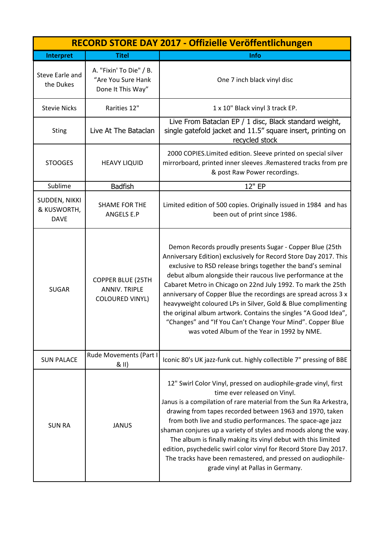| RECORD STORE DAY 2017 - Offizielle Veröffentlichungen |                                                                            |                                                                                                                                                                                                                                                                                                                                                                                                                                                                                                                                                                                                                                                |
|-------------------------------------------------------|----------------------------------------------------------------------------|------------------------------------------------------------------------------------------------------------------------------------------------------------------------------------------------------------------------------------------------------------------------------------------------------------------------------------------------------------------------------------------------------------------------------------------------------------------------------------------------------------------------------------------------------------------------------------------------------------------------------------------------|
| Interpret                                             | <b>Titel</b>                                                               | Info                                                                                                                                                                                                                                                                                                                                                                                                                                                                                                                                                                                                                                           |
| Steve Earle and<br>the Dukes                          | A. "Fixin' To Die" / B.<br>"Are You Sure Hank<br>Done It This Way"         | One 7 inch black vinyl disc                                                                                                                                                                                                                                                                                                                                                                                                                                                                                                                                                                                                                    |
| <b>Stevie Nicks</b>                                   | Rarities 12"                                                               | 1 x 10" Black vinyl 3 track EP.                                                                                                                                                                                                                                                                                                                                                                                                                                                                                                                                                                                                                |
| <b>Sting</b>                                          | Live At The Bataclan                                                       | Live From Bataclan EP / 1 disc, Black standard weight,<br>single gatefold jacket and 11.5" square insert, printing on<br>recycled stock                                                                                                                                                                                                                                                                                                                                                                                                                                                                                                        |
| <b>STOOGES</b>                                        | <b>HEAVY LIQUID</b>                                                        | 2000 COPIES.Limited edition. Sleeve printed on special silver<br>mirrorboard, printed inner sleeves .Remastered tracks from pre<br>& post Raw Power recordings.                                                                                                                                                                                                                                                                                                                                                                                                                                                                                |
| Sublime                                               | <b>Badfish</b>                                                             | 12" EP                                                                                                                                                                                                                                                                                                                                                                                                                                                                                                                                                                                                                                         |
| SUDDEN, NIKKI<br>& KUSWORTH,<br><b>DAVE</b>           | <b>SHAME FOR THE</b><br><b>ANGELS E.P</b>                                  | Limited edition of 500 copies. Originally issued in 1984 and has<br>been out of print since 1986.                                                                                                                                                                                                                                                                                                                                                                                                                                                                                                                                              |
| <b>SUGAR</b>                                          | <b>COPPER BLUE (25TH</b><br><b>ANNIV. TRIPLE</b><br><b>COLOURED VINYL)</b> | Demon Records proudly presents Sugar - Copper Blue (25th<br>Anniversary Edition) exclusively for Record Store Day 2017. This<br>exclusive to RSD release brings together the band's seminal<br>debut album alongside their raucous live performance at the<br>Cabaret Metro in Chicago on 22nd July 1992. To mark the 25th<br>anniversary of Copper Blue the recordings are spread across 3 x<br>heavyweight coloured LPs in Silver, Gold & Blue complimenting<br>the original album artwork. Contains the singles "A Good Idea",<br>"Changes" and "If You Can't Change Your Mind". Copper Blue<br>was voted Album of the Year in 1992 by NME. |
| <b>SUN PALACE</b>                                     | Rude Movements (Part I<br>& II)                                            | Iconic 80's UK jazz-funk cut. highly collectible 7" pressing of BBE                                                                                                                                                                                                                                                                                                                                                                                                                                                                                                                                                                            |
| <b>SUN RA</b>                                         | <b>JANUS</b>                                                               | 12" Swirl Color Vinyl, pressed on audiophile-grade vinyl, first<br>time ever released on Vinyl.<br>Janus is a compilation of rare material from the Sun Ra Arkestra,<br>drawing from tapes recorded between 1963 and 1970, taken<br>from both live and studio performances. The space-age jazz<br>shaman conjures up a variety of styles and moods along the way.<br>The album is finally making its vinyl debut with this limited<br>edition, psychedelic swirl color vinyl for Record Store Day 2017.<br>The tracks have been remastered, and pressed on audiophile-<br>grade vinyl at Pallas in Germany.                                    |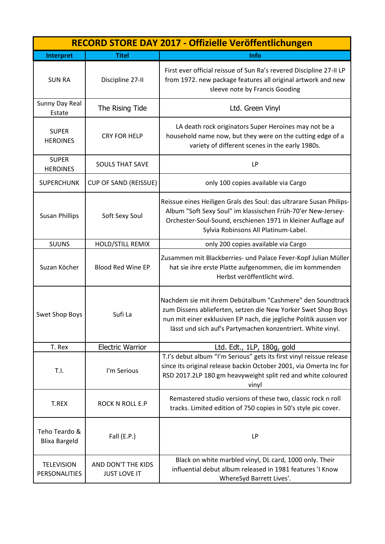| RECORD STORE DAY 2017 - Offizielle Veröffentlichungen |                                           |                                                                                                                                                                                                                                                                 |
|-------------------------------------------------------|-------------------------------------------|-----------------------------------------------------------------------------------------------------------------------------------------------------------------------------------------------------------------------------------------------------------------|
| Interpret                                             | <b>Titel</b>                              | Info                                                                                                                                                                                                                                                            |
| <b>SUN RA</b>                                         | Discipline 27-II                          | First ever official reissue of Sun Ra's revered Discipline 27-II LP<br>from 1972. new package features all original artwork and new<br>sleeve note by Francis Gooding                                                                                           |
| Sunny Day Real<br>Estate                              | The Rising Tide                           | Ltd. Green Vinyl                                                                                                                                                                                                                                                |
| <b>SUPER</b><br><b>HEROINES</b>                       | <b>CRY FOR HELP</b>                       | LA death rock originators Super Heroines may not be a<br>household name now, but they were on the cutting edge of a<br>variety of different scenes in the early 1980s.                                                                                          |
| <b>SUPER</b><br><b>HEROINES</b>                       | <b>SOULS THAT SAVE</b>                    | <b>LP</b>                                                                                                                                                                                                                                                       |
| <b>SUPERCHUNK</b>                                     | <b>CUP OF SAND (REISSUE)</b>              | only 100 copies available via Cargo                                                                                                                                                                                                                             |
| <b>Susan Phillips</b>                                 | Soft Sexy Soul                            | Reissue eines Heiligen Grals des Soul: das ultrarare Susan Philips-<br>Album "Soft Sexy Soul" im klassischen Früh-70'er New-Jersey-<br>Orchester-Soul-Sound, erschienen 1971 in kleiner Auflage auf<br>Sylvia Robinsons All Platinum-Label.                     |
| <b>SUUNS</b>                                          | <b>HOLD/STILL REMIX</b>                   | only 200 copies available via Cargo                                                                                                                                                                                                                             |
| Suzan Köcher                                          | <b>Blood Red Wine EP</b>                  | Zusammen mit Blackberries- und Palace Fever-Kopf Julian Müller<br>hat sie ihre erste Platte aufgenommen, die im kommenden<br>Herbst veröffentlicht wird.                                                                                                        |
| <b>Swet Shop Boys</b>                                 | Sufi La                                   | Nachdem sie mit ihrem Debütalbum "Cashmere" den Soundtrack<br>zum Dissens ablieferten, setzen die New Yorker Swet Shop Boys<br>nun mit einer exklusiven EP nach, die jegliche Politik aussen vor<br>lässt und sich auf's Partymachen konzentriert. White vinyl. |
| T. Rex                                                | <b>Electric Warrior</b>                   | Ltd. Edt., 1LP, 180g, gold                                                                                                                                                                                                                                      |
| T.I.                                                  | I'm Serious                               | T.I's debut album "I'm Serious" gets its first vinyl reissue release<br>since its original release backin October 2001, via Omerta Inc for<br>RSD 2017.2LP 180 gm heavyweight split red and white coloured<br>vinyl                                             |
| T.REX                                                 | <b>ROCK N ROLL E.P</b>                    | Remastered studio versions of these two, classic rock n roll<br>tracks. Limited edition of 750 copies in 50's style pic cover.                                                                                                                                  |
| Teho Teardo &<br><b>Blixa Bargeld</b>                 | Fall $(E.P.)$                             | LP                                                                                                                                                                                                                                                              |
| <b>TELEVISION</b><br>PERSONALITIES                    | AND DON'T THE KIDS<br><b>JUST LOVE IT</b> | Black on white marbled vinyl, DL card, 1000 only. Their<br>influential debut album released in 1981 features 'I Know<br>WhereSyd Barrett Lives'.                                                                                                                |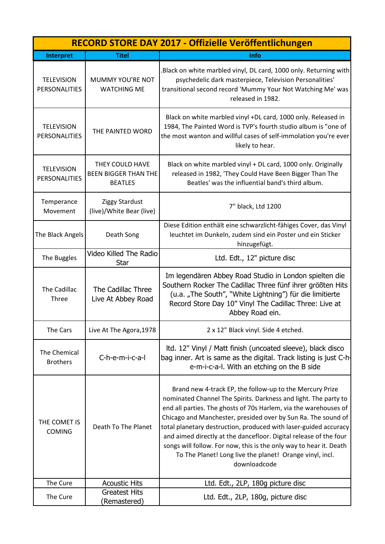|                                           |                                                                  | RECORD STORE DAY 2017 - Offizielle Veröffentlichungen                                                                                                                                                                                                                                                                                                                                                                                                                                                                                                       |
|-------------------------------------------|------------------------------------------------------------------|-------------------------------------------------------------------------------------------------------------------------------------------------------------------------------------------------------------------------------------------------------------------------------------------------------------------------------------------------------------------------------------------------------------------------------------------------------------------------------------------------------------------------------------------------------------|
| Interpret                                 | <b>Titel</b>                                                     | <b>Info</b>                                                                                                                                                                                                                                                                                                                                                                                                                                                                                                                                                 |
| <b>TELEVISION</b><br><b>PERSONALITIES</b> | MUMMY YOU'RE NOT<br><b>WATCHING ME</b>                           | Black on white marbled vinyl, DL card, 1000 only. Returning with<br>psychedelic dark masterpiece, Television Personalities'<br>transitional second record 'Mummy Your Not Watching Me' was<br>released in 1982.                                                                                                                                                                                                                                                                                                                                             |
| <b>TELEVISION</b><br><b>PERSONALITIES</b> | THE PAINTED WORD                                                 | Black on white marbled vinyl +DL card, 1000 only. Released in<br>1984, The Painted Word is TVP's fourth studio album is "one of<br>the most wanton and willful cases of self-immolation you're ever<br>likely to hear.                                                                                                                                                                                                                                                                                                                                      |
| <b>TELEVISION</b><br><b>PERSONALITIES</b> | THEY COULD HAVE<br><b>BEEN BIGGER THAN THE</b><br><b>BEATLES</b> | Black on white marbled vinyl + DL card, 1000 only. Originally<br>released in 1982, 'They Could Have Been Bigger Than The<br>Beatles' was the influential band's third album.                                                                                                                                                                                                                                                                                                                                                                                |
| Temperance<br>Movement                    | Ziggy Stardust<br>(live)/White Bear (live)                       | 7" black, Ltd 1200                                                                                                                                                                                                                                                                                                                                                                                                                                                                                                                                          |
| The Black Angels                          | Death Song                                                       | Diese Edition enthält eine schwarzlicht-fähiges Cover, das Vinyl<br>leuchtet im Dunkeln, zudem sind ein Poster und ein Sticker<br>hinzugefügt.                                                                                                                                                                                                                                                                                                                                                                                                              |
| The Buggles                               | Video Killed The Radio<br><b>Star</b>                            | Ltd. Edt., 12" picture disc                                                                                                                                                                                                                                                                                                                                                                                                                                                                                                                                 |
| The Cadillac<br>Three                     | The Cadillac Three<br>Live At Abbey Road                         | Im legendären Abbey Road Studio in London spielten die<br>Southern Rocker The Cadillac Three fünf ihrer größten Hits<br>(u.a. "The South", "White Lightning") für die limitierte<br>Record Store Day 10" Vinyl The Cadillac Three: Live at<br>Abbey Road ein.                                                                                                                                                                                                                                                                                               |
| The Cars                                  | Live At The Agora, 1978                                          | 2 x 12" Black vinyl. Side 4 etched.                                                                                                                                                                                                                                                                                                                                                                                                                                                                                                                         |
| The Chemical<br><b>Brothers</b>           | C-h-e-m-i-c-a-l                                                  | Itd. 12" Vinyl / Matt finish (uncoated sleeve), black disco<br>bag inner. Art is same as the digital. Track listing is just C-h<br>e-m-i-c-a-l. With an etching on the B side                                                                                                                                                                                                                                                                                                                                                                               |
| THE COMET IS<br><b>COMING</b>             | Death To The Planet                                              | Brand new 4-track EP, the follow-up to the Mercury Prize<br>nominated Channel The Spirits. Darkness and light. The party to<br>end all parties. The ghosts of 70s Harlem, via the warehouses of<br>Chicago and Manchester, presided over by Sun Ra. The sound of<br>total planetary destruction, produced with laser-guided accuracy<br>and aimed directly at the dancefloor. Digital release of the four<br>songs will follow. For now, this is the only way to hear it. Death<br>To The Planet! Long live the planet! Orange vinyl, incl.<br>downloadcode |
| The Cure                                  | <b>Acoustic Hits</b>                                             | Ltd. Edt., 2LP, 180g picture disc                                                                                                                                                                                                                                                                                                                                                                                                                                                                                                                           |
| The Cure                                  | <b>Greatest Hits</b><br>(Remastered)                             | Ltd. Edt., 2LP, 180g, picture disc                                                                                                                                                                                                                                                                                                                                                                                                                                                                                                                          |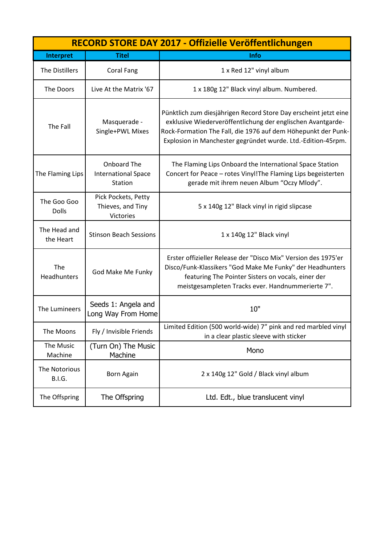| RECORD STORE DAY 2017 - Offizielle Veröffentlichungen |                                                       |                                                                                                                                                                                                                                                                  |
|-------------------------------------------------------|-------------------------------------------------------|------------------------------------------------------------------------------------------------------------------------------------------------------------------------------------------------------------------------------------------------------------------|
| Interpret                                             | <b>Titel</b>                                          | Info                                                                                                                                                                                                                                                             |
| The Distillers                                        | <b>Coral Fang</b>                                     | 1 x Red 12" vinyl album                                                                                                                                                                                                                                          |
| The Doors                                             | Live At the Matrix '67                                | 1 x 180g 12" Black vinyl album. Numbered.                                                                                                                                                                                                                        |
| The Fall                                              | Masquerade -<br>Single+PWL Mixes                      | Pünktlich zum diesjährigen Record Store Day erscheint jetzt eine<br>exklusive Wiederveröffentlichung der englischen Avantgarde-<br>Rock-Formation The Fall, die 1976 auf dem Höhepunkt der Punk-<br>Explosion in Manchester gegründet wurde. Ltd.-Edition-45rpm. |
| The Flaming Lips                                      | Onboard The<br><b>International Space</b><br>Station  | The Flaming Lips Onboard the International Space Station<br>Concert for Peace - rotes Vinyl! The Flaming Lips begeisterten<br>gerade mit ihrem neuen Album "Oczy Mlody".                                                                                         |
| The Goo Goo<br><b>Dolls</b>                           | Pick Pockets, Petty<br>Thieves, and Tiny<br>Victories | 5 x 140g 12" Black vinyl in rigid slipcase                                                                                                                                                                                                                       |
| The Head and<br>the Heart                             | <b>Stinson Beach Sessions</b>                         | 1 x 140g 12" Black vinyl                                                                                                                                                                                                                                         |
| The<br>Headhunters                                    | God Make Me Funky                                     | Erster offizieller Release der "Disco Mix" Version des 1975'er<br>Disco/Funk-Klassikers "God Make Me Funky" der Headhunters<br>featuring The Pointer Sisters on vocals, einer der<br>meistgesampleten Tracks ever. Handnummerierte 7".                           |
| The Lumineers                                         | Seeds 1: Angela and<br>Long Way From Home             | 10"                                                                                                                                                                                                                                                              |
| The Moons                                             | Fly / Invisible Friends                               | Limited Edition (500 world-wide) 7" pink and red marbled vinyl<br>in a clear plastic sleeve with sticker                                                                                                                                                         |
| The Music<br>Machine                                  | (Turn On) The Music<br>Machine                        | Mono                                                                                                                                                                                                                                                             |
| The Notorious<br><b>B.I.G.</b>                        | <b>Born Again</b>                                     | 2 x 140g 12" Gold / Black vinyl album                                                                                                                                                                                                                            |
| The Offspring                                         | The Offspring                                         | Ltd. Edt., blue translucent vinyl                                                                                                                                                                                                                                |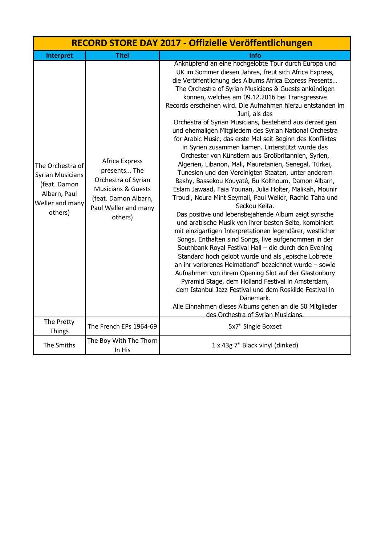|                                                                                                           |                                                                                                                                                   | RECORD STORE DAY 2017 - Offizielle Veröffentlichungen                                                                                                                                                                                                                                                                                                                                                                                                                                                                                                                                                                                                                                                                                                                                                                                                                                                                                                                                                                                                                                                                                                                                                                                                                                                                                                                                                                                                                                                                                                                                                                                                                                          |
|-----------------------------------------------------------------------------------------------------------|---------------------------------------------------------------------------------------------------------------------------------------------------|------------------------------------------------------------------------------------------------------------------------------------------------------------------------------------------------------------------------------------------------------------------------------------------------------------------------------------------------------------------------------------------------------------------------------------------------------------------------------------------------------------------------------------------------------------------------------------------------------------------------------------------------------------------------------------------------------------------------------------------------------------------------------------------------------------------------------------------------------------------------------------------------------------------------------------------------------------------------------------------------------------------------------------------------------------------------------------------------------------------------------------------------------------------------------------------------------------------------------------------------------------------------------------------------------------------------------------------------------------------------------------------------------------------------------------------------------------------------------------------------------------------------------------------------------------------------------------------------------------------------------------------------------------------------------------------------|
| Interpret                                                                                                 | <b>Titel</b>                                                                                                                                      | Info                                                                                                                                                                                                                                                                                                                                                                                                                                                                                                                                                                                                                                                                                                                                                                                                                                                                                                                                                                                                                                                                                                                                                                                                                                                                                                                                                                                                                                                                                                                                                                                                                                                                                           |
| The Orchestra of<br><b>Syrian Musicians</b><br>(feat. Damon<br>Albarn, Paul<br>Weller and many<br>others) | Africa Express<br>presents The<br>Orchestra of Syrian<br><b>Musicians &amp; Guests</b><br>(feat. Damon Albarn,<br>Paul Weller and many<br>others) | Anknüpfend an eine hochgelobte Tour durch Europa und<br>UK im Sommer diesen Jahres, freut sich Africa Express,<br>die Veröffentlichung des Albums Africa Express Presents<br>The Orchestra of Syrian Musicians & Guests ankündigen<br>können, welches am 09.12.2016 bei Transgressive<br>Records erscheinen wird. Die Aufnahmen hierzu entstanden im<br>Juni, als das<br>Orchestra of Syrian Musicians, bestehend aus derzeitigen<br>und ehemaligen Mitgliedern des Syrian National Orchestra<br>for Arabic Music, das erste Mal seit Beginn des Konfliktes<br>in Syrien zusammen kamen. Unterstützt wurde das<br>Orchester von Künstlern aus Großbritannien, Syrien,<br>Algerien, Libanon, Mali, Mauretanien, Senegal, Türkei,<br>Tunesien und den Vereinigten Staaten, unter anderem<br>Bashy, Bassekou Kouyaté, Bu Kolthoum, Damon Albarn,<br>Eslam Jawaad, Faia Younan, Julia Holter, Malikah, Mounir<br>Troudi, Noura Mint Seymali, Paul Weller, Rachid Taha und<br>Seckou Keita.<br>Das positive und lebensbejahende Album zeigt syrische<br>und arabische Musik von ihrer besten Seite, kombiniert<br>mit einzigartigen Interpretationen legendärer, westlicher<br>Songs. Enthalten sind Songs, live aufgenommen in der<br>Southbank Royal Festival Hall - die durch den Evening<br>Standard hoch gelobt wurde und als "epische Lobrede<br>an ihr verlorenes Heimatland" bezeichnet wurde - sowie<br>Aufnahmen von ihrem Opening Slot auf der Glastonbury<br>Pyramid Stage, dem Holland Festival in Amsterdam,<br>dem Istanbul Jazz Festival und dem Roskilde Festival in<br>Dänemark.<br>Alle Einnahmen dieses Albums gehen an die 50 Mitglieder<br>des Orchestra of Syrian Musicians. |
| The Pretty<br><b>Things</b>                                                                               | The French EPs 1964-69                                                                                                                            | 5x7" Single Boxset                                                                                                                                                                                                                                                                                                                                                                                                                                                                                                                                                                                                                                                                                                                                                                                                                                                                                                                                                                                                                                                                                                                                                                                                                                                                                                                                                                                                                                                                                                                                                                                                                                                                             |
| The Smiths                                                                                                | The Boy With The Thorn<br>In His                                                                                                                  | 1 x 43g 7" Black vinyl (dinked)                                                                                                                                                                                                                                                                                                                                                                                                                                                                                                                                                                                                                                                                                                                                                                                                                                                                                                                                                                                                                                                                                                                                                                                                                                                                                                                                                                                                                                                                                                                                                                                                                                                                |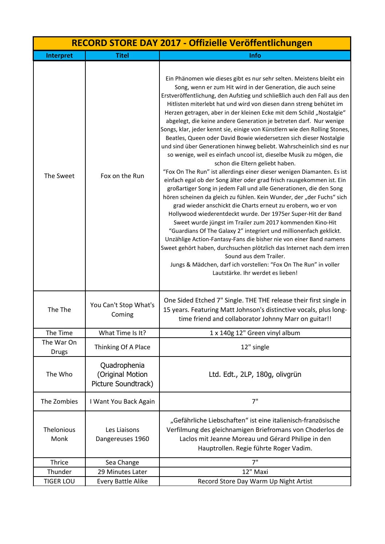| RECORD STORE DAY 2017 - Offizielle Veröffentlichungen |                                                         |                                                                                                                                                                                                                                                                                                                                                                                                                                                                                                                                                                                                                                                                                                                                                                                                                                                                                                                                                                                                                                                                                                                                                                                                                                                                                                                                                                                                                                                                                                                                                                                                                                      |
|-------------------------------------------------------|---------------------------------------------------------|--------------------------------------------------------------------------------------------------------------------------------------------------------------------------------------------------------------------------------------------------------------------------------------------------------------------------------------------------------------------------------------------------------------------------------------------------------------------------------------------------------------------------------------------------------------------------------------------------------------------------------------------------------------------------------------------------------------------------------------------------------------------------------------------------------------------------------------------------------------------------------------------------------------------------------------------------------------------------------------------------------------------------------------------------------------------------------------------------------------------------------------------------------------------------------------------------------------------------------------------------------------------------------------------------------------------------------------------------------------------------------------------------------------------------------------------------------------------------------------------------------------------------------------------------------------------------------------------------------------------------------------|
| Interpret                                             | <b>Titel</b>                                            | Info                                                                                                                                                                                                                                                                                                                                                                                                                                                                                                                                                                                                                                                                                                                                                                                                                                                                                                                                                                                                                                                                                                                                                                                                                                                                                                                                                                                                                                                                                                                                                                                                                                 |
| The Sweet                                             | Fox on the Run                                          | Ein Phänomen wie dieses gibt es nur sehr selten. Meistens bleibt ein<br>Song, wenn er zum Hit wird in der Generation, die auch seine<br>Erstveröffentlichung, den Aufstieg und schließlich auch den Fall aus den<br>Hitlisten miterlebt hat und wird von diesen dann streng behütet im<br>Herzen getragen, aber in der kleinen Ecke mit dem Schild "Nostalgie"<br>abgelegt, die keine andere Generation je betreten darf. Nur wenige<br>Songs, klar, jeder kennt sie, einige von Künstlern wie den Rolling Stones,<br>Beatles, Queen oder David Bowie wiedersetzen sich dieser Nostalgie<br>und sind über Generationen hinweg beliebt. Wahrscheinlich sind es nur<br>so wenige, weil es einfach uncool ist, dieselbe Musik zu mögen, die<br>schon die Eltern geliebt haben.<br>"Fox On The Run" ist allerdings einer dieser wenigen Diamanten. Es ist<br>einfach egal ob der Song älter oder grad frisch rausgekommen ist. Ein<br>großartiger Song in jedem Fall und alle Generationen, die den Song<br>hören scheinen da gleich zu fühlen. Kein Wunder, der "der Fuchs" sich<br>grad wieder anschickt die Charts erneut zu erobern, wo er von<br>Hollywood wiederentdeckt wurde. Der 1975er Super-Hit der Band<br>Sweet wurde jüngst im Trailer zum 2017 kommenden Kino-Hit<br>"Guardians Of The Galaxy 2" integriert und millionenfach geklickt.<br>Unzählige Action-Fantasy-Fans die bisher nie von einer Band namens<br>Sweet gehört haben, durchsuchen plötzlich das Internet nach dem irren<br>Sound aus dem Trailer.<br>Jungs & Mädchen, darf ich vorstellen: "Fox On The Run" in voller<br>Lautstärke. Ihr werdet es lieben! |
| The The                                               | You Can't Stop What's<br>Coming                         | One Sided Etched 7" Single. THE THE release their first single in<br>15 years. Featuring Matt Johnson's distinctive vocals, plus long-<br>time friend and collaborator Johnny Marr on guitar!!                                                                                                                                                                                                                                                                                                                                                                                                                                                                                                                                                                                                                                                                                                                                                                                                                                                                                                                                                                                                                                                                                                                                                                                                                                                                                                                                                                                                                                       |
| The Time                                              | What Time Is It?                                        | 1 x 140g 12" Green vinyl album                                                                                                                                                                                                                                                                                                                                                                                                                                                                                                                                                                                                                                                                                                                                                                                                                                                                                                                                                                                                                                                                                                                                                                                                                                                                                                                                                                                                                                                                                                                                                                                                       |
| The War On<br><b>Drugs</b>                            | Thinking Of A Place                                     | 12" single                                                                                                                                                                                                                                                                                                                                                                                                                                                                                                                                                                                                                                                                                                                                                                                                                                                                                                                                                                                                                                                                                                                                                                                                                                                                                                                                                                                                                                                                                                                                                                                                                           |
| The Who                                               | Quadrophenia<br>(Original Motion<br>Picture Soundtrack) | Ltd. Edt., 2LP, 180g, olivgrün                                                                                                                                                                                                                                                                                                                                                                                                                                                                                                                                                                                                                                                                                                                                                                                                                                                                                                                                                                                                                                                                                                                                                                                                                                                                                                                                                                                                                                                                                                                                                                                                       |
| The Zombies                                           | I Want You Back Again                                   | 7"                                                                                                                                                                                                                                                                                                                                                                                                                                                                                                                                                                                                                                                                                                                                                                                                                                                                                                                                                                                                                                                                                                                                                                                                                                                                                                                                                                                                                                                                                                                                                                                                                                   |
| Thelonious<br>Monk                                    | Les Liaisons<br>Dangereuses 1960                        | "Gefährliche Liebschaften" ist eine italienisch-französische<br>Verfilmung des gleichnamigen Briefromans von Choderlos de<br>Laclos mit Jeanne Moreau und Gérard Philipe in den<br>Hauptrollen. Regie führte Roger Vadim.                                                                                                                                                                                                                                                                                                                                                                                                                                                                                                                                                                                                                                                                                                                                                                                                                                                                                                                                                                                                                                                                                                                                                                                                                                                                                                                                                                                                            |
| Thrice                                                | Sea Change                                              | 7"                                                                                                                                                                                                                                                                                                                                                                                                                                                                                                                                                                                                                                                                                                                                                                                                                                                                                                                                                                                                                                                                                                                                                                                                                                                                                                                                                                                                                                                                                                                                                                                                                                   |
| Thunder                                               | 29 Minutes Later                                        | 12" Maxi                                                                                                                                                                                                                                                                                                                                                                                                                                                                                                                                                                                                                                                                                                                                                                                                                                                                                                                                                                                                                                                                                                                                                                                                                                                                                                                                                                                                                                                                                                                                                                                                                             |
| <b>TIGER LOU</b>                                      | Every Battle Alike                                      | Record Store Day Warm Up Night Artist                                                                                                                                                                                                                                                                                                                                                                                                                                                                                                                                                                                                                                                                                                                                                                                                                                                                                                                                                                                                                                                                                                                                                                                                                                                                                                                                                                                                                                                                                                                                                                                                |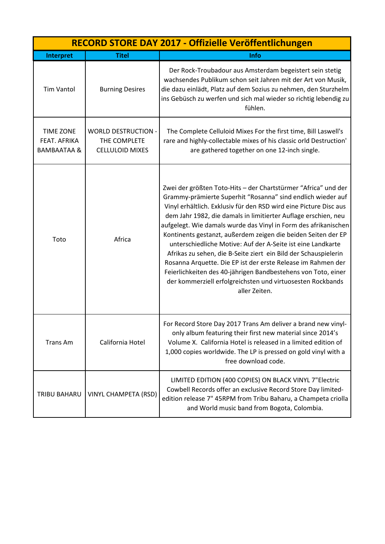|                                                            | RECORD STORE DAY 2017 - Offizielle Veröffentlichungen                |                                                                                                                                                                                                                                                                                                                                                                                                                                                                                                                                                                                                                                                                                                                                                            |  |
|------------------------------------------------------------|----------------------------------------------------------------------|------------------------------------------------------------------------------------------------------------------------------------------------------------------------------------------------------------------------------------------------------------------------------------------------------------------------------------------------------------------------------------------------------------------------------------------------------------------------------------------------------------------------------------------------------------------------------------------------------------------------------------------------------------------------------------------------------------------------------------------------------------|--|
| Interpret                                                  | <b>Titel</b>                                                         | Info                                                                                                                                                                                                                                                                                                                                                                                                                                                                                                                                                                                                                                                                                                                                                       |  |
| <b>Tim Vantol</b>                                          | <b>Burning Desires</b>                                               | Der Rock-Troubadour aus Amsterdam begeistert sein stetig<br>wachsendes Publikum schon seit Jahren mit der Art von Musik,<br>die dazu einlädt, Platz auf dem Sozius zu nehmen, den Sturzhelm<br>ins Gebüsch zu werfen und sich mal wieder so richtig lebendig zu<br>fühlen.                                                                                                                                                                                                                                                                                                                                                                                                                                                                                 |  |
| <b>TIME ZONE</b><br>FEAT. AFRIKA<br><b>BAMBAATAA &amp;</b> | <b>WORLD DESTRUCTION -</b><br>THE COMPLETE<br><b>CELLULOID MIXES</b> | The Complete Celluloid Mixes For the first time, Bill Laswell's<br>rare and highly-collectable mixes of his classic orld Destruction'<br>are gathered together on one 12-inch single.                                                                                                                                                                                                                                                                                                                                                                                                                                                                                                                                                                      |  |
| Toto                                                       | Africa                                                               | Zwei der größten Toto-Hits - der Chartstürmer "Africa" und der<br>Grammy-prämierte Superhit "Rosanna" sind endlich wieder auf<br>Vinyl erhältlich. Exklusiv für den RSD wird eine Picture Disc aus<br>dem Jahr 1982, die damals in limitierter Auflage erschien, neu<br>aufgelegt. Wie damals wurde das Vinyl in Form des afrikanischen<br>Kontinents gestanzt, außerdem zeigen die beiden Seiten der EP<br>unterschiedliche Motive: Auf der A-Seite ist eine Landkarte<br>Afrikas zu sehen, die B-Seite ziert ein Bild der Schauspielerin<br>Rosanna Arquette. Die EP ist der erste Release im Rahmen der<br>Feierlichkeiten des 40-jährigen Bandbestehens von Toto, einer<br>der kommerziell erfolgreichsten und virtuosesten Rockbands<br>aller Zeiten. |  |
| <b>Trans Am</b>                                            | California Hotel                                                     | For Record Store Day 2017 Trans Am deliver a brand new vinyl-<br>only album featuring their first new material since 2014's<br>Volume X. California Hotel is released in a limited edition of<br>1,000 copies worldwide. The LP is pressed on gold vinyl with a<br>free download code.                                                                                                                                                                                                                                                                                                                                                                                                                                                                     |  |
| TRIBU BAHARU                                               | <b>VINYL CHAMPETA (RSD)</b>                                          | LIMITED EDITION (400 COPIES) ON BLACK VINYL 7"Electric<br>Cowbell Records offer an exclusive Record Store Day limited-<br>edition release 7" 45RPM from Tribu Baharu, a Champeta criolla<br>and World music band from Bogota, Colombia.                                                                                                                                                                                                                                                                                                                                                                                                                                                                                                                    |  |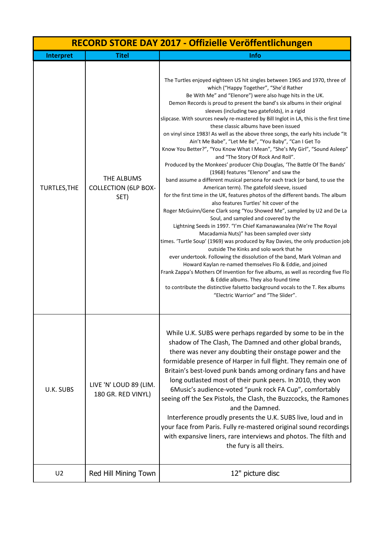| RECORD STORE DAY 2017 - Offizielle Veröffentlichungen |                                                   |                                                                                                                                                                                                                                                                                                                                                                                                                                                                                                                                                                                                                                                                                                                                                                                                                                                                                                                                                                                                                                                                                                                                                                                                                                                                                                                                                                                                                                                                                                                                                                                                                                                                                                                                                                                                                                                                           |
|-------------------------------------------------------|---------------------------------------------------|---------------------------------------------------------------------------------------------------------------------------------------------------------------------------------------------------------------------------------------------------------------------------------------------------------------------------------------------------------------------------------------------------------------------------------------------------------------------------------------------------------------------------------------------------------------------------------------------------------------------------------------------------------------------------------------------------------------------------------------------------------------------------------------------------------------------------------------------------------------------------------------------------------------------------------------------------------------------------------------------------------------------------------------------------------------------------------------------------------------------------------------------------------------------------------------------------------------------------------------------------------------------------------------------------------------------------------------------------------------------------------------------------------------------------------------------------------------------------------------------------------------------------------------------------------------------------------------------------------------------------------------------------------------------------------------------------------------------------------------------------------------------------------------------------------------------------------------------------------------------------|
| Interpret                                             | <b>Titel</b>                                      | Info                                                                                                                                                                                                                                                                                                                                                                                                                                                                                                                                                                                                                                                                                                                                                                                                                                                                                                                                                                                                                                                                                                                                                                                                                                                                                                                                                                                                                                                                                                                                                                                                                                                                                                                                                                                                                                                                      |
| <b>TURTLES, THE</b>                                   | THE ALBUMS<br><b>COLLECTION (6LP BOX-</b><br>SET) | The Turtles enjoyed eighteen US hit singles between 1965 and 1970, three of<br>which ("Happy Together", "She'd Rather<br>Be With Me" and "Elenore") were also huge hits in the UK.<br>Demon Records is proud to present the band's six albums in their original<br>sleeves (including two gatefolds), in a rigid<br>slipcase. With sources newly re-mastered by Bill Inglot in LA, this is the first time<br>these classic albums have been issued<br>on vinyl since 1983! As well as the above three songs, the early hits include "It<br>Ain't Me Babe", "Let Me Be", "You Baby", "Can I Get To<br>Know You Better?", "You Know What I Mean", "She's My Girl", "Sound Asleep"<br>and "The Story Of Rock And Roll".<br>Produced by the Monkees' producer Chip Douglas, 'The Battle Of The Bands'<br>(1968) features "Elenore" and saw the<br>band assume a different musical persona for each track (or band, to use the<br>American term). The gatefold sleeve, issued<br>for the first time in the UK, features photos of the different bands. The album<br>also features Turtles' hit cover of the<br>Roger McGuinn/Gene Clark song "You Showed Me", sampled by U2 and De La<br>Soul, and sampled and covered by the<br>Lightning Seeds in 1997. "I'm Chief Kamanawanalea (We're The Royal<br>Macadamia Nuts)" has been sampled over sixty<br>times. 'Turtle Soup' (1969) was produced by Ray Davies, the only production job<br>outside The Kinks and solo work that he<br>ever undertook. Following the dissolution of the band, Mark Volman and<br>Howard Kaylan re-named themselves Flo & Eddie, and joined<br>Frank Zappa's Mothers Of Invention for five albums, as well as recording five Flo<br>& Eddie albums. They also found time<br>to contribute the distinctive falsetto background vocals to the T. Rex albums<br>"Electric Warrior" and "The Slider". |
| U.K. SUBS                                             | LIVE 'N' LOUD 89 (LIM.<br>180 GR. RED VINYL)      | While U.K. SUBS were perhaps regarded by some to be in the<br>shadow of The Clash, The Damned and other global brands,<br>there was never any doubting their onstage power and the<br>formidable presence of Harper in full flight. They remain one of<br>Britain's best-loved punk bands among ordinary fans and have<br>long outlasted most of their punk peers. In 2010, they won<br>6Music's audience-voted "punk rock FA Cup", comfortably<br>seeing off the Sex Pistols, the Clash, the Buzzcocks, the Ramones<br>and the Damned.<br>Interference proudly presents the U.K. SUBS live, loud and in<br>your face from Paris. Fully re-mastered original sound recordings<br>with expansive liners, rare interviews and photos. The filth and<br>the fury is all theirs.                                                                                                                                                                                                                                                                                                                                                                                                                                                                                                                                                                                                                                                                                                                                                                                                                                                                                                                                                                                                                                                                                              |
| U <sub>2</sub>                                        | Red Hill Mining Town                              | 12" picture disc                                                                                                                                                                                                                                                                                                                                                                                                                                                                                                                                                                                                                                                                                                                                                                                                                                                                                                                                                                                                                                                                                                                                                                                                                                                                                                                                                                                                                                                                                                                                                                                                                                                                                                                                                                                                                                                          |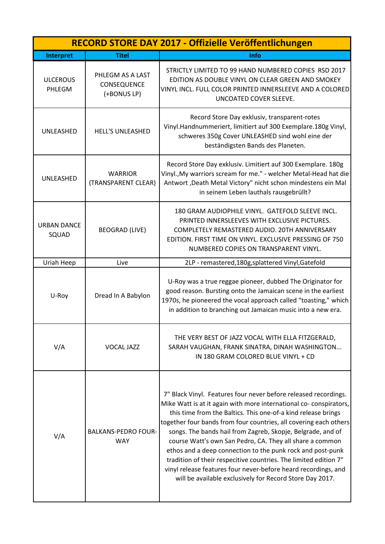|                             |                                                | RECORD STORE DAY 2017 - Offizielle Veröffentlichungen                                                                                                                                                                                                                                                                                                                                                                                                                                                                                                                                                                                                                 |
|-----------------------------|------------------------------------------------|-----------------------------------------------------------------------------------------------------------------------------------------------------------------------------------------------------------------------------------------------------------------------------------------------------------------------------------------------------------------------------------------------------------------------------------------------------------------------------------------------------------------------------------------------------------------------------------------------------------------------------------------------------------------------|
| Interpret                   | <b>Titel</b>                                   | <b>Info</b>                                                                                                                                                                                                                                                                                                                                                                                                                                                                                                                                                                                                                                                           |
| <b>ULCEROUS</b><br>PHLEGM   | PHLEGM AS A LAST<br>CONSEQUENCE<br>(+BONUS LP) | STRICTLY LIMITED TO 99 HAND NUMBERED COPIES RSD 2017<br>EDITION AS DOUBLE VINYL ON CLEAR GREEN AND SMOKEY<br>VINYL INCL. FULL COLOR PRINTED INNERSLEEVE AND A COLORED<br>UNCOATED COVER SLEEVE.                                                                                                                                                                                                                                                                                                                                                                                                                                                                       |
| UNLEASHED                   | <b>HELL'S UNLEASHED</b>                        | Record Store Day exklusiv, transparent-rotes<br>Vinyl.Handnummeriert, limitiert auf 300 Exemplare.180g Vinyl,<br>schweres 350g Cover UNLEASHED sind wohl eine der<br>beständigsten Bands des Planeten.                                                                                                                                                                                                                                                                                                                                                                                                                                                                |
| UNLEASHED                   | <b>WARRIOR</b><br>(TRANSPARENT CLEAR)          | Record Store Day exklusiv. Limitiert auf 300 Exemplare. 180g<br>Vinyl., My warriors scream for me." - welcher Metal-Head hat die<br>Antwort, Death Metal Victory" nicht schon mindestens ein Mal<br>in seinem Leben lauthals rausgebrüllt?                                                                                                                                                                                                                                                                                                                                                                                                                            |
| <b>URBAN DANCE</b><br>SQUAD | <b>BEOGRAD (LIVE)</b>                          | 180 GRAM AUDIOPHILE VINYL. GATEFOLD SLEEVE INCL.<br>PRINTED INNERSLEEVES WITH EXCLUSIVE PICTURES.<br>COMPLETELY REMASTERED AUDIO. 20TH ANNIVERSARY<br>EDITION. FIRST TIME ON VINYL. EXCLUSIVE PRESSING OF 750<br>NUMBERED COPIES ON TRANSPARENT VINYL.                                                                                                                                                                                                                                                                                                                                                                                                                |
| Uriah Heep                  | Live                                           | 2LP - remastered, 180g, splattered Vinyl, Gatefold                                                                                                                                                                                                                                                                                                                                                                                                                                                                                                                                                                                                                    |
| U-Roy                       | Dread In A Babylon                             | U-Roy was a true reggae pioneer, dubbed The Originator for<br>good reason. Bursting onto the Jamaican scene in the earliest<br>1970s, he pioneered the vocal approach called "toasting," which<br>in addition to branching out Jamaican music into a new era.                                                                                                                                                                                                                                                                                                                                                                                                         |
| V/A                         | <b>VOCAL JAZZ</b>                              | THE VERY BEST OF JAZZ VOCAL WITH ELLA FITZGERALD,<br>SARAH VAUGHAN, FRANK SINATRA, DINAH WASHINGTON<br>IN 180 GRAM COLORED BLUE VINYL + CD                                                                                                                                                                                                                                                                                                                                                                                                                                                                                                                            |
| V/A                         | <b>BALKANS-PEDRO FOUR-</b><br><b>WAY</b>       | 7" Black Vinyl. Features four never before released recordings.<br>Mike Watt is at it again with more international co-conspirators,<br>this time from the Baltics. This one-of-a kind release brings<br>together four bands from four countries, all covering each others<br>songs. The bands hail from Zagreb, Skopje, Belgrade, and of<br>course Watt's own San Pedro, CA. They all share a common<br>ethos and a deep connection to the punk rock and post-punk<br>tradition of their respecitive countries. The limited edition 7"<br>vinyl release features four never-before heard recordings, and<br>will be available exclusively for Record Store Day 2017. |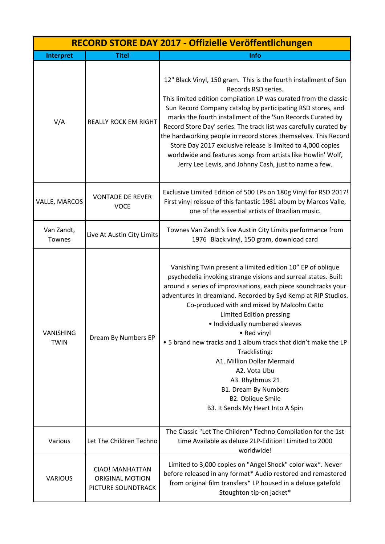|                          |                                                                 | RECORD STORE DAY 2017 - Offizielle Veröffentlichungen                                                                                                                                                                                                                                                                                                                                                                                                                                                                                                                                                                                            |
|--------------------------|-----------------------------------------------------------------|--------------------------------------------------------------------------------------------------------------------------------------------------------------------------------------------------------------------------------------------------------------------------------------------------------------------------------------------------------------------------------------------------------------------------------------------------------------------------------------------------------------------------------------------------------------------------------------------------------------------------------------------------|
| Interpret                | <b>Titel</b>                                                    | <b>Info</b>                                                                                                                                                                                                                                                                                                                                                                                                                                                                                                                                                                                                                                      |
| V/A                      | <b>REALLY ROCK EM RIGHT</b>                                     | 12" Black Vinyl, 150 gram. This is the fourth installment of Sun<br>Records RSD series.<br>This limited edition compilation LP was curated from the classic<br>Sun Record Company catalog by participating RSD stores, and<br>marks the fourth installment of the 'Sun Records Curated by<br>Record Store Day' series. The track list was carefully curated by<br>the hardworking people in record stores themselves. This Record<br>Store Day 2017 exclusive release is limited to 4,000 copies<br>worldwide and features songs from artists like Howlin' Wolf,<br>Jerry Lee Lewis, and Johnny Cash, just to name a few.                        |
| VALLE, MARCOS            | <b>VONTADE DE REVER</b><br><b>VOCE</b>                          | Exclusive Limited Edition of 500 LPs on 180g Vinyl for RSD 2017!<br>First vinyl reissue of this fantastic 1981 album by Marcos Valle,<br>one of the essential artists of Brazilian music.                                                                                                                                                                                                                                                                                                                                                                                                                                                        |
| Van Zandt,<br>Townes     | Live At Austin City Limits                                      | Townes Van Zandt's live Austin City Limits performance from<br>1976 Black vinyl, 150 gram, download card                                                                                                                                                                                                                                                                                                                                                                                                                                                                                                                                         |
| VANISHING<br><b>TWIN</b> | Dream By Numbers EP                                             | Vanishing Twin present a limited edition 10" EP of oblique<br>psychedelia invoking strange visions and surreal states. Built<br>around a series of improvisations, each piece soundtracks your<br>adventures in dreamland. Recorded by Syd Kemp at RIP Studios.<br>Co-produced with and mixed by Malcolm Catto<br>Limited Edition pressing<br>• Individually numbered sleeves<br>• Red vinyl<br>. 5 brand new tracks and 1 album track that didn't make the LP<br>Tracklisting:<br>A1. Million Dollar Mermaid<br>A2. Vota Ubu<br>A3. Rhythmus 21<br><b>B1. Dream By Numbers</b><br><b>B2. Oblique Smile</b><br>B3. It Sends My Heart Into A Spin |
| Various                  | Let The Children Techno                                         | The Classic "Let The Children" Techno Compilation for the 1st<br>time Available as deluxe 2LP-Edition! Limited to 2000<br>worldwide!                                                                                                                                                                                                                                                                                                                                                                                                                                                                                                             |
| <b>VARIOUS</b>           | CIAO! MANHATTAN<br><b>ORIGINAL MOTION</b><br>PICTURE SOUNDTRACK | Limited to 3,000 copies on "Angel Shock" color wax*. Never<br>before released in any format* Audio restored and remastered<br>from original film transfers* LP housed in a deluxe gatefold<br>Stoughton tip-on jacket*                                                                                                                                                                                                                                                                                                                                                                                                                           |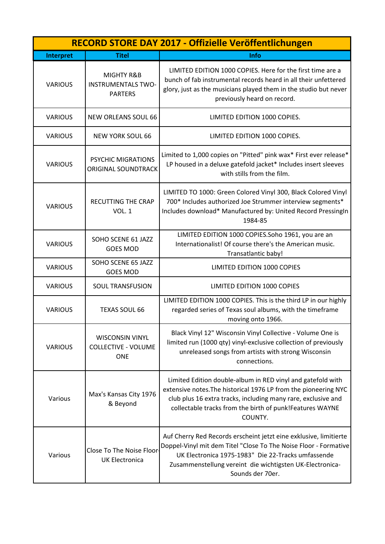| RECORD STORE DAY 2017 - Offizielle Veröffentlichungen |                                                                    |                                                                                                                                                                                                                                                                             |
|-------------------------------------------------------|--------------------------------------------------------------------|-----------------------------------------------------------------------------------------------------------------------------------------------------------------------------------------------------------------------------------------------------------------------------|
| Interpret                                             | <b>Titel</b>                                                       | Info                                                                                                                                                                                                                                                                        |
| <b>VARIOUS</b>                                        | MIGHTY R&B<br><b>INSTRUMENTALS TWO-</b><br><b>PARTERS</b>          | LIMITED EDITION 1000 COPIES. Here for the first time are a<br>bunch of fab instrumental records heard in all their unfettered<br>glory, just as the musicians played them in the studio but never<br>previously heard on record.                                            |
| <b>VARIOUS</b>                                        | NEW ORLEANS SOUL 66                                                | LIMITED EDITION 1000 COPIES.                                                                                                                                                                                                                                                |
| <b>VARIOUS</b>                                        | <b>NEW YORK SOUL 66</b>                                            | LIMITED EDITION 1000 COPIES.                                                                                                                                                                                                                                                |
| <b>VARIOUS</b>                                        | <b>PSYCHIC MIGRATIONS</b><br><b>ORIGINAL SOUNDTRACK</b>            | Limited to 1,000 copies on "Pitted" pink wax* First ever release*<br>LP housed in a deluxe gatefold jacket* Includes insert sleeves<br>with stills from the film.                                                                                                           |
| <b>VARIOUS</b>                                        | <b>RECUTTING THE CRAP</b><br><b>VOL. 1</b>                         | LIMITED TO 1000: Green Colored Vinyl 300, Black Colored Vinyl<br>700* Includes authorized Joe Strummer interview segments*<br>Includes download* Manufactured by: United Record PressingIn<br>1984-85                                                                       |
| <b>VARIOUS</b>                                        | SOHO SCENE 61 JAZZ<br><b>GOES MOD</b>                              | LIMITED EDITION 1000 COPIES.Soho 1961, you are an<br>Internationalist! Of course there's the American music.<br>Transatlantic baby!                                                                                                                                         |
| <b>VARIOUS</b>                                        | SOHO SCENE 65 JAZZ<br><b>GOES MOD</b>                              | <b>LIMITED EDITION 1000 COPIES</b>                                                                                                                                                                                                                                          |
| <b>VARIOUS</b>                                        | <b>SOUL TRANSFUSION</b>                                            | LIMITED EDITION 1000 COPIES                                                                                                                                                                                                                                                 |
| <b>VARIOUS</b>                                        | <b>TEXAS SOUL 66</b>                                               | LIMITED EDITION 1000 COPIES. This is the third LP in our highly<br>regarded series of Texas soul albums, with the timeframe<br>moving onto 1966.                                                                                                                            |
| <b>VARIOUS</b>                                        | <b>WISCONSIN VINYL</b><br><b>COLLECTIVE - VOLUME</b><br><b>ONE</b> | Black Vinyl 12" Wisconsin Vinyl Collective - Volume One is<br>limited run (1000 qty) vinyl-exclusive collection of previously<br>unreleased songs from artists with strong Wisconsin<br>connections.                                                                        |
| Various                                               | Max's Kansas City 1976<br>& Beyond                                 | Limited Edition double-album in RED vinyl and gatefold with<br>extensive notes. The historical 1976 LP from the pioneering NYC<br>club plus 16 extra tracks, including many rare, exclusive and<br>collectable tracks from the birth of punk!Features WAYNE<br>COUNTY.      |
| Various                                               | Close To The Noise Floor-<br><b>UK Electronica</b>                 | Auf Cherry Red Records erscheint jetzt eine exklusive, limitierte<br>Doppel-Vinyl mit dem Titel "Close To The Noise Floor - Formative<br>UK Electronica 1975-1983" Die 22-Tracks umfassende<br>Zusammenstellung vereint die wichtigsten UK-Electronica-<br>Sounds der 70er. |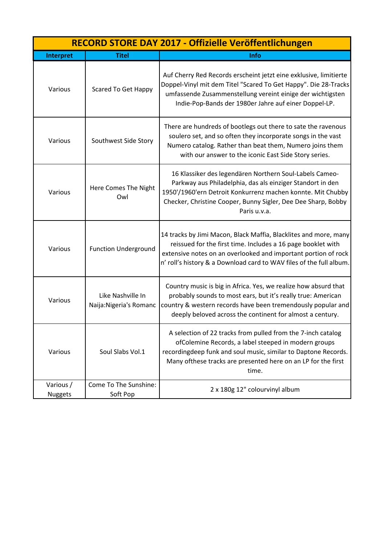|                             | RECORD STORE DAY 2017 - Offizielle Veröffentlichungen |                                                                                                                                                                                                                                                                           |  |
|-----------------------------|-------------------------------------------------------|---------------------------------------------------------------------------------------------------------------------------------------------------------------------------------------------------------------------------------------------------------------------------|--|
| Interpret                   | <b>Titel</b>                                          | <b>Info</b>                                                                                                                                                                                                                                                               |  |
| Various                     | <b>Scared To Get Happy</b>                            | Auf Cherry Red Records erscheint jetzt eine exklusive, limitierte<br>Doppel-Vinyl mit dem Titel "Scared To Get Happy". Die 28-Tracks<br>umfassende Zusammenstellung vereint einige der wichtigsten<br>Indie-Pop-Bands der 1980er Jahre auf einer Doppel-LP.               |  |
| Various                     | Southwest Side Story                                  | There are hundreds of bootlegs out there to sate the ravenous<br>soulero set, and so often they incorporate songs in the vast<br>Numero catalog. Rather than beat them, Numero joins them<br>with our answer to the iconic East Side Story series.                        |  |
| Various                     | Here Comes The Night<br>Owl                           | 16 Klassiker des legendären Northern Soul-Labels Cameo-<br>Parkway aus Philadelphia, das als einziger Standort in den<br>1950'/1960'ern Detroit Konkurrenz machen konnte. Mit Chubby<br>Checker, Christine Cooper, Bunny Sigler, Dee Dee Sharp, Bobby<br>Paris u.v.a.     |  |
| Various                     | <b>Function Underground</b>                           | 14 tracks by Jimi Macon, Black Maffia, Blacklites and more, many<br>reissued for the first time. Includes a 16 page booklet with<br>extensive notes on an overlooked and important portion of rock<br>n' roll's history & a Download card to WAV files of the full album. |  |
| Various                     | Like Nashville In<br>Naija: Nigeria's Romanc          | Country music is big in Africa. Yes, we realize how absurd that<br>probably sounds to most ears, but it's really true: American<br>country & western records have been tremendously popular and<br>deeply beloved across the continent for almost a century.              |  |
| Various                     | Soul Slabs Vol.1                                      | A selection of 22 tracks from pulled from the 7-inch catalog<br>ofColemine Records, a label steeped in modern groups<br>recordingdeep funk and soul music, similar to Daptone Records.<br>Many of these tracks are presented here on an LP for the first<br>time.         |  |
| Various /<br><b>Nuggets</b> | Come To The Sunshine:<br>Soft Pop                     | 2 x 180g 12" colourvinyl album                                                                                                                                                                                                                                            |  |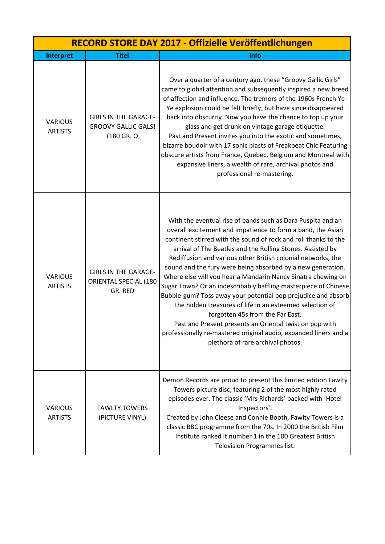| RECORD STORE DAY 2017 - Offizielle Veröffentlichungen |                                                                         |                                                                                                                                                                                                                                                                                                                                                                                                                                                                                                                                                                                                                                                                                                                                                                                                                                                                    |
|-------------------------------------------------------|-------------------------------------------------------------------------|--------------------------------------------------------------------------------------------------------------------------------------------------------------------------------------------------------------------------------------------------------------------------------------------------------------------------------------------------------------------------------------------------------------------------------------------------------------------------------------------------------------------------------------------------------------------------------------------------------------------------------------------------------------------------------------------------------------------------------------------------------------------------------------------------------------------------------------------------------------------|
| Interpret                                             | <b>Titel</b>                                                            | Info                                                                                                                                                                                                                                                                                                                                                                                                                                                                                                                                                                                                                                                                                                                                                                                                                                                               |
| <b>VARIOUS</b><br><b>ARTISTS</b>                      | <b>GIRLS IN THE GARAGE-</b><br><b>GROOVY GALLIC GALS!</b><br>(180 GR. O | Over a quarter of a century ago, these "Groovy Gallic Girls"<br>came to global attention and subsequently inspired a new breed<br>of affection and influence. The tremors of the 1960s French Ye-<br>Ye explosion could be felt briefly, but have since disappeared<br>back into obscurity. Now you have the chance to top up your<br>glass and get drunk on vintage garage etiquette.<br>Past and Present invites you into the exotic and sometimes,<br>bizarre boudoir with 17 sonic blasts of Freakbeat Chic Featuring<br>obscure artists from France, Quebec, Belgium and Montreal with<br>expansive liners, a wealth of rare, archival photos and<br>professional re-mastering.                                                                                                                                                                               |
| <b>VARIOUS</b><br><b>ARTISTS</b>                      | <b>GIRLS IN THE GARAGE-</b><br>ORIENTAL SPECIAL (180<br>GR. RED         | With the eventual rise of bands such as Dara Puspita and an<br>overall excitement and impatience to form a band, the Asian<br>continent stirred with the sound of rock and roll thanks to the<br>arrival of The Beatles and the Rolling Stones. Assisted by<br>Rediffusion and various other British colonial networks, the<br>sound and the fury were being absorbed by a new generation.<br>Where else will you hear a Mandarin Nancy Sinatra chewing on<br>Sugar Town? Or an indescribably baffling masterpiece of Chinese<br>Bubble-gum? Toss away your potential pop prejudice and absorb<br>the hidden treasures of life in an esteemed selection of<br>forgotten 45s from the Far East.<br>Past and Present presents an Oriental twist on pop with<br>professionally re-mastered original audio, expanded liners and a<br>plethora of rare archival photos. |
| <b>VARIOUS</b><br><b>ARTISTS</b>                      | <b>FAWLTY TOWERS</b><br>(PICTURE VINYL)                                 | Demon Records are proud to present this limited edition Fawlty<br>Towers picture disc, featuring 2 of the most highly rated<br>episodes ever. The classic 'Mrs Richards' backed with 'Hotel<br>Inspectors'.<br>Created by John Cleese and Connie Booth, Fawlty Towers is a<br>classic BBC programme from the 70s. In 2000 the British Film<br>Institute ranked it number 1 in the 100 Greatest British<br>Television Programmes list.                                                                                                                                                                                                                                                                                                                                                                                                                              |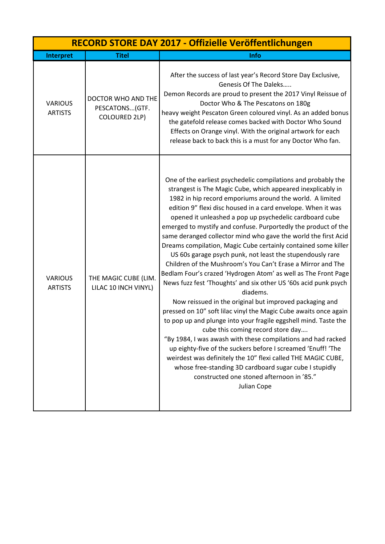| RECORD STORE DAY 2017 - Offizielle Veröffentlichungen |                                                        |                                                                                                                                                                                                                                                                                                                                                                                                                                                                                                                                                                                                                                                                                                                                                                                                                                                                                                                                                                                                                                                                                                                                                                                                                                                                                                                                                                     |
|-------------------------------------------------------|--------------------------------------------------------|---------------------------------------------------------------------------------------------------------------------------------------------------------------------------------------------------------------------------------------------------------------------------------------------------------------------------------------------------------------------------------------------------------------------------------------------------------------------------------------------------------------------------------------------------------------------------------------------------------------------------------------------------------------------------------------------------------------------------------------------------------------------------------------------------------------------------------------------------------------------------------------------------------------------------------------------------------------------------------------------------------------------------------------------------------------------------------------------------------------------------------------------------------------------------------------------------------------------------------------------------------------------------------------------------------------------------------------------------------------------|
| Interpret                                             | <b>Titel</b>                                           | Info                                                                                                                                                                                                                                                                                                                                                                                                                                                                                                                                                                                                                                                                                                                                                                                                                                                                                                                                                                                                                                                                                                                                                                                                                                                                                                                                                                |
| <b>VARIOUS</b><br><b>ARTISTS</b>                      | DOCTOR WHO AND THE<br>PESCATONS (GTF.<br>COLOURED 2LP) | After the success of last year's Record Store Day Exclusive,<br>Genesis Of The Daleks<br>Demon Records are proud to present the 2017 Vinyl Reissue of<br>Doctor Who & The Pescatons on 180g<br>heavy weight Pescaton Green coloured vinyl. As an added bonus<br>the gatefold release comes backed with Doctor Who Sound<br>Effects on Orange vinyl. With the original artwork for each<br>release back to back this is a must for any Doctor Who fan.                                                                                                                                                                                                                                                                                                                                                                                                                                                                                                                                                                                                                                                                                                                                                                                                                                                                                                               |
| <b>VARIOUS</b><br><b>ARTISTS</b>                      | THE MAGIC CUBE (LIM.<br>LILAC 10 INCH VINYL)           | One of the earliest psychedelic compilations and probably the<br>strangest is The Magic Cube, which appeared inexplicably in<br>1982 in hip record emporiums around the world. A limited<br>edition 9" flexi disc housed in a card envelope. When it was<br>opened it unleashed a pop up psychedelic cardboard cube<br>emerged to mystify and confuse. Purportedly the product of the<br>same deranged collector mind who gave the world the first Acid<br>Dreams compilation, Magic Cube certainly contained some killer<br>US 60s garage psych punk, not least the stupendously rare<br>Children of the Mushroom's You Can't Erase a Mirror and The<br>Bedlam Four's crazed 'Hydrogen Atom' as well as The Front Page<br>News fuzz fest 'Thoughts' and six other US '60s acid punk psych<br>diadems.<br>Now reissued in the original but improved packaging and<br>pressed on 10" soft lilac vinyl the Magic Cube awaits once again<br>to pop up and plunge into your fragile eggshell mind. Taste the<br>cube this coming record store day<br>"By 1984, I was awash with these compilations and had racked<br>up eighty-five of the suckers before I screamed 'Enuff! 'The<br>weirdest was definitely the 10" flexi called THE MAGIC CUBE,<br>whose free-standing 3D cardboard sugar cube I stupidly<br>constructed one stoned afternoon in '85."<br>Julian Cope |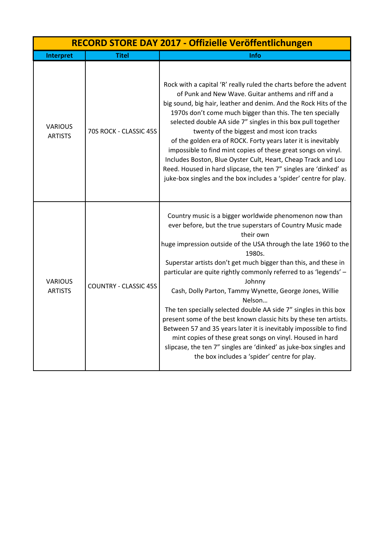| RECORD STORE DAY 2017 - Offizielle Veröffentlichungen |                              |                                                                                                                                                                                                                                                                                                                                                                                                                                                                                                                                                                                                                                                                                                                                                                                                                                       |
|-------------------------------------------------------|------------------------------|---------------------------------------------------------------------------------------------------------------------------------------------------------------------------------------------------------------------------------------------------------------------------------------------------------------------------------------------------------------------------------------------------------------------------------------------------------------------------------------------------------------------------------------------------------------------------------------------------------------------------------------------------------------------------------------------------------------------------------------------------------------------------------------------------------------------------------------|
| <b>Interpret</b>                                      | <b>Titel</b>                 | Info                                                                                                                                                                                                                                                                                                                                                                                                                                                                                                                                                                                                                                                                                                                                                                                                                                  |
| <b>VARIOUS</b><br><b>ARTISTS</b>                      | 70S ROCK - CLASSIC 45S       | Rock with a capital 'R' really ruled the charts before the advent<br>of Punk and New Wave. Guitar anthems and riff and a<br>big sound, big hair, leather and denim. And the Rock Hits of the<br>1970s don't come much bigger than this. The ten specially<br>selected double AA side 7" singles in this box pull together<br>twenty of the biggest and most icon tracks<br>of the golden era of ROCK. Forty years later it is inevitably<br>impossible to find mint copies of these great songs on vinyl.<br>Includes Boston, Blue Oyster Cult, Heart, Cheap Track and Lou<br>Reed. Housed in hard slipcase, the ten 7" singles are 'dinked' as<br>juke-box singles and the box includes a 'spider' centre for play.                                                                                                                  |
| <b>VARIOUS</b><br><b>ARTISTS</b>                      | <b>COUNTRY - CLASSIC 45S</b> | Country music is a bigger worldwide phenomenon now than<br>ever before, but the true superstars of Country Music made<br>their own<br>huge impression outside of the USA through the late 1960 to the<br>1980s.<br>Superstar artists don't get much bigger than this, and these in<br>particular are quite rightly commonly referred to as 'legends' -<br>Johnny<br>Cash, Dolly Parton, Tammy Wynette, George Jones, Willie<br>Nelson<br>The ten specially selected double AA side 7" singles in this box<br>present some of the best known classic hits by these ten artists.<br>Between 57 and 35 years later it is inevitably impossible to find<br>mint copies of these great songs on vinyl. Housed in hard<br>slipcase, the ten 7" singles are 'dinked' as juke-box singles and<br>the box includes a 'spider' centre for play. |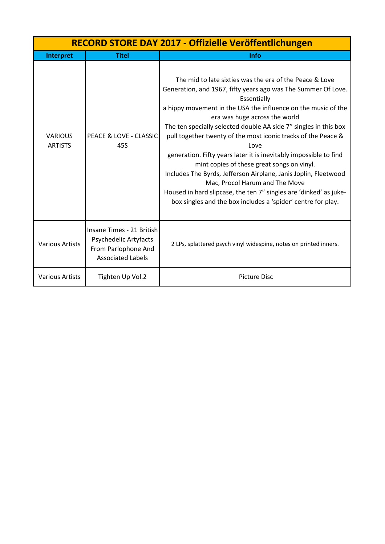| RECORD STORE DAY 2017 - Offizielle Veröffentlichungen |                                                                                                       |                                                                                                                                                                                                                                                                                                                                                                                                                                                                                                                                                                                                                                                                                                                                                     |
|-------------------------------------------------------|-------------------------------------------------------------------------------------------------------|-----------------------------------------------------------------------------------------------------------------------------------------------------------------------------------------------------------------------------------------------------------------------------------------------------------------------------------------------------------------------------------------------------------------------------------------------------------------------------------------------------------------------------------------------------------------------------------------------------------------------------------------------------------------------------------------------------------------------------------------------------|
| Interpret                                             | <b>Titel</b>                                                                                          | Info                                                                                                                                                                                                                                                                                                                                                                                                                                                                                                                                                                                                                                                                                                                                                |
| <b>VARIOUS</b><br><b>ARTISTS</b>                      | PEACE & LOVE - CLASSIC<br>45S                                                                         | The mid to late sixties was the era of the Peace & Love<br>Generation, and 1967, fifty years ago was The Summer Of Love.<br>Essentially<br>a hippy movement in the USA the influence on the music of the<br>era was huge across the world<br>The ten specially selected double AA side 7" singles in this box<br>pull together twenty of the most iconic tracks of the Peace &<br>Love<br>generation. Fifty years later it is inevitably impossible to find<br>mint copies of these great songs on vinyl.<br>Includes The Byrds, Jefferson Airplane, Janis Joplin, Fleetwood<br>Mac, Procol Harum and The Move<br>Housed in hard slipcase, the ten 7" singles are 'dinked' as juke-<br>box singles and the box includes a 'spider' centre for play. |
| <b>Various Artists</b>                                | Insane Times - 21 British<br>Psychedelic Artyfacts<br>From Parlophone And<br><b>Associated Labels</b> | 2 LPs, splattered psych vinyl widespine, notes on printed inners.                                                                                                                                                                                                                                                                                                                                                                                                                                                                                                                                                                                                                                                                                   |
| <b>Various Artists</b>                                | Tighten Up Vol.2                                                                                      | <b>Picture Disc</b>                                                                                                                                                                                                                                                                                                                                                                                                                                                                                                                                                                                                                                                                                                                                 |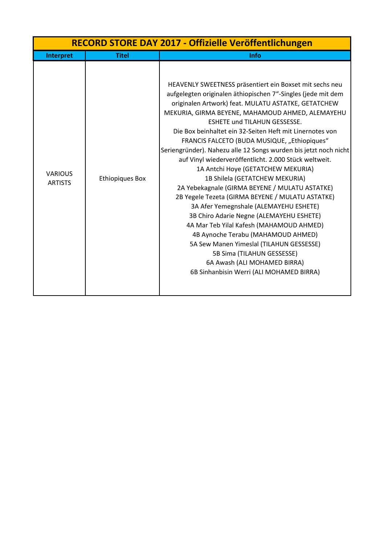| RECORD STORE DAY 2017 - Offizielle Veröffentlichungen |                        |                                                                                                                                                                                                                                                                                                                                                                                                                                                                                                                                                                                                                                                                                                                                                                                                                                                                                                                                                                                                                                |
|-------------------------------------------------------|------------------------|--------------------------------------------------------------------------------------------------------------------------------------------------------------------------------------------------------------------------------------------------------------------------------------------------------------------------------------------------------------------------------------------------------------------------------------------------------------------------------------------------------------------------------------------------------------------------------------------------------------------------------------------------------------------------------------------------------------------------------------------------------------------------------------------------------------------------------------------------------------------------------------------------------------------------------------------------------------------------------------------------------------------------------|
| Interpret                                             | <b>Titel</b>           | Info                                                                                                                                                                                                                                                                                                                                                                                                                                                                                                                                                                                                                                                                                                                                                                                                                                                                                                                                                                                                                           |
| <b>VARIOUS</b><br><b>ARTISTS</b>                      | <b>Ethiopiques Box</b> | HEAVENLY SWEETNESS präsentiert ein Boxset mit sechs neu<br>aufgelegten originalen äthiopischen 7"-Singles (jede mit dem<br>originalen Artwork) feat. MULATU ASTATKE, GETATCHEW<br>MEKURIA, GIRMA BEYENE, MAHAMOUD AHMED, ALEMAYEHU<br><b>ESHETE und TILAHUN GESSESSE.</b><br>Die Box beinhaltet ein 32-Seiten Heft mit Linernotes von<br>FRANCIS FALCETO (BUDA MUSIQUE, "Ethiopiques"<br>Seriengründer). Nahezu alle 12 Songs wurden bis jetzt noch nicht<br>auf Vinyl wiederveröffentlicht. 2.000 Stück weltweit.<br>1A Antchi Hoye (GETATCHEW MEKURIA)<br>1B Shilela (GETATCHEW MEKURIA)<br>2A Yebekagnale (GIRMA BEYENE / MULATU ASTATKE)<br>2B Yegele Tezeta (GIRMA BEYENE / MULATU ASTATKE)<br>3A Afer Yemegnshale (ALEMAYEHU ESHETE)<br>3B Chiro Adarie Negne (ALEMAYEHU ESHETE)<br>4A Mar Teb Yilal Kafesh (MAHAMOUD AHMED)<br>4B Aynoche Terabu (MAHAMOUD AHMED)<br>5A Sew Manen Yimeslal (TILAHUN GESSESSE)<br>5B Sima (TILAHUN GESSESSE)<br>6A Awash (ALI MOHAMED BIRRA)<br>6B Sinhanbisin Werri (ALI MOHAMED BIRRA) |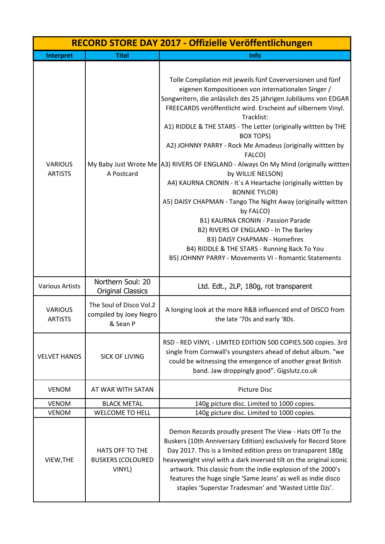|                                  |                                                               | RECORD STORE DAY 2017 - Offizielle Veröffentlichungen                                                                                                                                                                                                                                                                                                                                                                                                                                                                                                                                                                                                                                                                                                                                                                                                                                                                                    |
|----------------------------------|---------------------------------------------------------------|------------------------------------------------------------------------------------------------------------------------------------------------------------------------------------------------------------------------------------------------------------------------------------------------------------------------------------------------------------------------------------------------------------------------------------------------------------------------------------------------------------------------------------------------------------------------------------------------------------------------------------------------------------------------------------------------------------------------------------------------------------------------------------------------------------------------------------------------------------------------------------------------------------------------------------------|
| Interpret                        | <b>Titel</b>                                                  | Info                                                                                                                                                                                                                                                                                                                                                                                                                                                                                                                                                                                                                                                                                                                                                                                                                                                                                                                                     |
| <b>VARIOUS</b><br><b>ARTISTS</b> | A Postcard                                                    | Tolle Compilation mit jeweils fünf Coverversionen und fünf<br>eigenen Kompositionen von internationalen Singer /<br>Songwritern, die anlässlich des 25 jährigen Jubiläums von EDGAR<br>FREECARDS veröffentlicht wird. Erscheint auf silbernem Vinyl.<br>Tracklist:<br>A1) RIDDLE & THE STARS - The Letter (originally wittten by THE<br><b>BOX TOPS)</b><br>A2) JOHNNY PARRY - Rock Me Amadeus (originally wittten by<br>FALCO)<br>My Baby Just Wrote Me A3) RIVERS OF ENGLAND - Always On My Mind (originally wittten<br>by WILLIE NELSON)<br>A4) KAURNA CRONIN - It's A Heartache (originally wittten by<br><b>BONNIE TYLOR)</b><br>A5) DAISY CHAPMAN - Tango The Night Away (originally wittten<br>by FALCO)<br>B1) KAURNA CRONIN - Passion Parade<br>B2) RIVERS OF ENGLAND - In The Barley<br>B3) DAISY CHAPMAN - Homefires<br>B4) RIDDLE & THE STARS - Running Back To You<br>B5) JOHNNY PARRY - Movements VI - Romantic Statements |
| <b>Various Artists</b>           | Northern Soul: 20<br><b>Original Classics</b>                 | Ltd. Edt., 2LP, 180g, rot transparent                                                                                                                                                                                                                                                                                                                                                                                                                                                                                                                                                                                                                                                                                                                                                                                                                                                                                                    |
| <b>VARIOUS</b><br><b>ARTISTS</b> | The Soul of Disco Vol.2<br>compiled by Joey Negro<br>& Sean P | A longing look at the more R&B influenced end of DISCO from<br>the late '70s and early '80s.                                                                                                                                                                                                                                                                                                                                                                                                                                                                                                                                                                                                                                                                                                                                                                                                                                             |
| <b>VELVET HANDS</b>              | <b>SICK OF LIVING</b>                                         | RSD - RED VINYL - LIMITED EDITION 500 COPIES.500 copies. 3rd<br>single from Cornwall's youngsters ahead of debut album. "we<br>could be witnessing the emergence of another great British<br>band. Jaw droppingly good". Gigslutz.co.uk                                                                                                                                                                                                                                                                                                                                                                                                                                                                                                                                                                                                                                                                                                  |
| <b>VENOM</b>                     | AT WAR WITH SATAN                                             | <b>Picture Disc</b>                                                                                                                                                                                                                                                                                                                                                                                                                                                                                                                                                                                                                                                                                                                                                                                                                                                                                                                      |
| <b>VENOM</b>                     | <b>BLACK METAL</b>                                            | 140g picture disc. Limited to 1000 copies.                                                                                                                                                                                                                                                                                                                                                                                                                                                                                                                                                                                                                                                                                                                                                                                                                                                                                               |
| <b>VENOM</b>                     | <b>WELCOME TO HELL</b>                                        | 140g picture disc. Limited to 1000 copies.                                                                                                                                                                                                                                                                                                                                                                                                                                                                                                                                                                                                                                                                                                                                                                                                                                                                                               |
| VIEW, THE                        | <b>HATS OFF TO THE</b><br><b>BUSKERS (COLOURED</b><br>VINYL)  | Demon Records proudly present The View - Hats Off To the<br>Buskers (10th Anniversary Edition) exclusively for Record Store<br>Day 2017. This is a limited edition press on transparent 180g<br>heavyweight vinyl with a dark inversed tilt on the original iconic<br>artwork. This classic from the indie explosion of the 2000's<br>features the huge single 'Same Jeans' as well as indie disco<br>staples 'Superstar Tradesman' and 'Wasted Little DJs'.                                                                                                                                                                                                                                                                                                                                                                                                                                                                             |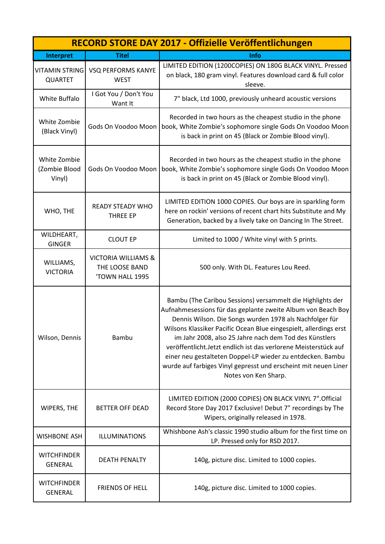|                                         |                                                          | RECORD STORE DAY 2017 - Offizielle Veröffentlichungen                                                                                                                                                                                                                                                                                                                                                                                                                                                                                             |
|-----------------------------------------|----------------------------------------------------------|---------------------------------------------------------------------------------------------------------------------------------------------------------------------------------------------------------------------------------------------------------------------------------------------------------------------------------------------------------------------------------------------------------------------------------------------------------------------------------------------------------------------------------------------------|
| Interpret                               | <b>Titel</b>                                             | Info                                                                                                                                                                                                                                                                                                                                                                                                                                                                                                                                              |
| <b>VITAMIN STRING</b><br><b>QUARTET</b> | <b>VSQ PERFORMS KANYE</b><br><b>WEST</b>                 | LIMITED EDITION (1200COPIES) ON 180G BLACK VINYL. Pressed<br>on black, 180 gram vinyl. Features download card & full color<br>sleeve.                                                                                                                                                                                                                                                                                                                                                                                                             |
| White Buffalo                           | I Got You / Don't You<br>Want It                         | 7" black, Ltd 1000, previously unheard acoustic versions                                                                                                                                                                                                                                                                                                                                                                                                                                                                                          |
| White Zombie<br>(Black Vinyl)           | Gods On Voodoo Moon                                      | Recorded in two hours as the cheapest studio in the phone<br>book, White Zombie's sophomore single Gods On Voodoo Moon<br>is back in print on 45 (Black or Zombie Blood vinyl).                                                                                                                                                                                                                                                                                                                                                                   |
| White Zombie<br>(Zombie Blood<br>Vinyl) | Gods On Voodoo Moon                                      | Recorded in two hours as the cheapest studio in the phone<br>book, White Zombie's sophomore single Gods On Voodoo Moon<br>is back in print on 45 (Black or Zombie Blood vinyl).                                                                                                                                                                                                                                                                                                                                                                   |
| WHO, THE                                | <b>READY STEADY WHO</b><br><b>THREE EP</b>               | LIMITED EDITION 1000 COPIES. Our boys are in sparkling form<br>here on rockin' versions of recent chart hits Substitute and My<br>Generation, backed by a lively take on Dancing In The Street.                                                                                                                                                                                                                                                                                                                                                   |
| WILDHEART,<br><b>GINGER</b>             | <b>CLOUT EP</b>                                          | Limited to 1000 / White vinyl with 5 prints.                                                                                                                                                                                                                                                                                                                                                                                                                                                                                                      |
| WILLIAMS,<br><b>VICTORIA</b>            | VICTORIA WILLIAMS &<br>THE LOOSE BAND<br>'TOWN HALL 1995 | 500 only. With DL. Features Lou Reed.                                                                                                                                                                                                                                                                                                                                                                                                                                                                                                             |
| Wilson, Dennis                          | <b>Bambu</b>                                             | Bambu (The Caribou Sessions) versammelt die Highlights der<br>Aufnahmesessions für das geplante zweite Album von Beach Boy<br>Dennis Wilson. Die Songs wurden 1978 als Nachfolger für<br>Wilsons Klassiker Pacific Ocean Blue eingespielt, allerdings erst<br>im Jahr 2008, also 25 Jahre nach dem Tod des Künstlers<br>veröffentlicht. Jetzt endlich ist das verlorene Meisterstück auf<br>einer neu gestalteten Doppel-LP wieder zu entdecken. Bambu<br>wurde auf farbiges Vinyl gepresst und erscheint mit neuen Liner<br>Notes von Ken Sharp. |
| WIPERS, THE                             | <b>BETTER OFF DEAD</b>                                   | LIMITED EDITION (2000 COPIES) ON BLACK VINYL 7". Official<br>Record Store Day 2017 Exclusive! Debut 7" recordings by The<br>Wipers, originally released in 1978.                                                                                                                                                                                                                                                                                                                                                                                  |
| <b>WISHBONE ASH</b>                     | <b>ILLUMINATIONS</b>                                     | Whishbone Ash's classic 1990 studio album for the first time on<br>LP. Pressed only for RSD 2017.                                                                                                                                                                                                                                                                                                                                                                                                                                                 |
| <b>WITCHFINDER</b><br><b>GENERAL</b>    | <b>DEATH PENALTY</b>                                     | 140g, picture disc. Limited to 1000 copies.                                                                                                                                                                                                                                                                                                                                                                                                                                                                                                       |
| <b>WITCHFINDER</b><br><b>GENERAL</b>    | <b>FRIENDS OF HELL</b>                                   | 140g, picture disc. Limited to 1000 copies.                                                                                                                                                                                                                                                                                                                                                                                                                                                                                                       |